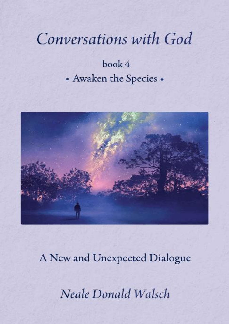# Conversations with God

# book 4 • Awaken the Species •



A New and Unexpected Dialogue

Neale Donald Walsch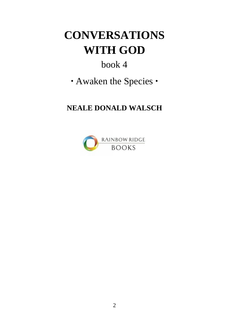# **CONVERSATIONS WITH GOD**

### book 4

### • Awaken the Species •

### **NEALE DONALD WALSCH**

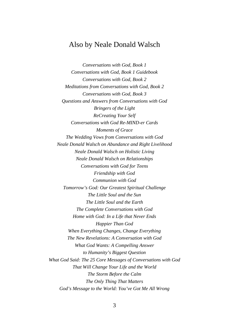#### Also by Neale Donald Walsch

*Conversations with God, Book 1 Conversations with God, Book 1 Guidebook Conversations with God, Book 2 Meditations from Conversations with God, Book 2 Conversations with God, Book 3 Questions and Answers from Conversations with God Bringers of the Light ReCreating Your Self Conversations with God Re-MIND-er Cards Moments of Grace The Wedding Vows from Conversations with God Neale Donald Walsch on Abundance and Right Livelihood Neale Donald Walsch on Holistic Living Neale Donald Walsch on Relationships Conversations with God for Teens Friendship with God Communion with God Tomorrow's God: Our Greatest Spiritual Challenge The Little Soul and the Sun The Little Soul and the Earth The Complete Conversations with God Home with God: In a Life that Never Ends Happier Than God When Everything Changes, Change Everything The New Revelations: A Conversation with God What God Wants: A Compelling Answer to Humanity's Biggest Question What God Said: The 25 Core Messages of Conversations with God That Will Change Your Life and the World The Storm Before the Calm The Only Thing That Matters God's Message to the World: You've Got Me All Wrong*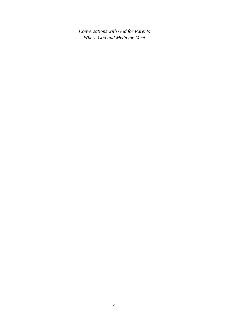*Conversations with God for Parents Where God and Medicine Meet*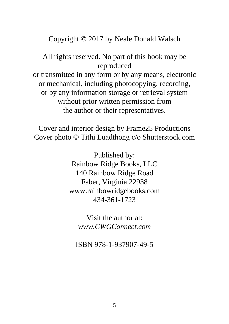### Copyright © 2017 by Neale Donald Walsch

All rights reserved. No part of this book may be reproduced or transmitted in any form or by any means, electronic or mechanical, including photocopying, recording, or by any information storage or retrieval system without prior written permission from the author or their representatives.

Cover and interior design by Frame25 Productions Cover photo © Tithi Luadthong c/o Shutterstock.com

> Published by: Rainbow Ridge Books, LLC 140 Rainbow Ridge Road Faber, Virginia 22938 www.rainbowridgebooks.com 434-361-1723

Visit the author at: *www.CWGConnect.com*

ISBN 978-1-937907-49-5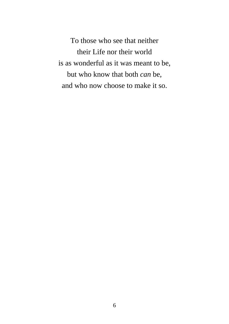To those who see that neither their Life nor their world is as wonderful as it was meant to be, but who know that both *can* be, and who now choose to make it so.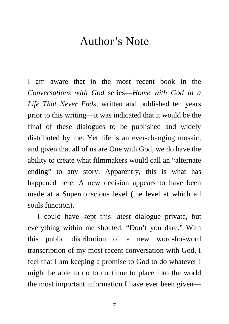### Author's Note

I am aware that in the most recent book in the *Conversations with God* series—*Home with God in a Life That Never Ends,* written and published ten years prior to this writing—it was indicated that it would be the final of these dialogues to be published and widely distributed by me. Yet life is an ever-changing mosaic, and given that all of us are One with God, we do have the ability to create what filmmakers would call an "alternate ending" to any story. Apparently, this is what has happened here. A new decision appears to have been made at a Superconscious level (the level at which all souls function).

I could have kept this latest dialogue private, but everything within me shouted, "Don't you dare." With this public distribution of a new word-for-word transcription of my most recent conversation with God, I feel that I am keeping a promise to God to do whatever I might be able to do to continue to place into the world the most important information I have ever been given—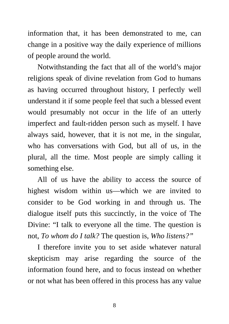information that, it has been demonstrated to me, can change in a positive way the daily experience of millions of people around the world.

Notwithstanding the fact that all of the world's major religions speak of divine revelation from God to humans as having occurred throughout history, I perfectly well understand it if some people feel that such a blessed event would presumably not occur in the life of an utterly imperfect and fault-ridden person such as myself. I have always said, however, that it is not me, in the singular, who has conversations with God, but all of us, in the plural, all the time. Most people are simply calling it something else.

All of us have the ability to access the source of highest wisdom within us—which we are invited to consider to be God working in and through us. The dialogue itself puts this succinctly, in the voice of The Divine: "I talk to everyone all the time. The question is not, *To whom do I talk?* The question is, *Who listens?"*

I therefore invite you to set aside whatever natural skepticism may arise regarding the source of the information found here, and to focus instead on whether or not what has been offered in this process has any value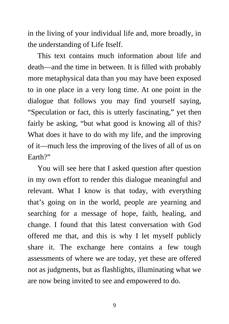in the living of your individual life and, more broadly, in the understanding of Life Itself.

This text contains much information about life and death—and the time in between. It is filled with probably more metaphysical data than you may have been exposed to in one place in a very long time. At one point in the dialogue that follows you may find yourself saying, "Speculation or fact, this is utterly fascinating, " yet then fairly be asking, "but what good is knowing all of this? What does it have to do with my life, and the improving of it—much less the improving of the lives of all of us on Earth?"

You will see here that I asked question after question in my own effort to render this dialogue meaningful and relevant. What I know is that today, with everything that's going on in the world, people are yearning and searching for a message of hope, faith, healing, and change. I found that this latest conversation with God offered me that, and this is why I let myself publicly share it. The exchange here contains a few tough assessments of where we are today, yet these are offered not as judgments, but as flashlights, illuminating what we are now being invited to see and empowered to do.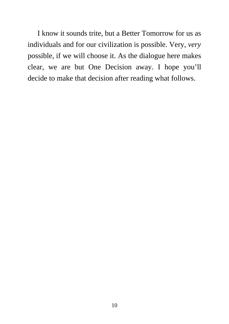I know it sounds trite, but a Better Tomorrow for us as individuals and for our civilization is possible. Very, *very* possible, if we will choose it. As the dialogue here makes clear, we are but One Decision away. I hope you'll decide to make that decision after reading what follows.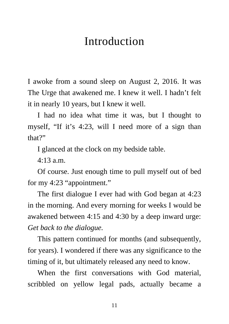## Introduction

I awoke from a sound sleep on August 2, 2016. It was The Urge that awakened me. I knew it well. I hadn't felt it in nearly 10 years, but I knew it well.

I had no idea what time it was, but I thought to myself, "If it's 4:23, will I need more of a sign than that?"

I glanced at the clock on my bedside table.

4:13 a.m.

Of course. Just enough time to pull myself out of bed for my 4:23 "appointment."

The first dialogue I ever had with God began at 4:23 in the morning. And every morning for weeks I would be awakened between 4:15 and 4:30 by a deep inward urge: *Get back to the dialogue.*

This pattern continued for months (and subsequently, for years). I wondered if there was any significance to the timing of it, but ultimately released any need to know.

When the first conversations with God material, scribbled on yellow legal pads, actually became a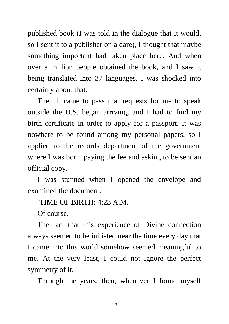published book (I was told in the dialogue that it would, so I sent it to a publisher on a dare), I thought that maybe something important had taken place here. And when over a million people obtained the book, and I saw it being translated into 37 languages, I was shocked into certainty about that.

Then it came to pass that requests for me to speak outside the U.S. began arriving, and I had to find my birth certificate in order to apply for a passport. It was nowhere to be found among my personal papers, so I applied to the records department of the government where I was born, paying the fee and asking to be sent an official copy.

I was stunned when I opened the envelope and examined the document.

TIME OF BIRTH: 4:23 A.M.

Of course.

The fact that this experience of Divine connection always seemed to be initiated near the time every day that I came into this world somehow seemed meaningful to me. At the very least, I could not ignore the perfect symmetry of it.

Through the years, then, whenever I found myself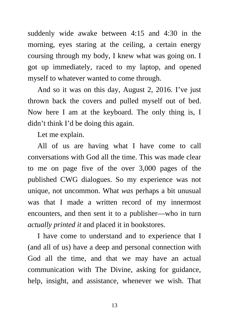suddenly wide awake between 4:15 and 4:30 in the morning, eyes staring at the ceiling, a certain energy coursing through my body, I knew what was going on. I got up immediately, raced to my laptop, and opened myself to whatever wanted to come through.

And so it was on this day, August 2, 2016. I've just thrown back the covers and pulled myself out of bed. Now here I am at the keyboard. The only thing is, I didn't think I'd be doing this again.

Let me explain.

All of us are having what I have come to call conversations with God all the time. This was made clear to me on page five of the over 3,000 pages of the published CWG dialogues. So my experience was not unique, not uncommon. What *was* perhaps a bit unusual was that I made a written record of my innermost encounters, and then sent it to a publisher—who in turn *actually printed it* and placed it in bookstores.

I have come to understand and to experience that I (and all of us) have a deep and personal connection with God all the time, and that we may have an actual communication with The Divine, asking for guidance, help, insight, and assistance, whenever we wish. That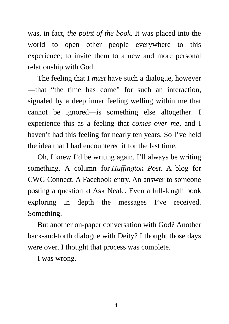was, in fact, *the point of the book.* It was placed into the world to open other people everywhere to this experience; to invite them to a new and more personal relationship with God.

The feeling that I *must* have such a dialogue, however —that "the time has come" for such an interaction, signaled by a deep inner feeling welling within me that cannot be ignored—is something else altogether. I experience this as a feeling that *comes over me*, and I haven't had this feeling for nearly ten years. So I've held the idea that I had encountered it for the last time.

Oh, I knew I'd be writing again. I'll always be writing something. A column for *Huffington Post*. A blog for CWG Connect. A Facebook entry. An answer to someone posting a question at Ask Neale. Even a full-length book exploring in depth the messages I've received. Something.

But another on-paper conversation with God? Another back-and-forth dialogue with Deity? I thought those days were over. I thought that process was complete.

I was wrong.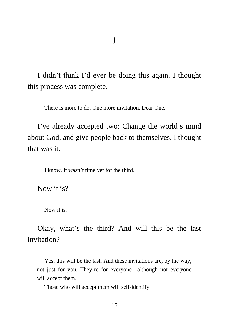I didn't think I'd ever be doing this again. I thought this process was complete.

There is more to do. One more invitation, Dear One.

I've already accepted two: Change the world's mind about God, and give people back to themselves. I thought that was it.

I know. It wasn't time yet for the third.

Now it is?

Now it is.

Okay, what's the third? And will this be the last invitation?

Yes, this will be the last. And these invitations are, by the way, not just for you. They're for everyone—although not everyone will accept them.

Those who will accept them will self-identify.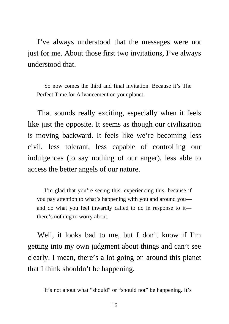I've always understood that the messages were not just for me. About those first two invitations, I've always understood that.

So now comes the third and final invitation. Because it's The Perfect Time for Advancement on your planet.

That sounds really exciting, especially when it feels like just the opposite. It seems as though our civilization is moving backward. It feels like we're becoming less civil, less tolerant, less capable of controlling our indulgences (to say nothing of our anger), less able to access the better angels of our nature.

I'm glad that you're seeing this, experiencing this, because if you pay attention to what's happening with you and around you and do what you feel inwardly called to do in response to it there's nothing to worry about.

Well, it looks bad to me, but I don't know if I'm getting into my own judgment about things and can't see clearly. I mean, there's a lot going on around this planet that I think shouldn't be happening.

It's not about what "should" or "should not" be happening. It's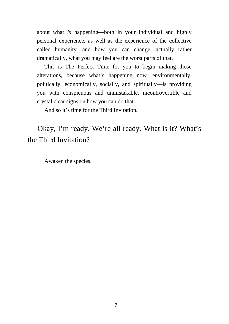about what *is* happening—both in your individual and highly personal experience, as well as the experience of the collective called humanity—and how you can change, actually rather dramatically, what you may feel are the worst parts of that.

This is The Perfect Time for you to begin making those alterations, because what's happening now—environmentally, politically, economically, socially, and spiritually—is providing you with conspicuous and unmistakable, incontrovertible and crystal clear signs on how you can do that.

And so it's time for the Third Invitation.

Okay, I'm ready. We're all ready. What is it? What's the Third Invitation?

Awaken the species.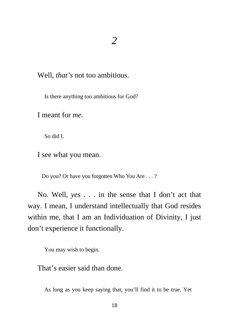Well, *that's* not too ambitious.

Is there anything too ambitious for God?

I meant for *me.*

So did I.

I see what you mean.

Do you? Or have you forgotten Who You Are . . . ?

No. Well, *yes* . . . in the sense that I don't act that way. I mean, I understand intellectually that God resides within me, that I am an Individuation of Divinity, I just don't experience it functionally.

You may wish to begin.

That's easier said than done.

As long as you keep saying that, you'll find it to be true. Yet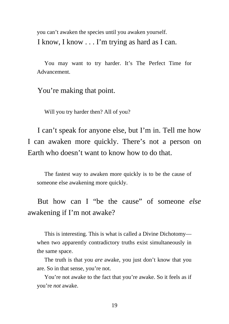you can't awaken the species until you awaken yourself. I know, I know . . . I'm trying as hard as I can.

You may want to try harder. It's The Perfect Time for Advancement.

You're making that point.

Will you try harder then? All of you?

I can't speak for anyone else, but I'm in. Tell me how I can awaken more quickly. There's not a person on Earth who doesn't want to know how to do that.

The fastest way to awaken more quickly is to be the cause of someone else awakening more quickly.

But how can I "be the cause" of someone *else* awakening if I'm not awake?

This is interesting. This is what is called a Divine Dichotomy when two apparently contradictory truths exist simultaneously in the same space.

The truth is that you *are* awake, you just don't know that you are. So in that sense, you're not.

You're not awake to the fact that you're awake. So it feels as if you're *not* awake.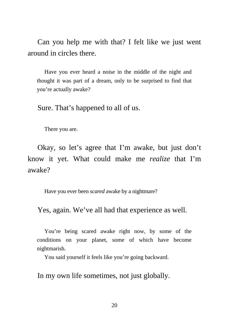Can you help me with that? I felt like we just went around in circles there.

Have you ever heard a noise in the middle of the night and thought it was part of a dream, only to be surprised to find that you're actually awake?

Sure. That's happened to all of us.

There you are.

Okay, so let's agree that I'm awake, but just don't know it yet. What could make me *realize* that I'm awake?

Have you ever been *scared* awake by a nightmare?

Yes, again. We've all had that experience as well.

You're being scared awake right now, by some of the conditions on your planet, some of which have become nightmarish.

You said yourself it feels like you're going backward.

In my own life sometimes, not just globally.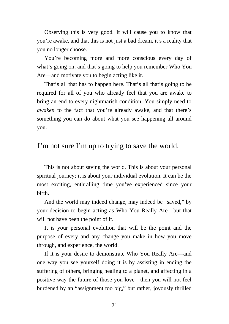Observing this is very good. It will cause you to know that you're awake, and that this is not just a bad dream, it's a reality that you no longer choose.

You're becoming more and more conscious every day of what's going on, and that's going to help you remember Who You Are—and motivate you to begin acting like it.

That's all that has to happen here. That's all that's going to be required for all of you who already feel that you are awake to bring an end to every nightmarish condition. You simply need to *awaken* to the fact that you're already awake, and that there's something you can do about what you see happening all around you.

### I'm not sure I'm up to trying to save the world.

This is not about saving the world. This is about your personal spiritual journey; it is about your individual evolution. It can be the most exciting, enthralling time you've experienced since your birth.

And the world may indeed change, may indeed be "saved," by your decision to begin acting as Who You Really Are—but that will not have been the point of it.

It is your personal evolution that will be the point and the purpose of every and any change you make in how you move through, and experience, the world.

If it is your desire to demonstrate Who You Really Are—and one way you see yourself doing it is by assisting in ending the suffering of others, bringing healing to a planet, and affecting in a positive way the future of those you love—then you will not feel burdened by an "assignment too big," but rather, joyously thrilled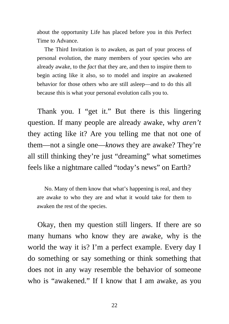about the opportunity Life has placed before you in this Perfect Time to Advance.

The Third Invitation is to awaken, as part of your process of personal evolution, the many members of your species who are already awake, to the *fact* that they are, and then to inspire them to begin acting like it also, so to model and inspire an awakened behavior for those others who are still asleep—and to do this all because this is what your personal evolution calls you to.

Thank you. I "get it." But there is this lingering question. If many people are already awake, why *aren't* they acting like it? Are you telling me that not one of them—not a single one—*knows* they are awake? They're all still thinking they're just "dreaming" what sometimes feels like a nightmare called "today's news" on Earth?

No. Many of them know that what's happening is real, and they are awake to who they are and what it would take for them to awaken the rest of the species.

Okay, then my question still lingers. If there are so many humans who know they are awake, why is the world the way it is? I'm a perfect example. Every day I do something or say something or think something that does not in any way resemble the behavior of someone who is "awakened." If I know that I am awake, as you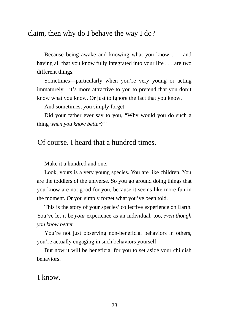#### claim, then why do I behave the way I do?

Because being awake and knowing what you know . . . and having all that you know fully integrated into your life . . . are two different things.

Sometimes—particularly when you're very young or acting immaturely—it's more attractive to you to pretend that you don't know what you know. Or just to ignore the fact that you know.

And sometimes, you simply forget.

Did your father ever say to you, "Why would you do such a thing *when you know better?"*

#### Of course. I heard that a hundred times.

Make it a hundred and one.

Look, yours is a very young species. You are like children. You are the toddlers of the universe. So you go around doing things that you know are not good for you, because it seems like more fun in the moment. Or you simply forget what you've been told.

This is the story of your species' collective experience on Earth. You've let it be *your* experience as an individual, too, *even though you know better*.

You're not just observing non-beneficial behaviors in others, you're actually engaging in such behaviors yourself.

But now it will be beneficial for you to set aside your childish behaviors.

I know.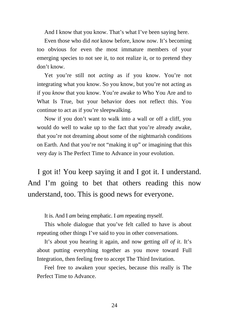And I know that you know. That's what I've been saying here.

Even those who did *not* know before, know now. It's becoming too obvious for even the most immature members of your emerging species to not see it, to not realize it, or to pretend they don't know.

Yet you're still not *acting* as if you know. You're not integrating what you know. So you know, but you're not acting as if you *know* that you know. You're awake to Who You Are and to What Is True, but your behavior does not reflect this. You continue to act as if you're sleepwalking.

Now if you don't want to walk into a wall or off a cliff, you would do well to wake up to the fact that you're already awake, that you're not dreaming about some of the nightmarish conditions on Earth. And that you're not "making it up" or imagining that this very day is The Perfect Time to Advance in your evolution.

I got it! You keep saying it and I got it. I understand. And I'm going to bet that others reading this now understand, too. This is good news for everyone.

It is. And I *am* being emphatic. I *am* repeating myself.

This whole dialogue that you've felt called to have is about repeating other things I've said to you in other conversations.

It's about you hearing it again, and now getting *all of it*. It's about putting everything together as you move toward Full Integration, then feeling free to accept The Third Invitation.

Feel free to awaken your species, because this really is The Perfect Time to Advance.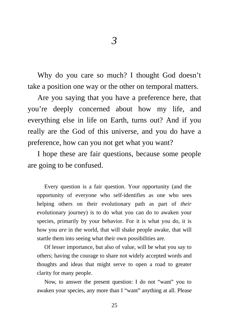Why do you care so much? I thought God doesn't take a position one way or the other on temporal matters.

Are you saying that you have a preference here, that you're deeply concerned about how my life, and everything else in life on Earth, turns out? And if you really are the God of this universe, and you do have a preference, how can you not get what you want?

I hope these are fair questions, because some people are going to be confused.

Every question is a fair question. Your opportunity (and the opportunity of everyone who self-identifies as one who sees helping others on their evolutionary path as part of *their* evolutionary journey) is to do what you can do to awaken your species, primarily by your behavior. For it is what you do, it is how you *are* in the world, that will shake people awake, that will startle them into seeing what their own possibilities are.

Of lesser importance, but also of value, will be what you say to others; having the courage to share not widely accepted words and thoughts and ideas that might serve to open a road to greater clarity for many people.

Now, to answer the present question: I do not "want" you to awaken your species, any more than I "want" anything at all. Please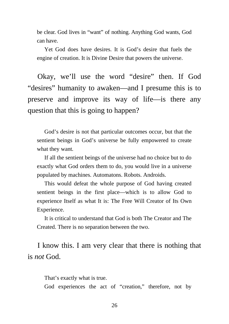be clear. God lives in "want" of nothing. Anything God wants, God can have.

Yet God does have desires. It is God's desire that fuels the engine of creation. It is Divine Desire that powers the universe.

Okay, we'll use the word "desire" then. If God "desires" humanity to awaken—and I presume this is to preserve and improve its way of life—is there any question that this is going to happen?

God's desire is not that particular outcomes occur, but that the sentient beings in God's universe be fully empowered to create what they want*.*

If all the sentient beings of the universe had no choice but to do exactly what God orders them to do, you would live in a universe populated by machines. Automatons. Robots. Androids.

This would defeat the whole purpose of God having created sentient beings in the first place—which is to allow God to experience Itself as what It is: The Free Will Creator of Its Own Experience.

It is critical to understand that God is both The Creator and The Created. There is no separation between the two.

I know this. I am very clear that there is nothing that is *not* God.

That's exactly what is true.

God experiences the act of "creation," therefore, not by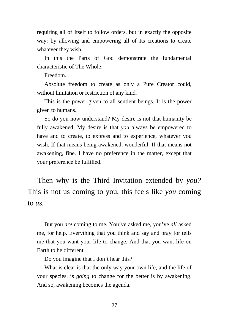requiring all of Itself to follow orders, but in exactly the opposite way: by allowing and empowering all of Its creations to create whatever they wish.

In this the Parts of God demonstrate the fundamental characteristic of The Whole:

Freedom.

Absolute freedom to create as only a Pure Creator could, without limitation or restriction of any kind.

This is the power given to all sentient beings. It is the power given to humans.

So do you now understand? My desire is not that humanity be fully awakened. My desire is that *you* always be empowered to have and to create, to express and to experience, whatever you wish. If that means being awakened, wonderful. If that means not awakening, fine. I have no preference in the matter, except that your preference be fulfilled.

Then why is the Third Invitation extended by *you?* This is not us coming to you, this feels like *you* coming to *us.*

But you *are* coming to me. You've asked me, you've *all* asked me, for help. Everything that you think and say and pray for tells me that you want your life to change. And that you want life on Earth to be different.

Do you imagine that I don't hear this?

What is clear is that the only way your own life, and the life of your species, is *going* to change for the better is by awakening. And so, awakening becomes the agenda.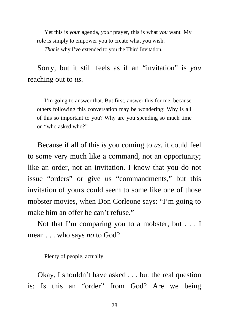Yet this is *your* agenda, *your* prayer, this is what *you* want*.* My role is simply to empower you to create what you wish.

*That* is why I've extended to you the Third Invitation.

### Sorry, but it still feels as if an "invitation" is *you* reaching out to *us*.

I'm going to answer that. But first, answer this for me, because others following this conversation may be wondering: Why is all of this so important to you? Why are you spending so much time on "who asked who?"

Because if all of this *is* you coming to *us*, it could feel to some very much like a command, not an opportunity; like an order, not an invitation. I know that you do not issue "orders" or give us "commandments, " but this invitation of yours could seem to some like one of those mobster movies, when Don Corleone says: "I'm going to make him an offer he can't refuse."

Not that I'm comparing you to a mobster, but . . . I mean . . . who says *no* to God?

Plenty of people, actually.

Okay, I shouldn't have asked . . . but the real question is: Is this an "order" from God? Are we being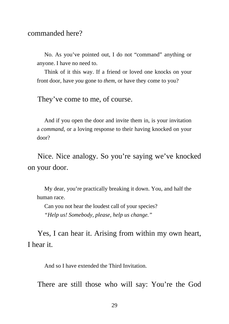### commanded here?

No. As you've pointed out, I do not "command" anything or anyone. I have no need to.

Think of it this way. If a friend or loved one knocks on your front door, have *you* gone to *them*, or have they come to you?

#### They've come to me, of course.

And if you open the door and invite them in, is your invitation a *command*, or a loving response to their having knocked on your door?

Nice. Nice analogy. So you're saying we've knocked on your door.

My dear, you're practically breaking it down. You, and half the human race.

Can you not hear the loudest call of your species? *"Help us! Somebody, please, help us change."*

Yes, I can hear it. Arising from within my own heart, I hear it.

And so I have extended the Third Invitation.

There are still those who will say: You're the God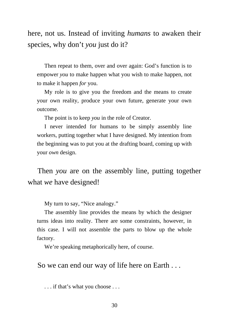here, not us. Instead of inviting *humans* to awaken their species, why don't *you* just do it?

Then repeat to them, over and over again: God's function is to empower *you* to make happen what you wish to make happen, not to make it happen *for* you.

My role is to give you the freedom and the means to create your own reality, produce your own future, generate your own outcome.

The point is to keep *you* in the role of Creator.

I never intended for humans to be simply assembly line workers, putting together what I have designed. My intention from the beginning was to put you at the drafting board, coming up with your *own* design.

Then *you* are on the assembly line, putting together what *we* have designed!

My turn to say, "Nice analogy."

The assembly line provides the means by which the designer turns ideas into reality. There are some constraints, however, in this case. I will not assemble the parts to blow up the whole factory.

We're speaking metaphorically here, of course.

So we can end our way of life here on Earth . . .

. . . if that's what you choose . . .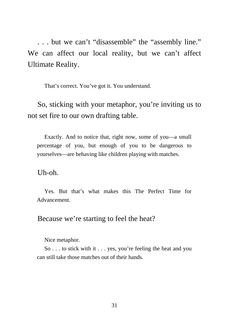. . . but we can't "disassemble" the "assembly line." We can affect our local reality, but we can't affect Ultimate Reality.

That's correct. You've got it. You understand.

So, sticking with your metaphor, you're inviting us to not set fire to our own drafting table.

Exactly. And to notice that, right now, some of you—a small percentage of you, but enough of you to be dangerous to yourselves—are behaving like children playing with matches.

Uh-oh.

Yes. But that's what makes this The Perfect Time for Advancement.

Because we're starting to feel the heat?

Nice metaphor.

So . . . to stick with it . . . yes, you're feeling the heat and you can still take those matches out of their hands.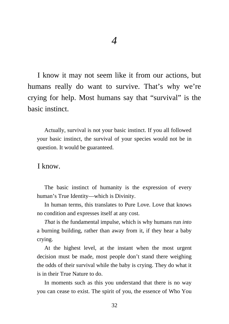I know it may not seem like it from our actions, but humans really do want to survive. That's why we're crying for help. Most humans say that "survival" is the basic instinct.

Actually, survival is not your basic instinct. If you all followed your basic instinct, the survival of your species would not be in question. It would be guaranteed.

#### I know.

The basic instinct of humanity is the expression of every human's True Identity—which is Divinity.

In human terms, this translates to Pure Love. Love that knows no condition and expresses itself at any cost.

*That* is the fundamental impulse, which is why humans run *into* a burning building, rather than away from it, if they hear a baby crying.

At the highest level, at the instant when the most urgent decision must be made, most people don't stand there weighing the odds of their survival while the baby is crying. They do what it is in their True Nature to do.

In moments such as this you understand that there is no way you can cease to exist. The spirit of you, the essence of Who You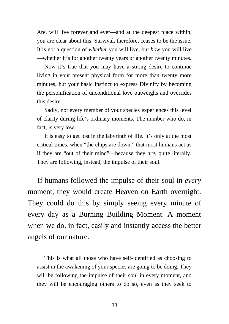Are, will live forever and ever—and at the deepest place within, you are clear about this. Survival, therefore, ceases to be the issue. It is not a question of *whether* you will live, but *how* you will live —whether it's for another twenty years or another twenty minutes.

Now it's true that you may have a strong desire to continue living in your present physical form for more than twenty more minutes, but your basic instinct to express Divinity by becoming the personification of unconditional love outweighs and overrides this desire.

Sadly, not every member of your species experiences this level of clarity during life's ordinary moments. The number who do, in fact, is very low.

It is easy to get lost in the labyrinth of life. It's only at the most critical times, when "the chips are down," that most humans act as if they are "out of their mind"—because they *are*, quite literally. They are following, instead, the impulse of their soul.

If humans followed the impulse of their soul in *every* moment, they would create Heaven on Earth overnight. They could do this by simply seeing every minute of every day as a Burning Building Moment. A moment when we do, in fact, easily and instantly access the better angels of our nature.

This is what all those who have self-identified as choosing to assist in the awakening of your species are going to be doing. They will be following the impulse of their soul in every moment, and they will be encouraging others to do so, even as they seek to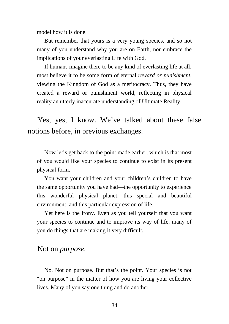model how it is done.

But remember that yours is a very young species, and so not many of you understand why you are on Earth, nor embrace the implications of your everlasting Life with God.

If humans imagine there to be any kind of everlasting life at all, most believe it to be some form of eternal *reward or punishment*, viewing the Kingdom of God as a meritocracy. Thus, they have created a reward or punishment world, reflecting in physical reality an utterly inaccurate understanding of Ultimate Reality.

Yes, yes, I know. We've talked about these false notions before, in previous exchanges.

Now let's get back to the point made earlier, which is that most of you would like your species to continue to exist in its present physical form.

You want your children and your children's children to have the same opportunity you have had—the opportunity to experience this wonderful physical planet, this special and beautiful environment, and this particular expression of life.

Yet here is the irony. Even as you tell yourself that you want your species to continue and to improve its way of life, many of you do things that are making it very difficult.

#### Not on *purpose.*

No. Not on purpose. But that's the point. Your species is not "on purpose" in the matter of how you are living your collective lives. Many of you say one thing and do another.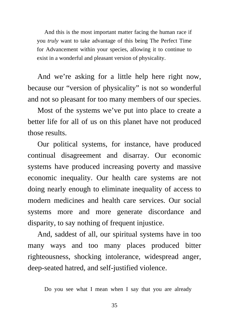And this is the most important matter facing the human race if you *truly* want to take advantage of this being The Perfect Time for Advancement within your species, allowing it to continue to exist in a wonderful and pleasant version of physicality.

And we're asking for a little help here right now, because our "version of physicality" is not so wonderful and not so pleasant for too many members of our species.

Most of the systems we've put into place to create a better life for all of us on this planet have not produced those results.

Our political systems, for instance, have produced continual disagreement and disarray. Our economic systems have produced increasing poverty and massive economic inequality. Our health care systems are not doing nearly enough to eliminate inequality of access to modern medicines and health care services. Our social systems more and more generate discordance and disparity, to say nothing of frequent injustice.

And, saddest of all, our spiritual systems have in too many ways and too many places produced bitter righteousness, shocking intolerance, widespread anger, deep-seated hatred, and self-justified violence.

Do you see what I mean when I say that you are already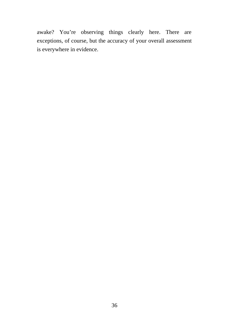awake? You're observing things clearly here. There are exceptions, of course, but the accuracy of your overall assessment is everywhere in evidence.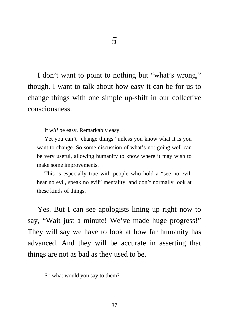I don't want to point to nothing but "what's wrong, " though. I want to talk about how easy it can be for us to change things with one simple up-shift in our collective consciousness.

It *will* be easy. Remarkably easy.

Yet you can't "change things" unless you know what it is you want to change. So some discussion of what's not going well can be very useful, allowing humanity to know where it may wish to make some improvements.

This is especially true with people who hold a "see no evil, hear no evil, speak no evil" mentality, and don't normally look at these kinds of things.

Yes. But I can see apologists lining up right now to say, "Wait just a minute! We've made huge progress!" They will say we have to look at how far humanity has advanced. And they will be accurate in asserting that things are not as bad as they used to be.

So what would you say to them?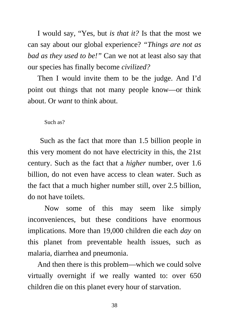I would say, "Yes, but *is that it?* Is that the most we can say about our global experience? *"Things are not as bad as they used to be!"* Can we not at least also say that our species has finally become *civilized?*

Then I would invite them to be the judge. And I'd point out things that not many people know—or think about. Or *want* to think about.

Such as?

Such as the fact that more than 1.5 billion people in this very moment do not have electricity in this, the 21st century. Such as the fact that a *higher* number, over 1.6 billion, do not even have access to clean water. Such as the fact that a much higher number still, over 2.5 billion, do not have toilets.

Now some of this may seem like simply inconveniences, but these conditions have enormous implications. More than 19,000 children die each *day* on this planet from preventable health issues, such as malaria, diarrhea and pneumonia.

And then there is this problem—which we could solve virtually overnight if we really wanted to: over 650 children die on this planet every hour of starvation.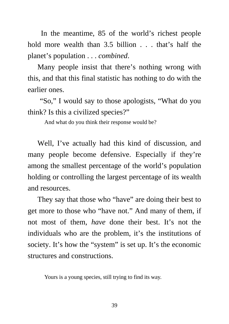In the meantime, 85 of the world's richest people hold more wealth than 3.5 billion . . . that's half the planet's population . . . *combined*.

Many people insist that there's nothing wrong with this, and that this final statistic has nothing to do with the earlier ones.

"So, " I would say to those apologists, "What do you think? Is this a civilized species?"

And what do you think their response would be?

Well, I've actually had this kind of discussion, and many people become defensive. Especially if they're among the smallest percentage of the world's population holding or controlling the largest percentage of its wealth and resources.

They say that those who "have" are doing their best to get more to those who "have not." And many of them, if not most of them, *have* done their best. It's not the individuals who are the problem, it's the institutions of society. It's how the "system" is set up. It's the economic structures and constructions.

Yours is a young species, still trying to find its way.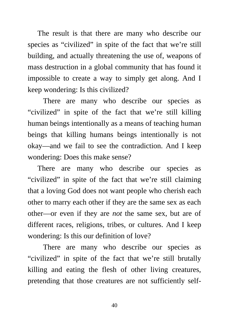The result is that there are many who describe our species as "civilized" in spite of the fact that we're still building, and actually threatening the use of, weapons of mass destruction in a global community that has found it impossible to create a way to simply get along. And I keep wondering: Is this civilized?

There are many who describe our species as "civilized" in spite of the fact that we're still killing human beings intentionally as a means of teaching human beings that killing humans beings intentionally is not okay—and we fail to see the contradiction. And I keep wondering: Does this make sense?

There are many who describe our species as "civilized" in spite of the fact that we're still claiming that a loving God does not want people who cherish each other to marry each other if they are the same sex as each other—or even if they are *not* the same sex, but are of different races, religions, tribes, or cultures. And I keep wondering: Is this our definition of love?

There are many who describe our species as "civilized" in spite of the fact that we're still brutally killing and eating the flesh of other living creatures, pretending that those creatures are not sufficiently self-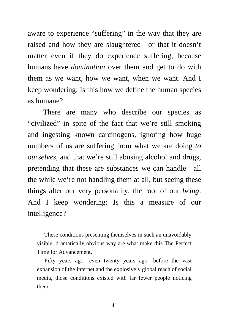aware to experience "suffering" in the way that they are raised and how they are slaughtered—or that it doesn't matter even if they do experience suffering, because humans have *domination* over them and get to do with them as we want, how we want, when we want. And I keep wondering: Is this how we define the human species as humane?

There are many who describe our species as "civilized" in spite of the fact that we're still smoking and ingesting known carcinogens, ignoring how huge numbers of us are suffering from what we are doing *to ourselves,* and that we're still abusing alcohol and drugs, pretending that these are substances we can handle—all the while we're not handling them at all, but seeing these things alter our very personality, the root of our *being*. And I keep wondering: Is this a measure of our intelligence?

These conditions presenting themselves in such an unavoidably visible, dramatically obvious way are what make this The Perfect Time for Advancement.

Fifty years ago—even twenty years ago—before the vast expansion of the Internet and the explosively global reach of social media, those conditions existed with far fewer people noticing them.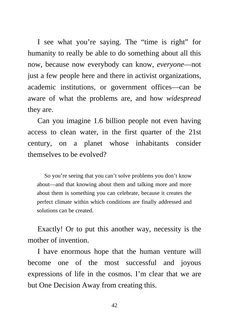I see what you're saying. The "time is right" for humanity to really be able to do something about all this now, because now everybody can know, *everyone*—not just a few people here and there in activist organizations, academic institutions, or government offices—can be aware of what the problems are, and how *widespread* they are.

Can you imagine 1.6 billion people not even having access to clean water, in the first quarter of the 21st century, on a planet whose inhabitants consider themselves to be evolved?

So you're seeing that you can't solve problems you don't know about—and that knowing about them and talking more and more about them is something you can celebrate, because it creates the perfect climate within which conditions are finally addressed and solutions can be created.

Exactly! Or to put this another way, necessity is the mother of invention.

I have enormous hope that the human venture will become one of the most successful and joyous expressions of life in the cosmos. I'm clear that we are but One Decision Away from creating this.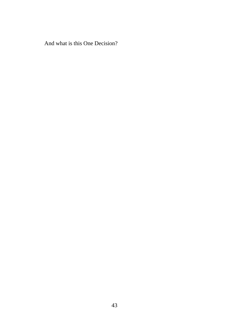And what is this One Decision?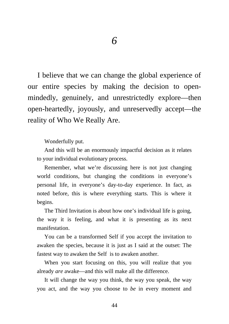I believe that we can change the global experience of our entire species by making the decision to openmindedly, genuinely, and unrestrictedly explore—then open-heartedly, joyously, and unreservedly accept—the reality of Who We Really Are.

Wonderfully put.

And this will be an enormously impactful decision as it relates to your individual evolutionary process.

Remember, what we're discussing here is not just changing world conditions, but changing the conditions in everyone's personal life, in everyone's day-to-day experience. In fact, as noted before, this is where everything starts. This is where it begins.

The Third Invitation is about how one's individual life is going, the way it is feeling, and what it is presenting as its next manifestation.

You can be a transformed Self if you accept the invitation to awaken the species, because it is just as I said at the outset: The fastest way to awaken the Self is to awaken another.

When you start focusing on this, you will realize that you already *are* awake—and this will make all the difference.

It will change the way you think, the way you speak, the way you act, and the way you choose to *be* in every moment and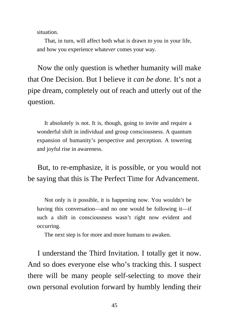situation.

That, in turn, will affect both what is drawn *to* you in your life, and how you experience what*ever* comes your way.

Now the only question is whether humanity will make that One Decision. But I believe it *can be done*. It's not a pipe dream, completely out of reach and utterly out of the question.

It absolutely is not. It is, though, going to invite and require a wonderful shift in individual and group consciousness. A quantum expansion of humanity's perspective and perception. A towering and joyful rise in awareness.

But, to re-emphasize, it is possible, or you would not be saying that this is The Perfect Time for Advancement.

Not only is it possible, it is happening now. You wouldn't be having this conversation—and no one would be following it—if such a shift in consciousness wasn't right now evident and occurring.

The next step is for more and more humans to awaken.

I understand the Third Invitation. I totally get it now. And so does everyone else who's tracking this. I suspect there will be many people self-selecting to move their own personal evolution forward by humbly lending their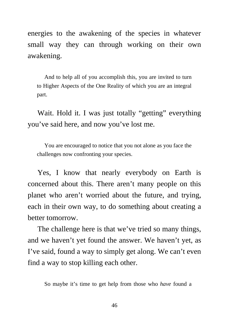energies to the awakening of the species in whatever small way they can through working on their own awakening.

And to help all of you accomplish this, you are invited to turn to Higher Aspects of the One Reality of which you are an integral part.

Wait. Hold it. I was just totally "getting" everything you've said here, and now you've lost me.

You are encouraged to notice that you not alone as you face the challenges now confronting your species.

Yes, I know that nearly everybody on Earth is concerned about this. There aren't many people on this planet who aren't worried about the future, and trying, each in their own way, to do something about creating a better tomorrow.

The challenge here is that we've tried so many things, and we haven't yet found the answer. We haven't yet, as I've said, found a way to simply get along. We can't even find a way to stop killing each other.

So maybe it's time to get help from those who *have* found a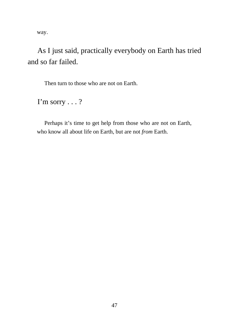way.

As I just said, practically everybody on Earth has tried and so far failed.

Then turn to those who are not on Earth.

I'm sorry . . . ?

Perhaps it's time to get help from those who are not on Earth, who know all about life on Earth, but are not *from* Earth.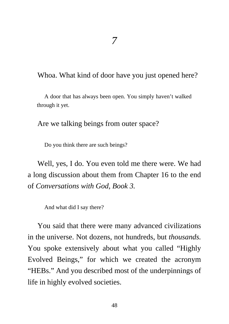### Whoa. What kind of door have you just opened here?

A door that has always been open. You simply haven't walked through it yet.

Are we talking beings from outer space?

Do you think there are such beings?

Well, yes, I do. You even told me there were. We had a long discussion about them from Chapter 16 to the end of *Conversations with God, Book 3.*

And what did I say there?

You said that there were many advanced civilizations in the universe. Not dozens, not hundreds, but *thousands.* You spoke extensively about what you called "Highly Evolved Beings, " for which we created the acronym "HEBs." And you described most of the underpinnings of life in highly evolved societies.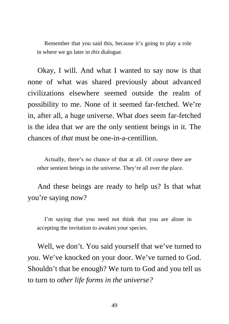Remember that you said this, because it's going to play a role in where we go later in *this* dialogue.

Okay, I will. And what I wanted to say now is that none of what was shared previously about advanced civilizations elsewhere seemed outside the realm of possibility to me. None of it seemed far-fetched. We're in, after all, a huge universe. What *does* seem far-fetched is the idea that *we* are the only sentient beings in it. The chances of *that* must be one-in-a-centillion.

Actually, there's no chance of that at all. Of *course* there are other sentient beings in the universe. They're all over the place.

And these beings are ready to help us? Is that what you're saying now?

I'm saying that you need not think that you are alone in accepting the invitation to awaken your species.

Well, we don't. You said yourself that we've turned to *you*. We've knocked on your door. We've turned to God. Shouldn't that be enough? We turn to God and you tell us to turn to *other life forms in the universe?*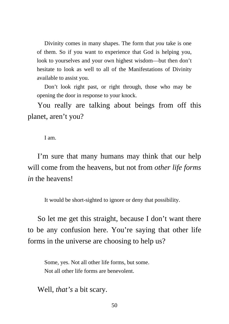Divinity comes in many shapes. The form that *you* take is one of them. So if you want to experience that God is helping you, look to yourselves and your own highest wisdom—but then don't hesitate to look as well to all of the Manifestations of Divinity available to assist you.

Don't look right past, or right through, those who may be opening the door in response to your knock.

You really are talking about beings from off this planet, aren't you?

I am.

I'm sure that many humans may think that our help will come from the heavens, but not from *other life forms in* the heavens!

It would be short-sighted to ignore or deny that possibility.

So let me get this straight, because I don't want there to be any confusion here. You're saying that other life forms in the universe are choosing to help us?

Some, yes. Not all other life forms, but some. Not all other life forms are benevolent.

Well, *that's* a bit scary.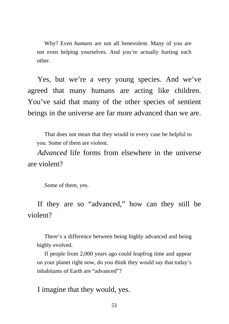Why? Even *humans* are not all benevolent. Many of you are not even helping yourselves. And you're actually hurting each other.

Yes, but we're a very young species. And we've agreed that many humans are acting like children. You've said that many of the other species of sentient beings in the universe are far more advanced than we are.

That does not mean that they would in every case be helpful to you. Some of them are violent.

*Advanced* life forms from elsewhere in the universe are violent?

Some of them, yes.

If they are so "advanced, " how can they still be violent?

There's a difference between being highly advanced and being highly evolved.

If people from 2,000 years ago could leapfrog time and appear on your planet right now, do you think they would say that today's inhabitants of Earth are "advanced"?

I imagine that they would, yes.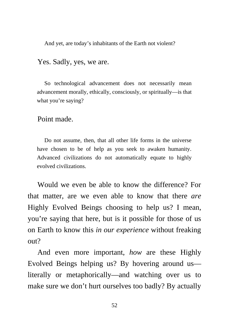And yet, are today's inhabitants of the Earth not violent?

Yes. Sadly, yes, we are.

So technological advancement does not necessarily mean advancement morally, ethically, consciously, or spiritually—is that what you're saying?

# Point made.

Do not assume, then, that all other life forms in the universe have chosen to be of help as you seek to awaken humanity. Advanced civilizations do not automatically equate to highly evolved civilizations.

Would we even be able to know the difference? For that matter, are we even able to know that there *are* Highly Evolved Beings choosing to help us? I mean, you're saying that here, but is it possible for those of us on Earth to know this *in our experience* without freaking out?

And even more important, *how* are these Highly Evolved Beings helping us? By hovering around us literally or metaphorically—and watching over us to make sure we don't hurt ourselves too badly? By actually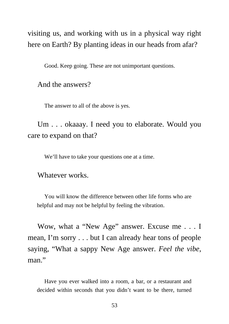visiting us, and working with us in a physical way right here on Earth? By planting ideas in our heads from afar?

Good. Keep going. These are not unimportant questions.

And the answers?

The answer to all of the above is yes.

Um . . . okaaay. I need you to elaborate. Would you care to expand on that?

We'll have to take your questions one at a time.

Whatever works.

You will know the difference between other life forms who are helpful and may not be helpful by feeling the vibration.

Wow, what a "New Age" answer. Excuse me . . . I mean, I'm sorry . . . but I can already hear tons of people saying, "What a sappy New Age answer. *Feel the vibe*, man."

Have you ever walked into a room, a bar, or a restaurant and decided within seconds that you didn't want to be there, turned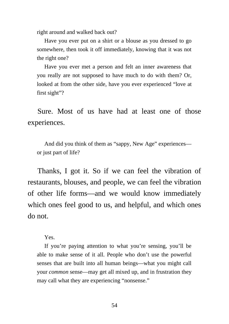right around and walked back out?

Have you ever put on a shirt or a blouse as you dressed to go somewhere, then took it off immediately, knowing that it was not the right one?

Have you ever met a person and felt an inner awareness that you really are not supposed to have much to do with them? Or, looked at from the other side, have you ever experienced "love at first sight"?

Sure. Most of us have had at least one of those experiences.

And did you think of them as "sappy, New Age" experiences or just part of life?

Thanks, I got it. So if we can feel the vibration of restaurants, blouses, and people, we can feel the vibration of other life forms—and we would know immediately which ones feel good to us, and helpful, and which ones do not.

Yes.

If you're paying attention to what you're sensing, you'll be able to make sense of it all. People who don't use the powerful senses that are built into all human beings—what you might call your *common* sense—may get all mixed up, and in frustration they may call what they are experiencing "nonsense."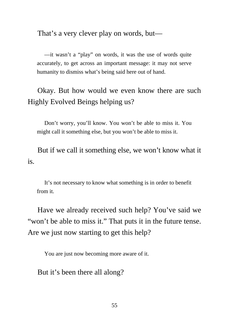That's a very clever play on words, but—

—it wasn't a "play" on words, it was the use of words quite accurately, to get across an important message: it may not serve humanity to dismiss what's being said here out of hand.

Okay. But how would we even know there are such Highly Evolved Beings helping us?

Don't worry, you'll know. You won't be able to miss it. You might call it something else, but you won't be able to miss it.

But if we call it something else, we won't know what it is.

It's not necessary to know what something is in order to benefit from it.

Have we already received such help? You've said we "won't be able to miss it." That puts it in the future tense. Are we just now starting to get this help?

You are just now becoming more aware of it.

But it's been there all along?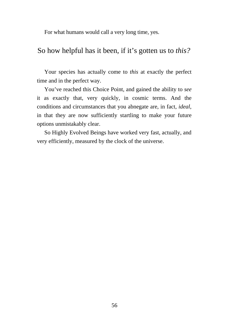For what humans would call a very long time, yes.

## So how helpful has it been, if it's gotten us to *this?*

Your species has actually come to *this* at exactly the perfect time and in the perfect way.

You've reached this Choice Point, and gained the ability to *see* it as exactly that, very quickly, in cosmic terms. And the conditions and circumstances that you abnegate are, in fact, *ideal*, in that they are now sufficiently startling to make your future options unmistakably clear.

So Highly Evolved Beings have worked very fast, actually, and very efficiently, measured by the clock of the universe.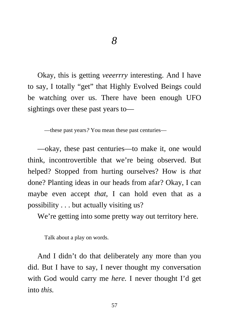Okay, this is getting *veeerrry* interesting. And I have to say, I totally "get" that Highly Evolved Beings could be watching over us. There have been enough UFO sightings over these past years to—

—these past years*?* You mean these past centuries—

—okay, these past centuries—to make it, one would think, incontrovertible that we're being observed. But helped? Stopped from hurting ourselves? How is *that* done? Planting ideas in our heads from afar? Okay, I can maybe even accept *that*, I can hold even that as a possibility . . . but actually visiting us?

We're getting into some pretty way out territory here.

Talk about a play on words.

And I didn't do that deliberately any more than you did. But I have to say, I never thought my conversation with God would carry me *here.* I never thought I'd get into *this.*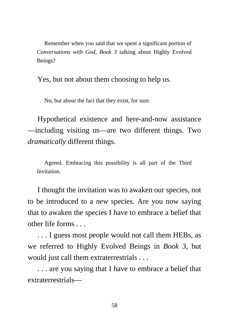Remember when you said that we spent a significant portion of *Conversations with God, Book 3* talking about Highly Evolved Beings?

Yes, but not about them choosing to help us.

No, but about the fact that they exist, for sure.

Hypothetical existence and here-and-now assistance —including visiting us—are two different things. Two *dramatically* different things.

Agreed. Embracing this possibility is all part of the Third Invitation.

I thought the invitation was to awaken our species, not to be introduced to a *new* species. Are you now saying that to awaken the species I have to embrace a belief that other life forms . . .

. . . I guess most people would not call them HEBs, as we referred to Highly Evolved Beings in *Book 3*, but would just call them extraterrestrials . . .

. . . are you saying that I have to embrace a belief that extraterrestrials—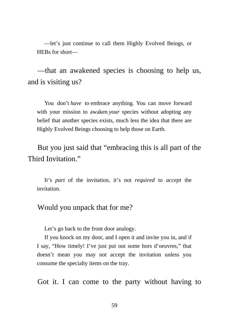—let's just continue to call them Highly Evolved Beings, or HEBs for short—

—that an awakened species is choosing to help us, and is visiting us?

You don't *have to* embrace anything. You can move forward with your mission to awaken *your* species without adopting any belief that another species exists, much less the idea that there are Highly Evolved Beings choosing to help those on Earth.

But you just said that "embracing this is all part of the Third Invitation."

It's *part* of the invitation, it's not *required* to *accept* the invitation.

Would you unpack that for me?

Let's go back to the front door analogy.

If you knock on my door, and I open it and invite you in, and if I say, "How timely! I've just put out some hors d'oeuvres," that doesn't mean you may not accept the invitation unless you consume the specialty items on the tray.

Got it. I can come to the party without having to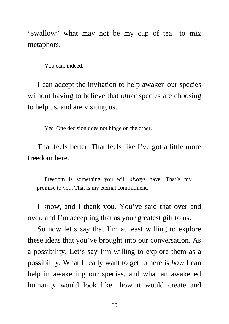"swallow" what may not be my cup of tea—to mix metaphors.

You can, indeed.

I can accept the invitation to help awaken our species without having to believe that *other* species are choosing to help us, and are visiting us.

Yes. One decision does not hinge on the other.

That feels better. That feels like I've got a little more freedom here.

Freedom is something you will *always* have. That's my promise to you. That is my eternal commitment.

I know, and I thank you. You've said that over and over, and I'm accepting that as your greatest gift to us.

So now let's say that I'm at least willing to explore these ideas that you've brought into our conversation. As a possibility. Let's say I'm willing to explore them as a possibility. What I really want to get to here is *how* I can help in awakening our species, and what an awakened humanity would look like—how it would create and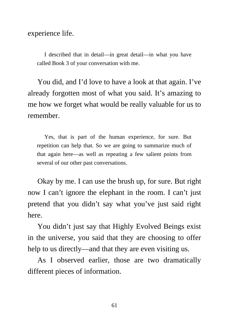experience life.

I described that in detail—in great detail—in what you have called Book 3 of your conversation with me.

You did, and I'd love to have a look at that again. I've already forgotten most of what you said. It's amazing to me how we forget what would be really valuable for us to remember.

Yes, that is part of the human experience, for sure. But repetition can help that. So we are going to summarize much of that again here—as well as repeating a few salient points from several of our other past conversations.

Okay by me. I can use the brush up, for sure. But right now I can't ignore the elephant in the room. I can't just pretend that you didn't say what you've just said right here.

You didn't just say that Highly Evolved Beings exist in the universe, you said that they are choosing to offer help to us directly—and that they are even visiting us.

As I observed earlier, those are two dramatically different pieces of information.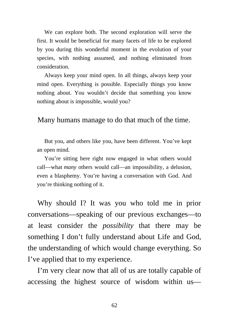We can explore both. The second exploration will serve the first. It would be beneficial for many facets of life to be explored by you during this wonderful moment in the evolution of your species, with nothing assumed, and nothing eliminated from consideration.

Always keep your mind open. In all things, always keep your mind open. Everything is possible. Especially things you know nothing about. You wouldn't decide that something you know nothing about is impossible, would you?

#### Many humans manage to do that much of the time.

But you, and others like you, have been different. You've kept an open mind.

You're sitting here right now engaged in what others would call—what *many* others would call—an impossibility, a delusion, even a blasphemy. You're having a conversation with God. And you're thinking nothing of it.

Why should I? It was you who told me in prior conversations—speaking of our previous exchanges—to at least consider the *possibility* that there may be something I don't fully understand about Life and God, the understanding of which would change everything. So I've applied that to my experience.

I'm very clear now that all of us are totally capable of accessing the highest source of wisdom within us—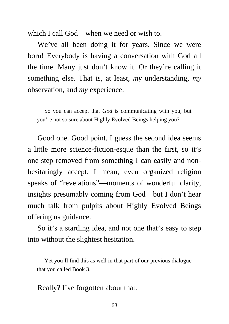which I call God—when we need or wish to.

We've all been doing it for years. Since we were born! Everybody is having a conversation with God all the time. Many just don't know it. Or they're calling it something else. That is, at least, *my* understanding, *my* observation, and *my* experience.

So you can accept that *God* is communicating with you, but you're not so sure about Highly Evolved Beings helping you?

Good one. Good point. I guess the second idea seems a little more science-fiction-esque than the first, so it's one step removed from something I can easily and nonhesitatingly accept. I mean, even organized religion speaks of "revelations"—moments of wonderful clarity, insights presumably coming from God—but I don't hear much talk from pulpits about Highly Evolved Beings offering us guidance.

So it's a startling idea, and not one that's easy to step into without the slightest hesitation.

Yet you'll find this as well in that part of our previous dialogue that you called Book 3.

Really? I've forgotten about that.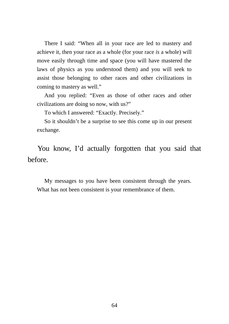There I said: "When all in your race are led to mastery and achieve it, then your race as a whole (for your race *is* a whole) will move easily through time and space (you will have mastered the laws of physics as you understood them) and you will seek to assist those belonging to other races and other civilizations in coming to mastery as well."

And you replied: "Even as those of other races and other civilizations are doing so now, with us?"

To which I answered: "Exactly. Precisely."

So it shouldn't be a surprise to see this come up in our present exchange.

You know, I'd actually forgotten that you said that before.

My messages to you have been consistent through the years. What has not been consistent is your remembrance of them.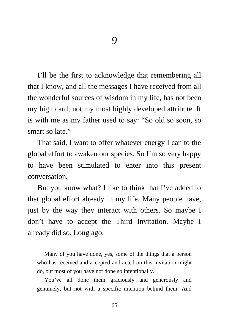I'll be the first to acknowledge that remembering all that I know, and all the messages I have received from all the wonderful sources of wisdom in my life, has not been my high card; not my most highly developed attribute. It is with me as my father used to say: "So old so soon, so smart so late."

That said, I want to offer whatever energy I can to the global effort to awaken our species. So I'm so very happy to have been stimulated to enter into this present conversation.

But you know what? I like to think that I've added to that global effort already in my life. Many people have, just by the way they interact with others. So maybe I don't have to accept the Third Invitation. Maybe I already did so. Long ago.

Many of you have done, yes, some of the things that a person who has received and accepted and acted on this invitation might do, but most of you have not done so intentionally.

You've all done them graciously and generously and genuinely, but not with a specific intention behind them. And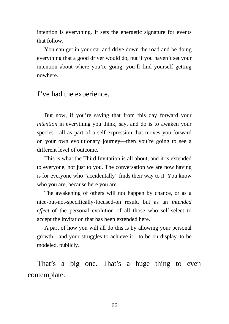intention is everything. It sets the energetic signature for events that follow.

You can get in your car and drive down the road and be doing everything that a good driver would do, but if you haven't set your intention about where you're going, you'll find yourself getting nowhere.

### I've had the experience.

But now, if you're saying that from this day forward your *intention* in everything you think, say, and do is to awaken your species—all as part of a self-expression that moves you forward on your own evolutionary journey—then you're going to see a different level of outcome.

This is what the Third Invitation is all about, and it is extended to everyone, not just to you. The conversation we are now having is for everyone who "accidentally" finds their way to it. You know who you are, because here you are.

The awakening of others will not happen by chance, or as a nice-but-not-specifically-focused-on result, but as an *intended effect* of the personal evolution of all those who self-select to accept the invitation that has been extended here.

A part of how you will all do this is by allowing your personal growth—and your struggles to achieve it—to be on display, to be modeled, publicly.

That's a big one. That's a huge thing to even contemplate.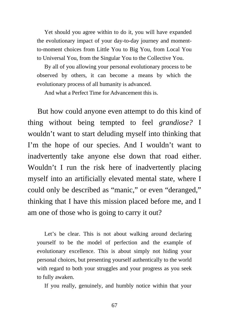Yet should you agree within to do it, you will have expanded the evolutionary impact of your day-to-day journey and momentto-moment choices from Little You to Big You, from Local You to Universal You, from the Singular You to the Collective You.

By all of you allowing your personal evolutionary process to be observed by others, it can become a means by which the evolutionary process of all humanity is advanced.

And what a Perfect Time for Advancement this is.

But how could anyone even attempt to do this kind of thing without being tempted to feel *grandiose?* I wouldn't want to start deluding myself into thinking that I'm the hope of our species. And I wouldn't want to inadvertently take anyone else down that road either. Wouldn't I run the risk here of inadvertently placing myself into an artificially elevated mental state, where I could only be described as "manic, " or even "deranged, " thinking that I have this mission placed before me, and I am one of those who is going to carry it out?

Let's be clear. This is not about walking around declaring yourself to be the model of perfection and the example of evolutionary excellence. This is about simply not hiding your personal choices, but presenting yourself authentically to the world with regard to both your struggles and your progress as you seek to fully awaken.

If you really, genuinely, and humbly notice within that your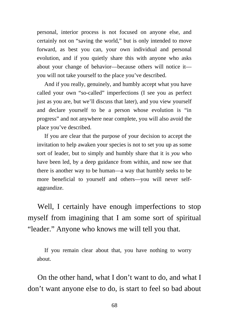personal, interior process is not focused on anyone else, and certainly not on "saving the world," but is only intended to move forward, as best you can, your own individual and personal evolution, and if you quietly share this with anyone who asks about your change of behavior—because others will notice it you will not take yourself to the place you've described.

And if you really, genuinely, and humbly accept what you have called your own "so-called" imperfections (I see you as perfect just as you are, but we'll discuss that later), and you view yourself and declare yourself to be a person whose evolution is "in progress" and not anywhere near complete, you will also avoid the place you've described.

If you are clear that the purpose of your decision to accept the invitation to help awaken your species is not to set you up as some sort of leader, but to simply and humbly share that it is *you* who have been led, by a deep guidance from within, and now see that there is another way to be human—a way that humbly seeks to be more beneficial to yourself and others—you will never selfaggrandize.

Well, I certainly have enough imperfections to stop myself from imagining that I am some sort of spiritual "leader." Anyone who knows me will tell you that.

If you remain clear about that, you have nothing to worry about.

On the other hand, what I don't want to do, and what I don't want anyone else to do, is start to feel so bad about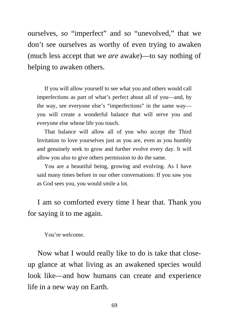ourselves, *so* "imperfect" and *so* "unevolved, " that we don't see ourselves as worthy of even trying to awaken (much less accept that we *are* awake)—to say nothing of helping to awaken others.

If you will allow yourself to see what you and others would call imperfections as part of what's perfect about all of you—and, by the way, see everyone else's "imperfections" in the same way you will create a wonderful balance that will serve you and everyone else whose life you touch.

That balance will allow all of you who accept the Third Invitation to love yourselves just as you are, even as you humbly and genuinely seek to grow and further evolve every day. It will allow you also to give others permission to do the same.

You are a beautiful being, growing and evolving. As I have said many times before in our other conversations: If you saw you as God sees you, you would smile a lot.

I am so comforted every time I hear that. Thank you for saying it to me again.

You're welcome.

Now what I would really like to do is take that closeup glance at what living as an awakened species would look like—and how humans can create and experience life in a new way on Earth.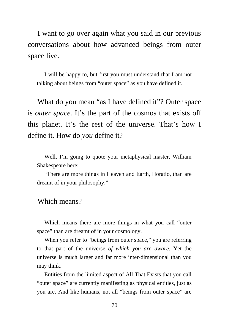I want to go over again what you said in our previous conversations about how advanced beings from outer space live.

I will be happy to, but first you must understand that I am not talking about beings from "outer space" as you have defined it.

What do you mean "as I have defined it"? Outer space is *outer space.* It's the part of the cosmos that exists off this planet. It's the rest of the universe. That's how I define it. How do *you* define it?

Well, I'm going to quote your metaphysical master, William Shakespeare here:

"There are more things in Heaven and Earth, Horatio, than are dreamt of in your philosophy."

### Which means?

Which means there are more things in what you call "outer space" than are dreamt of in your cosmology.

When you refer to "beings from outer space," you are referring to that part of the universe *of which you are aware.* Yet the universe is much larger and far more inter-dimensional than you may think.

Entities from the limited aspect of All That Exists that you call "outer space" are currently manifesting as physical entities, just as you are. And like humans, not all "beings from outer space" are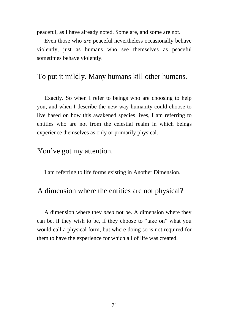peaceful, as I have already noted. Some are, and some are not.

Even those who *are* peaceful nevertheless occasionally behave violently, just as humans who see themselves as peaceful sometimes behave violently.

### To put it mildly. Many humans kill other humans*.*

Exactly. So when I refer to beings who are choosing to help you, and when I describe the new way humanity could choose to live based on how this awakened species lives, I am referring to entities who are not from the celestial realm in which beings experience themselves as only or primarily physical.

# You've got my attention.

I am referring to life forms existing in Another Dimension.

#### A dimension where the entities are not physical?

A dimension where they *need* not be. A dimension where they can be, if they wish to be, if they choose to "take on" what you would call a physical form, but where doing so is not required for them to have the experience for which all of life was created.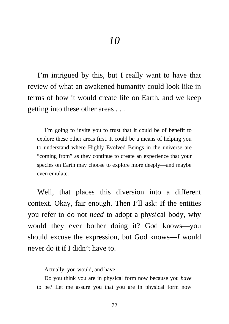I'm intrigued by this, but I really want to have that review of what an awakened humanity could look like in terms of how it would create life on Earth, and we keep getting into these other areas . . .

I'm going to invite you to trust that it could be of benefit to explore these other areas first. It could be a means of helping you to understand where Highly Evolved Beings in the universe are "coming from" as they continue to create an experience that your species on Earth may choose to explore more deeply—and maybe even emulate.

Well, that places this diversion into a different context. Okay, fair enough. Then I'll ask: If the entities you refer to do not *need* to adopt a physical body, why would they ever bother doing it? God knows—you should excuse the expression, but God knows—*I* would never do it if I didn't have to.

Actually, you would, and have.

Do you think you are in physical form now because you *have* to be? Let me assure you that you are in physical form now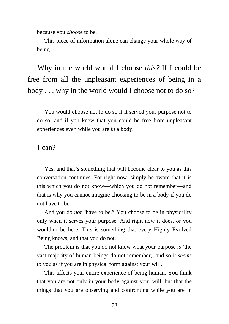because you *choose* to be.

This piece of information alone can change your whole way of being.

Why in the world would I choose *this?* If I could be free from all the unpleasant experiences of being in a body . . . why in the world would I choose not to do so?

You would choose not to do so if it served your purpose not to do so, and if you knew that you could be free from unpleasant experiences even while you are *in* a body.

### I can?

Yes, and that's something that will become clear to you as this conversation continues. For right now, simply be aware that it is this which you do not know—which you do not remember—and that is why you cannot imagine choosing to be in a body if you do not have to be.

And you do *not* "have to be." You choose to be in physicality only when it serves your purpose. And right now it does, or you wouldn't be here. This is something that every Highly Evolved Being knows, and that you do not.

The problem is that you do not know what your purpose *is* (the vast majority of human beings do not remember), and so it *seems* to you as if you are in physical form against your will.

This affects your entire experience of being human. You think that you are not only in your body against your will, but that the things that you are observing and confronting while you are in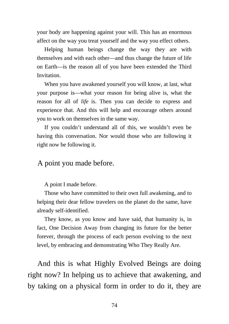your body are happening against your will. This has an enormous affect on the way you treat yourself and the way you effect others.

Helping human beings change the way they are with themselves and with each other—and thus change the future of life on Earth—is the reason all of you have been extended the Third Invitation.

When you have awakened yourself you will know, at last, what your purpose is—what your reason for being alive is, what the reason for all of *life* is. Then you can decide to express and experience that. And this will help and encourage others around you to work on themselves in the same way.

If you couldn't understand all of this, we wouldn't even be having this conversation. Nor would those who are following it right now be following it.

### A point you made before.

A point I made before.

Those who have committed to their own full awakening, and to helping their dear fellow travelers on the planet do the same, have already self-identified.

They know, as you know and have said, that humanity is, in fact, One Decision Away from changing its future for the better forever, through the process of each person evolving to the next level, by embracing and demonstrating Who They Really Are.

And this is what Highly Evolved Beings are doing right now? In helping us to achieve that awakening, and by taking on a physical form in order to do it, they are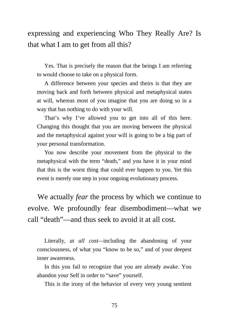# expressing and experiencing Who They Really Are? Is that what I am to get from all this?

Yes. That is precisely the reason that the beings I am referring to would choose to take on a physical form.

A difference between your species and theirs is that they are moving back and forth between physical and metaphysical states at will, whereas most of you imagine that you are doing so in a way that has nothing to do with your will.

That's why I've allowed you to get into all of this here. Changing this thought that you are moving between the physical and the metaphysical against your will is going to be a big part of your personal transformation.

You now describe your movement from the physical to the metaphysical with the term "death," and you have it in your mind that this is the worst thing that could ever happen to you. Yet this event is merely one step in your ongoing evolutionary process.

We actually *fear* the process by which we continue to evolve. We profoundly fear disembodiment—what we call "death"—and thus seek to avoid it at all cost.

Literally, *at all cost—*including the abandoning of your consciousness, of what you "know to be so," and of your deepest inner awareness.

In this you fail to recognize that you are already awake. You abandon your Self in order to "save" yourself.

This is the irony of the behavior of every very young sentient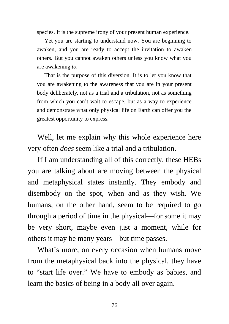species. It is the supreme irony of your present human experience.

Yet you are starting to understand now. You are beginning to awaken, and you are ready to accept the invitation to awaken others. But you cannot awaken others unless you know what you are awakening *to.*

That is the purpose of this diversion. It is to let you know that you are awakening to the awareness that you are in your present body deliberately, not as a trial and a tribulation, not as something from which you can't wait to escape, but as a way to experience and demonstrate what only physical life on Earth can offer you the greatest opportunity to express.

Well, let me explain why this whole experience here very often *does* seem like a trial and a tribulation.

If I am understanding all of this correctly, these HEBs you are talking about are moving between the physical and metaphysical states instantly. They embody and disembody on the spot, when and as they wish. We humans, on the other hand, seem to be required to go through a period of time in the physical—for some it may be very short, maybe even just a moment, while for others it may be many years—but time passes.

What's more, on every occasion when humans move from the metaphysical back into the physical, they have to "start life over." We have to embody as babies, and learn the basics of being in a body all over again.

76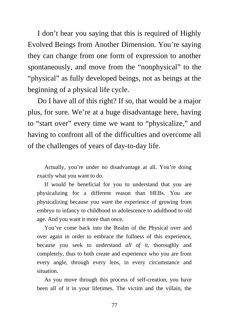I don't hear you saying that this is required of Highly Evolved Beings from Another Dimension. You're saying they can change from one form of expression to another spontaneously, and move from the "nonphysical" to the "physical" as fully developed beings, not as beings at the beginning of a physical life cycle.

Do I have all of this right? If so, that would be a major plus, for sure. We're at a huge disadvantage here, having to "start over" every time we want to "physicalize, " and having to confront all of the difficulties and overcome all of the challenges of years of day-to-day life.

Actually, you're under no disadvantage at all. You're doing exactly what you want to do.

If would be beneficial for you to understand that you are physicalizing for a different reason than HEBs. You are physicalizing because you *want* the experience of growing from embryo to infancy to childhood to adolescence to adulthood to old age. And you want it more than once.

You've come back into the Realm of the Physical over and over again in order to embrace the fullness of this experience, because you seek to understand *all of it,* thoroughly and completely, thus to both create and experience who you are from every angle, through every lens, in every circumstance and situation.

As you move through this process of self-creation, you have been all of it in your lifetimes. The victim and the villain, the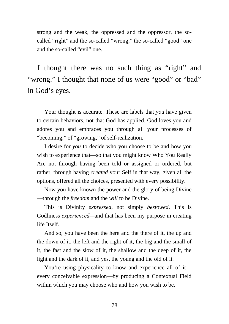strong and the weak, the oppressed and the oppressor, the socalled "right" and the so-called "wrong," the so-called "good" one and the so-called "evil" one.

I thought there was no such thing as "right" and "wrong." I thought that none of us were "good" or "bad" in God's eyes.

Your thought is accurate. These are labels that *you* have given to certain behaviors, not that God has applied. God loves you and adores you and embraces you through all your processes of "becoming," of "growing," of self-realization.

I desire for *you* to decide who you choose to be and how you wish to experience that—so that you might know Who You Really Are not through having been told or assigned or ordered, but rather, through having *created* your Self in that way, given all the options, offered all the choices, presented with every possibility.

Now you have known the power and the glory of being Divine —through the *freedom* and the *will* to be Divine.

This is Divinity *expressed*, not simply *bestowed*. This is Godliness *experienced—*and that has been my purpose in creating life Itself.

And so, you have been the here and the there of it, the up and the down of it, the left and the right of it, the big and the small of it, the fast and the slow of it, the shallow and the deep of it, the light and the dark of it, and yes, the young and the old of it.

You're using physicality to know and experience all of it every conceivable expression—by producing a Contextual Field within which you may choose who and how you wish to be.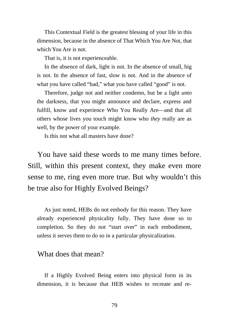This Contextual Field is the greatest blessing of your life in this dimension, because in the absence of That Which You Are Not, that which You Are is not.

That is, it is not experienceable.

In the absence of dark, light is not. In the absence of small, big is not. In the absence of fast, slow is not. And in the absence of what you have called "bad," what you have called "good" is not.

Therefore, judge not and neither condemn, but be a light *unto* the darkness, that you might announce and declare, express and fulfill, know and experience Who You Really Are—and that all others whose lives you touch might know who *they* really are as well, by the power of your example.

Is this not what all masters have done?

You have said these words to me many times before. Still, within this present context, they make even more sense to me, ring even more true. But why wouldn't this be true also for Highly Evolved Beings?

As just noted, HEBs do not embody for this reason. They have already experienced physicality fully. They have done so to completion. So they do not "start over" in each embodiment, unless it serves them to do so in a particular physicalization.

### What does that mean?

If a Highly Evolved Being enters into physical form in its dimension, it is because that HEB wishes to recreate and re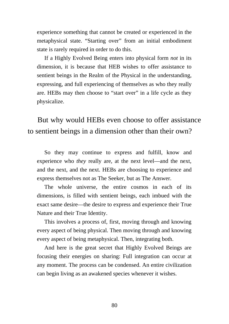experience something that cannot be created or experienced in the metaphysical state. "Starting over" from an initial embodiment state is rarely required in order to do this.

If a Highly Evolved Being enters into physical form *not* in its dimension, it is because that HEB wishes to offer assistance to sentient beings in the Realm of the Physical in the understanding, expressing, and full experiencing of themselves as who they really are. HEBs may then choose to "start over" in a life cycle as they physicalize.

But why would HEBs even choose to offer assistance to sentient beings in a dimension other than their own?

So they may continue to express and fulfill, know and experience who *they* really are, at the next level—and the next, and the next, and the next. HEBs are choosing to experience and express themselves not as The Seeker, but as The Answer.

The whole universe, the entire cosmos in each of its dimensions, is filled with sentient beings, each imbued with the exact same desire—the desire to express and experience their True Nature and their True Identity.

This involves a process of, first, moving through and knowing every aspect of being physical. Then moving through and knowing every aspect of being metaphysical. Then, integrating both.

And here is the great secret that Highly Evolved Beings are focusing their energies on sharing: Full integration can occur at any moment. The process can be condensed. An entire civilization can begin living as an awakened species whenever it wishes.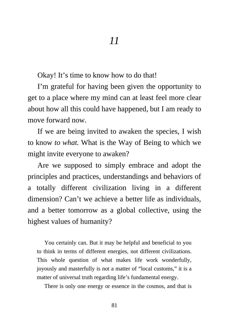Okay! It's time to know how to do that!

I'm grateful for having been given the opportunity to get to a place where my mind can at least feel more clear about how all this could have happened, but I am ready to move forward now.

If we are being invited to awaken the species, I wish to know *to what.* What is the Way of Being to which we might invite everyone to awaken?

Are we supposed to simply embrace and adopt the principles and practices, understandings and behaviors of a totally different civilization living in a different dimension? Can't we achieve a better life as individuals, and a better tomorrow as a global collective, using the highest values of humanity?

You certainly can. But it may be helpful and beneficial to you to think in terms of different energies, not different civilizations. This whole question of what makes life work wonderfully, joyously and masterfully is not a matter of "local customs," it is a matter of universal truth regarding life's fundamental energy.

There is only one energy or essence in the cosmos, and that is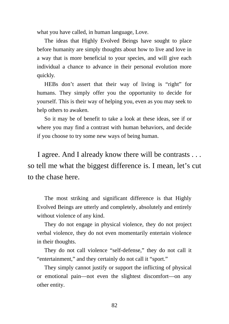what you have called, in human language, Love.

The ideas that Highly Evolved Beings have sought to place before humanity are simply thoughts about how to live and love in a way that is more beneficial to your species, and will give each individual a chance to advance in their personal evolution more quickly.

HEBs don't assert that their way of living is "right" for humans. They simply offer you the opportunity to decide for yourself. This is their way of helping you, even as you may seek to help others to awaken.

So it may be of benefit to take a look at these ideas, see if or where you may find a contrast with human behaviors, and decide if you choose to try some new ways of being human.

I agree. And I already know there will be contrasts . . . so tell me what the biggest difference is. I mean, let's cut to the chase here.

The most striking and significant difference is that Highly Evolved Beings are utterly and completely, absolutely and entirely without violence of any kind.

They do not engage in physical violence, they do not project verbal violence, they do not even momentarily entertain violence in their thoughts.

They do not call violence "self-defense," they do not call it "entertainment," and they certainly do not call it "sport."

They simply cannot justify or support the inflicting of physical or emotional pain—not even the slightest discomfort—on any other entity.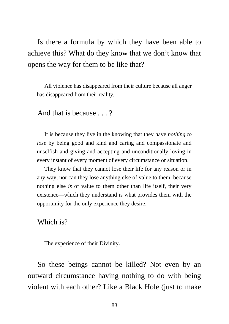Is there a formula by which they have been able to achieve this? What do they know that we don't know that opens the way for them to be like that?

All violence has disappeared from their culture because all anger has disappeared from their reality.

And that is because . . . ?

It is because they live in the knowing that they have *nothing to lose* by being good and kind and caring and compassionate and unselfish and giving and accepting and unconditionally loving in every instant of every moment of every circumstance or situation.

They know that they cannot lose their life for any reason or in any way, nor can they lose anything else of value to them, because nothing else *is* of value to them other than life itself, their very existence—which they understand is what provides them with the opportunity for the only experience they desire.

#### Which is?

The experience of their Divinity.

So these beings cannot be killed? Not even by an outward circumstance having nothing to do with being violent with each other? Like a Black Hole (just to make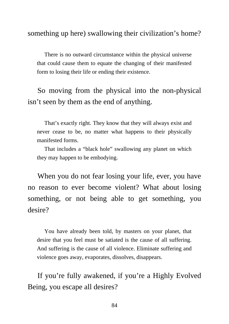## something up here) swallowing their civilization's home?

There is no outward circumstance within the physical universe that could cause them to equate the changing of their manifested form to losing their life or ending their existence.

So moving from the physical into the non-physical isn't seen by them as the end of anything.

That's exactly right. They know that they will always exist and never cease to be, no matter what happens to their physically manifested forms.

That includes a "black hole" swallowing any planet on which they may happen to be embodying.

When you do not fear losing your life, ever, you have no reason to ever become violent? What about losing something, or not being able to get something, you desire?

You have already been told, by masters on your planet, that desire that you feel must be satiated is the cause of all suffering. And suffering is the cause of all violence. Eliminate suffering and violence goes away, evaporates, dissolves, disappears.

If you're fully awakened, if you're a Highly Evolved Being, you escape all desires?

84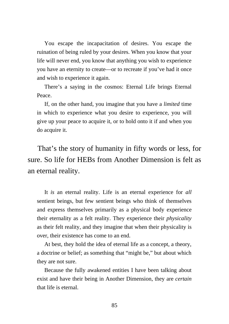You escape the incapacitation of desires. You escape the ruination of being ruled by your desires. When you know that your life will never end, you know that anything you wish to experience you have an eternity to create—or to recreate if you've had it once and wish to experience it again.

There's a saying in the cosmos: Eternal Life brings Eternal Peace.

If, on the other hand, you imagine that you have a *limited* time in which to experience what you desire to experience, you will give up your peace to acquire it, or to hold onto it if and when you do acquire it.

That's the story of humanity in fifty words or less, for sure. So life for HEBs from Another Dimension is felt as an eternal reality.

It *is* an eternal reality. Life is an eternal experience for *all* sentient beings, but few sentient beings who think of themselves and express themselves primarily as a physical body experience their eternality as a felt reality. They experience their *physicality* as their felt reality, and they imagine that when their physicality is over, their existence has come to an end.

At best, they hold the idea of eternal life as a concept, a theory, a doctrine or belief; as something that "might be," but about which they are not sure.

Because the fully awakened entities I have been talking about exist and have their being in Another Dimension, they are *certain* that life is eternal.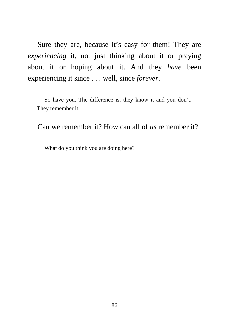Sure they are, because it's easy for them! They are *experiencing* it, not just thinking about it or praying about it or hoping about it. And they *have* been experiencing it since . . . well, since *forever*.

So have you. The difference is, they know it and you don't. They remember it.

Can we remember it? How can all of *us* remember it?

What do you think you are doing here?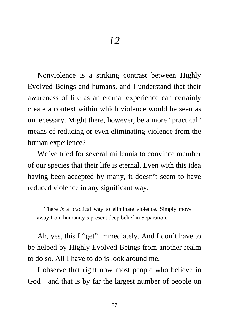Nonviolence is a striking contrast between Highly Evolved Beings and humans, and I understand that their awareness of life as an eternal experience can certainly create a context within which violence would be seen as unnecessary. Might there, however, be a more "practical" means of reducing or even eliminating violence from the human experience?

We've tried for several millennia to convince member of our species that their life is eternal. Even with this idea having been accepted by many, it doesn't seem to have reduced violence in any significant way.

There *is* a practical way to eliminate violence. Simply move away from humanity's present deep belief in Separation.

Ah, yes, this I "get" immediately. And I don't have to be helped by Highly Evolved Beings from another realm to do so. All I have to do is look around me.

I observe that right now most people who believe in God—and that is by far the largest number of people on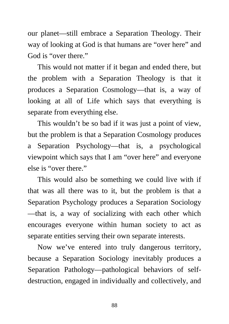our planet—still embrace a Separation Theology. Their way of looking at God is that humans are "over here" and God is "over there."

This would not matter if it began and ended there, but the problem with a Separation Theology is that it produces a Separation Cosmology—that is, a way of looking at all of Life which says that everything is separate from everything else.

This wouldn't be so bad if it was just a point of view, but the problem is that a Separation Cosmology produces a Separation Psychology—that is, a psychological viewpoint which says that I am "over here" and everyone else is "over there."

This would also be something we could live with if that was all there was to it, but the problem is that a Separation Psychology produces a Separation Sociology —that is, a way of socializing with each other which encourages everyone within human society to act as separate entities serving their own separate interests.

Now we've entered into truly dangerous territory, because a Separation Sociology inevitably produces a Separation Pathology—pathological behaviors of selfdestruction, engaged in individually and collectively, and

88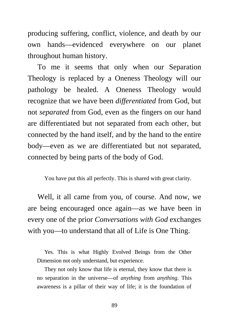producing suffering, conflict, violence, and death by our own hands—evidenced everywhere on our planet throughout human history.

To me it seems that only when our Separation Theology is replaced by a Oneness Theology will our pathology be healed. A Oneness Theology would recognize that we have been *differentiated* from God, but not *separated* from God, even as the fingers on our hand are differentiated but not separated from each other, but connected by the hand itself, and by the hand to the entire body—even as we are differentiated but not separated, connected by being parts of the body of God.

You have put this all perfectly. This is shared with great clarity.

Well, it all came from you, of course. And now, we are being encouraged once again—as we have been in every one of the prior *Conversations with God* exchanges with you—to understand that all of Life is One Thing.

Yes. This is what Highly Evolved Beings from the Other Dimension not only understand, but experience.

They not only know that life is eternal, they know that there is no separation in the universe—of *anything* from *anything*. This awareness is a pillar of their way of life; it is the foundation of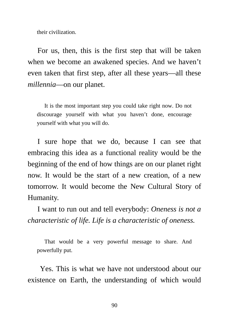their civilization.

For us, then, this is the first step that will be taken when we become an awakened species. And we haven't even taken that first step, after all these years—all these *millennia*—on our planet.

It is the most important step you could take right now. Do not discourage yourself with what you haven't done, encourage yourself with what you will do.

I sure hope that we do, because I can see that embracing this idea as a functional reality would be the beginning of the end of how things are on our planet right now. It would be the start of a new creation, of a new tomorrow. It would become the New Cultural Story of Humanity.

I want to run out and tell everybody: *Oneness is not a characteristic of life. Life is a characteristic of oneness.*

That would be a very powerful message to share. And powerfully put.

Yes. This is what we have not understood about our existence on Earth, the understanding of which would

90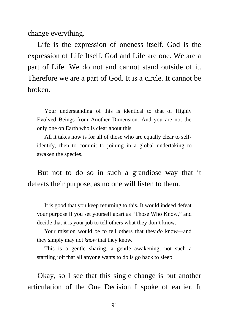change everything.

Life is the expression of oneness itself. God is the expression of Life Itself. God and Life are one. We are a part of Life. We do not and cannot stand outside of it. Therefore we are a part of God. It is a circle. It cannot be broken.

Your understanding of this is identical to that of Highly Evolved Beings from Another Dimension. And you are not the only one on Earth who is clear about this.

All it takes now is for all of those who are equally clear to selfidentify, then to commit to joining in a global undertaking to awaken the species.

But not to do so in such a grandiose way that it defeats their purpose, as no one will listen to them.

It is good that you keep returning to this. It would indeed defeat your purpose if you set yourself apart as "Those Who Know," and decide that it is your job to tell others what they don't know.

Your mission would be to tell others that they *do* know—and they simply may not *know* that they know.

This is a gentle sharing, a gentle awakening, not such a startling jolt that all anyone wants to do is go back to sleep.

Okay, so I see that this single change is but another articulation of the One Decision I spoke of earlier. It

91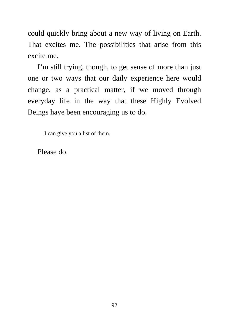could quickly bring about a new way of living on Earth. That excites me. The possibilities that arise from this excite me.

I'm still trying, though, to get sense of more than just one or two ways that our daily experience here would change, as a practical matter, if we moved through everyday life in the way that these Highly Evolved Beings have been encouraging us to do.

I can give you a list of them.

Please do.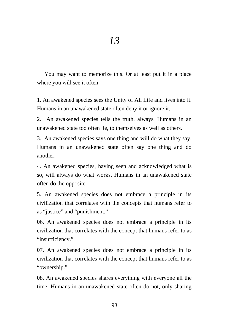You may want to memorize this. Or at least put it in a place where you will see it often.

1. An awakened species sees the Unity of All Life and lives into it. Humans in an unawakened state often deny it or ignore it.

2. An awakened species tells the truth, always*.* Humans in an unawakened state too often lie, to themselves as well as others.

3. An awakened species says one thing and will do what they say. Humans in an unawakened state often say one thing and do another.

4. An awakened species, having seen and acknowledged what is so, will always do what works. Humans in an unawakened state often do the opposite.

5. An awakened species does not embrace a principle in its civilization that correlates with the concepts that humans refer to as "justice" and "punishment."

**0**6. An awakened species does not embrace a principle in its civilization that correlates with the concept that humans refer to as "insufficiency."

**0**7. An awakened species does not embrace a principle in its civilization that correlates with the concept that humans refer to as "ownership."

**0**8. An awakened species shares everything with everyone all the time. Humans in an unawakened state often do not, only sharing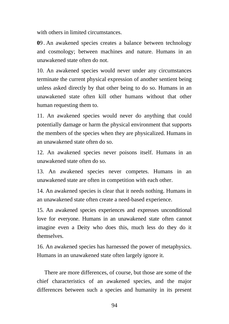with others in limited circumstances.

**0**9 . An awakened species creates a balance between technology and cosmology; between machines and nature. Humans in an unawakened state often do not.

10. An awakened species would never under any circumstances terminate the current physical expression of another sentient being unless asked directly by that other being to do so. Humans in an unawakened state often kill other humans without that other human requesting them to.

11. An awakened species would never do anything that could potentially damage or harm the physical environment that supports the members of the species when they are physicalized. Humans in an unawakened state often do so.

12. An awakened species never poisons itself. Humans in an unawakened state often do so.

13. An awakened species never competes. Humans in an unawakened state are often in competition with each other.

14. An awakened species is clear that it needs nothing. Humans in an unawakened state often create a need-based experience.

15. An awakened species experiences and expresses unconditional love for everyone. Humans in an unawakened state often cannot imagine even a Deity who does this, much less do they do it themselves.

16. An awakened species has harnessed the power of metaphysics. Humans in an unawakened state often largely ignore it.

There are more differences, of course, but those are some of the chief characteristics of an awakened species, and the major differences between such a species and humanity in its present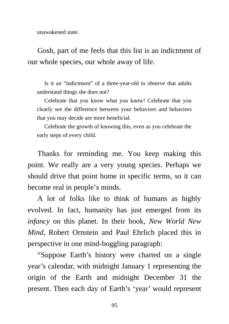unawakened state.

Gosh, part of me feels that this list is an indictment of our whole species, our whole away of life.

Is it an "indictment" of a three-year-old to observe that adults understand things she does not?

Celebrate that you know what you know! Celebrate that you clearly see the difference between your behaviors and behaviors that you may decide are more beneficial.

Celebrate the growth of knowing this, even as you celebrate the early steps of every child.

Thanks for reminding me. You keep making this point. We really are a very young species. Perhaps we should drive that point home in specific terms, so it can become real in people's minds.

A lot of folks like to think of humans as highly evolved. In fact, humanity has just emerged from its *infancy* on this planet. In their book, *New World New Mind,* Robert Ornstein and Paul Ehrlich placed this in perspective in one mind-boggling paragraph:

"Suppose Earth's history were charted on a single year's calendar, with midnight January 1 representing the origin of the Earth and midnight December 31 the present. Then each day of Earth's 'year' would represent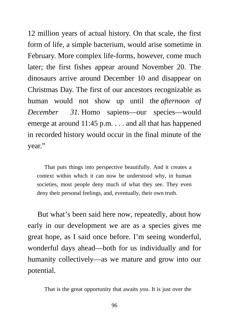12 million years of actual history. On that scale, the first form of life, a simple bacterium, would arise sometime in February. More complex life-forms, however, come much later; the first fishes appear around November 20. The dinosaurs arrive around December 10 and disappear on Christmas Day. The first of our ancestors recognizable as human would not show up until the *afternoon of December 31.* Homo sapiens—our species—would emerge at around 11:45 p.m. . . . and all that has happened in recorded history would occur in the final minute of the year."

That puts things into perspective beautifully. And it creates a context within which it can now be understood why, in human societies, most people deny much of what they see. They even deny their personal feelings, and, eventually, their own truth.

But what's been said here now, repeatedly, about how early in our development we are as a species gives me great hope, as I said once before. I'm seeing wonderful, wonderful days ahead—both for us individually and for humanity collectively—as we mature and grow into our potential.

That is the great opportunity that awaits you. It is just over the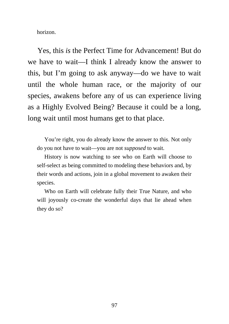horizon.

Yes, this *is* the Perfect Time for Advancement! But do we have to wait—I think I already know the answer to this, but I'm going to ask anyway—do we have to wait until the whole human race, or the majority of our species, awakens before any of us can experience living as a Highly Evolved Being? Because it could be a long, long wait until most humans get to that place.

You're right, you do already know the answer to this. Not only do you not have to wait—you are not *supposed* to wait.

History is now watching to see who on Earth will choose to self-select as being committed to modeling these behaviors and, by their words and actions, join in a global movement to awaken their species.

Who on Earth will celebrate fully their True Nature, and who will joyously co-create the wonderful days that lie ahead when they do so?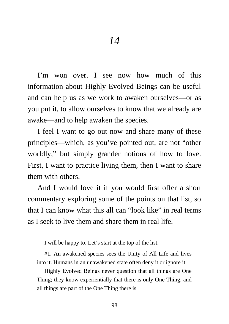I'm won over. I see now how much of this information about Highly Evolved Beings can be useful and can help us as we work to awaken ourselves—or as you put it, to allow ourselves to know that we already are awake—and to help awaken the species.

I feel I want to go out now and share many of these principles—which, as you've pointed out, are not "other worldly, " but simply grander notions of how to love. First, I want to practice living them, then I want to share them with others.

And I would love it if you would first offer a short commentary exploring some of the points on that list, so that I can know what this all can "look like" in real terms as I seek to live them and share them in real life.

I will be happy to. Let's start at the top of the list.

#1. An awakened species sees the Unity of All Life and lives into it. Humans in an unawakened state often deny it or ignore it.

Highly Evolved Beings never question that all things are One Thing; they know experientially that there is only One Thing, and all things are part of the One Thing there is.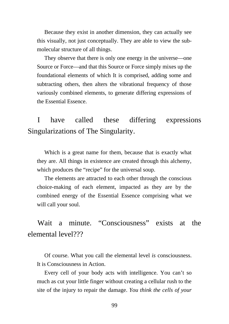Because they exist in another dimension, they can actually see this visually, not just conceptually. They are able to view the submolecular structure of all things.

They observe that there is only one energy in the universe—one Source or Force—and that this Source or Force simply mixes up the foundational elements of which It is comprised, adding some and subtracting others, then alters the vibrational frequency of those variously combined elements, to generate differing expressions of the Essential Essence.

I have called these differing expressions Singularizations of The Singularity.

Which is a great name for them, because that is exactly what they are. All things in existence are created through this alchemy, which produces the "recipe" for the universal soup.

The elements are attracted to each other through the conscious choice-making of each element, impacted as they are by the combined energy of the Essential Essence comprising what we will call your soul.

# Wait a minute. "Consciousness" exists at the elemental level???

Of course. What you call the elemental level *is* consciousness. It is Consciousness in Action.

Every cell of your body acts with intelligence. You can't so much as cut your little finger without creating a cellular rush to the site of the injury to repair the damage. *You think the cells of your*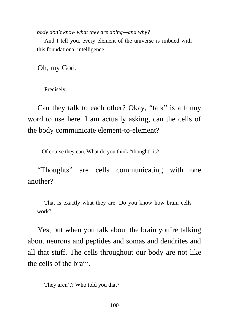*body don't know what they are doing—and why?*

And I tell you, every element of the universe is imbued with this foundational intelligence.

Oh, my God.

Precisely.

Can they talk to each other? Okay, "talk" is a funny word to use here. I am actually asking, can the cells of the body communicate element-to-element?

Of course they can. What do you think "thought" is?

"Thoughts" are cells communicating with one another?

That is exactly what they are. Do you know how brain cells work?

Yes, but when you talk about the brain you're talking about neurons and peptides and somas and dendrites and all that stuff. The cells throughout our body are not like the cells of the brain.

They aren't? Who told you that?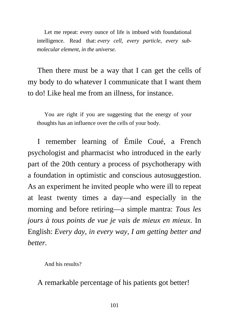Let me repeat: every ounce of life is imbued with foundational intelligence. Read that: *every cell, every particle, every submolecular element, in the universe.*

Then there must be a way that I can get the cells of my body to do whatever I communicate that I want them to do! Like heal me from an illness, for instance.

You are right if you are suggesting that the energy of your thoughts has an influence over the cells of your body.

I remember learning of Émile Coué, a French psychologist and pharmacist who introduced in the early part of the 20th century a process of psychotherapy with a foundation in optimistic and conscious autosuggestion. As an experiment he invited people who were ill to repeat at least twenty times a day—and especially in the morning and before retiring—a simple mantra: *Tous les jours à tous points de vue je vais de mieux en mieux*. In English: *Every day, in every way, I am getting better and better.*

And his results?

A remarkable percentage of his patients got better!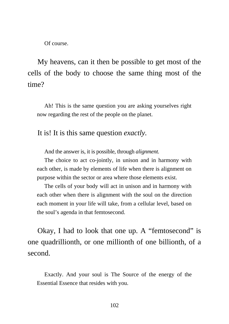Of course.

My heavens, can it then be possible to get most of the cells of the body to choose the same thing most of the time?

Ah! This is the same question you are asking yourselves right now regarding the rest of the people on the planet.

### It is! It is this same question *exactly.*

And the answer is, it is possible, through *alignment.*

The choice to act co-jointly, in unison and in harmony with each other, is made by elements of life when there is alignment on purpose within the sector or area where those elements exist.

The cells of your body will act in unison and in harmony with each other when there is alignment with the soul on the direction each moment in your life will take, from a cellular level, based on the soul's agenda in that femtosecond.

Okay, I had to look that one up. A "femtosecond" is one quadrillionth, or one millionth of one billionth, of a second.

Exactly. And your soul is The Source of the energy of the Essential Essence that resides with you.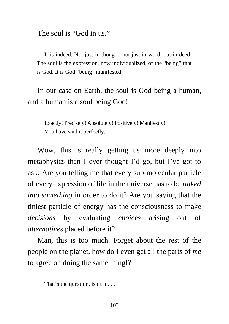### The soul is "God in us."

It is indeed. Not just in thought, not just in word, but in deed. The soul is the expression, now individualized, of the "being" that is God. It is God "being" manifested.

In our case on Earth, the soul is God being a human, and a human is a soul being God!

Exactly! Precisely! Absolutely! Positively! Manifestly! You have said it perfectly.

Wow, this is really getting us more deeply into metaphysics than I ever thought I'd go, but I've got to ask: Are you telling me that every sub-molecular particle of every expression of life in the universe has to be *talked into something* in order to do it? Are you saying that the tiniest particle of energy has the consciousness to make *decisions* by evaluating *choices* arising out of *alternatives* placed before it?

Man, this is too much. Forget about the rest of the people on the planet, how do I even get all the parts of *me* to agree on doing the same thing!?

That's the question, isn't it  $\dots$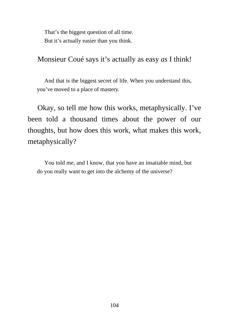That's the biggest question of all time. But it's actually easier than you think.

# Monsieur Coué says it's actually as easy *as* I think!

And that is the biggest secret of life. When you understand this, you've moved to a place of mastery.

Okay, so tell me how this works, metaphysically. I've been told a thousand times about the power of our thoughts, but how does this work, what makes this work, metaphysically?

You told me, and I know, that you have an insatiable mind, but do you really want to get into the alchemy of the universe?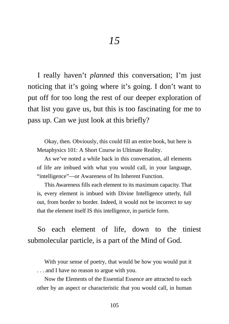I really haven't *planned* this conversation; I'm just noticing that it's going where it's going. I don't want to put off for too long the rest of our deeper exploration of that list you gave us, but this is too fascinating for me to pass up. Can we just look at this briefly?

Okay, then. Obviously, this could fill an entire book, but here is Metaphysics 101: A Short Course in Ultimate Reality.

As we've noted a while back in this conversation, all elements of life are imbued with what you would call, in your language, "intelligence"—or Awareness of Its Inherent Function.

This Awareness fills each element to its maximum capacity. That is, every element is imbued with Divine Intelligence utterly, full out, from border to border. Indeed, it would not be incorrect to say that the element itself IS this intelligence, in particle form.

So each element of life, down to the tiniest submolecular particle, is a part of the Mind of God.

With your sense of poetry, that would be how you would put it . . . and I have no reason to argue with you.

Now the Elements of the Essential Essence are attracted to each other by an aspect or characteristic that you would call, in human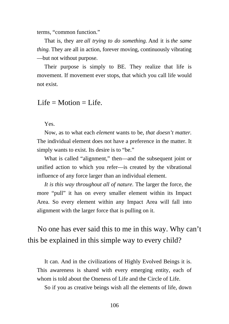terms, "common function."

That is, they are *all trying to do something.* And it is *the same thing.* They are all in action, forever moving, continuously vibrating —but not without purpose.

Their purpose is simply to BE. They realize that life is movement. If movement ever stops, that which you call life would not exist.

#### $Life = Motion = Life$ .

Yes.

Now, as to what each *element* wants to be, *that doesn't matter.* The individual element does not have a preference in the matter. It simply wants to exist. Its desire is to "be."

What is called "alignment," then—and the subsequent joint or unified action to which you refer—is created by the vibrational influence of any force larger than an individual element.

*It is this way throughout all of nature.* The larger the force, the more "pull" it has on every smaller element within its Impact Area. So every element within any Impact Area will fall into alignment with the larger force that is pulling on it.

No one has ever said this to me in this way. Why can't this be explained in this simple way to every child?

It can. And in the civilizations of Highly Evolved Beings it is. This awareness is shared with every emerging entity, each of whom is told about the Oneness of Life and the Circle of Life.

So if you as creative beings wish all the elements of life, down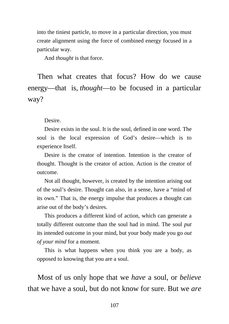into the tiniest particle, to move in a particular direction, you must create alignment using the force of combined energy focused in a particular way.

And *thought* is that force.

Then what creates that focus? How do we cause energy—that is, *thought*—to be focused in a particular way?

Desire.

Desire exists in the soul. It is the soul, defined in one word. The soul is the local expression of God's desire—which is to experience Itself.

Desire is the creator of intention. Intention is the creator of thought. Thought is the creator of action. Action is the creator of outcome.

Not all thought, however, is created by the intention arising out of the soul's desire. Thought can also, in a sense, have a "mind of its own." That is, the energy impulse that produces a thought can arise out of the body's desires.

This produces a different kind of action, which can generate a totally different outcome than the soul had in mind. The soul *put* its intended outcome in your mind, but your body made you go *out of your mind* for a moment.

This is what happens when you think you are a body, as opposed to knowing that you are a soul.

Most of us only hope that we *have* a soul, or *believe* that we have a soul, but do not know for sure. But we *are*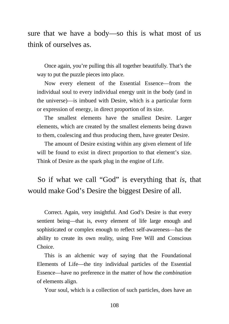sure that we have a body—so this is what most of us think of ourselves as.

Once again, you're pulling this all together beautifully. That's the way to put the puzzle pieces into place.

Now every element of the Essential Essence—from the individual soul to every individual energy unit in the body (and in the universe)—is imbued with Desire, which is a particular form or expression of energy, in direct proportion of its size.

The smallest elements have the smallest Desire. Larger elements, which are created by the smallest elements being drawn to them, coalescing and thus producing them, have greater Desire.

The amount of Desire existing within any given element of life will be found to exist in direct proportion to that element's size. Think of Desire as the spark plug in the engine of Life.

# So if what we call "God" is everything that *is*, that would make God's Desire the biggest Desire of all.

Correct. Again, very insightful. And God's Desire is that every sentient being—that is, every element of life large enough and sophisticated or complex enough to reflect self-awareness—has the ability to create its own reality, using Free Will and Conscious Choice.

This is an alchemic way of saying that the Foundational Elements of Life—the tiny individual particles of the Essential Essence—have no preference in the matter of how the *combination* of elements align.

Your soul, which is a collection of such particles, does have an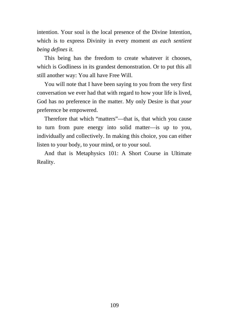intention. Your soul is the local presence of the Divine Intention, which is to express Divinity in every moment *as each sentient being defines it.*

This being has the freedom to create whatever it chooses, which is Godliness in its grandest demonstration. Or to put this all still another way: You all have Free Will.

You will note that I have been saying to you from the very first conversation we ever had that with regard to how your life is lived, God has no preference in the matter. My only Desire is that *your* preference be empowered.

Therefore that which "matters"—that is, that which you cause to turn from pure energy into solid matter—is up to you, individually and collectively. In making this choice, you can either listen to your body, to your mind, or to your soul.

And that is Metaphysics 101: A Short Course in Ultimate Reality.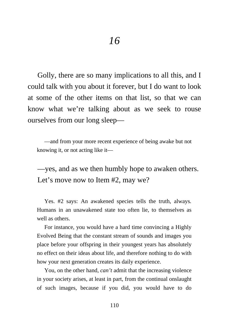Golly, there are so many implications to all this, and I could talk with you about it forever, but I do want to look at some of the other items on that list, so that we can know what we're talking about as we seek to rouse ourselves from our long sleep—

—and from your more recent experience of being awake but not knowing it, or not acting like it—

—yes, and as we then humbly hope to awaken others. Let's move now to Item #2, may we?

Yes. #2 says: An awakened species tells the truth, always*.* Humans in an unawakened state too often lie, to themselves as well as others.

For instance, you would have a hard time convincing a Highly Evolved Being that the constant stream of sounds and images you place before your offspring in their youngest years has absolutely no effect on their ideas about life, and therefore nothing to do with how your next generation creates its daily experience.

You, on the other hand, *can't* admit that the increasing violence in your society arises, at least in part, from the continual onslaught of such images, because if you did, you would have to do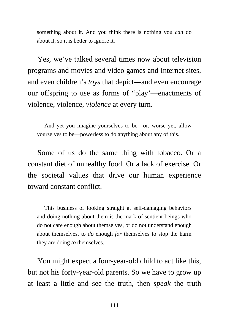something about it. And you think there is nothing you *can* do about it, so it is better to ignore it.

Yes, we've talked several times now about television programs and movies and video games and Internet sites, and even children's *toys* that depict—and even encourage our offspring to use as forms of "play'—enactments of violence, violence, *violence* at every turn.

And yet you imagine yourselves to be—or, worse yet, allow yourselves to be—powerless to do anything about any of this.

Some of us do the same thing with tobacco. Or a constant diet of unhealthy food. Or a lack of exercise. Or the societal values that drive our human experience toward constant conflict.

This business of looking straight at self-damaging behaviors and doing nothing about them is the mark of sentient beings who do not care enough about themselves, or do not understand enough about themselves, to *do* enough *for* themselves to stop the harm they are doing *to* themselves.

You might expect a four-year-old child to act like this, but not his forty-year-old parents. So we have to grow up at least a little and see the truth, then *speak* the truth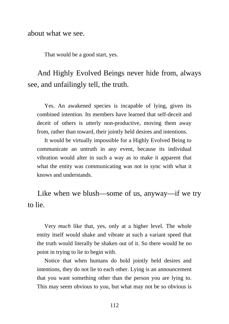about what we see.

That would be a good start, yes.

And Highly Evolved Beings never hide from, always see, and unfailingly tell, the truth.

Yes. An awakened species is incapable of lying, given its combined intention. Its members have learned that self-deceit and deceit of others is utterly non-productive, moving them away from, rather than toward, their jointly held desires and intentions.

It would be virtually impossible for a Highly Evolved Being to communicate an untruth in any event, because its individual vibration would alter in such a way as to make it apparent that what the entity was communicating was not in sync with what it knows and understands.

Like when we blush—some of us, anyway—if we try to lie.

Very *much* like that, yes, only at a higher level. The whole entity itself would shake and vibrate at such a variant speed that the truth would literally be shaken out of it. So there would be no point in trying to lie to begin with.

Notice that when humans do hold jointly held desires and intentions, they do not lie to each other. Lying is an announcement that you want something other than the person you are lying to. This may seem obvious to you, but what may not be so obvious is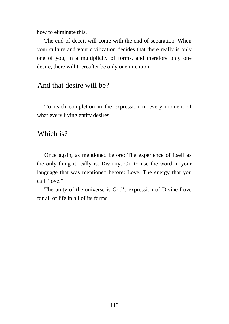how to eliminate this.

The end of deceit will come with the end of separation. When your culture and your civilization decides that there really is only one of you, in a multiplicity of forms, and therefore only one desire, there will thereafter be only one intention.

## And that desire will be?

To reach completion in the expression in every moment of what every living entity desires.

## Which is?

Once again, as mentioned before: The experience of itself as the only thing it really is. Divinity. Or, to use the word in your language that was mentioned before: Love. The energy that you call "love."

The unity of the universe is God's expression of Divine Love for all of life in all of its forms.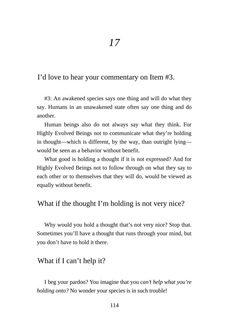#### I'd love to hear your commentary on Item #3.

#3: An awakened species says one thing and will do what they say. Humans in an unawakened state often say one thing and do another.

Human beings also do not always say what they think. For Highly Evolved Beings not to communicate what they're holding in thought—which is different, by the way, than outright lying would be seen as a behavior without benefit.

What good is holding a thought if it is not expressed? And for Highly Evolved Beings not to follow through on what they say to each other or to themselves that they will do, would be viewed as equally without benefit.

#### What if the thought I'm holding is not very nice?

Why would you hold a thought that's not very nice? Stop that. Sometimes you'll have a thought that runs through your mind, but you don't have to hold it there.

## What if I can't help it?

I beg your pardon? You imagine that you *can't help what you're holding onto?* No wonder your species is in such trouble!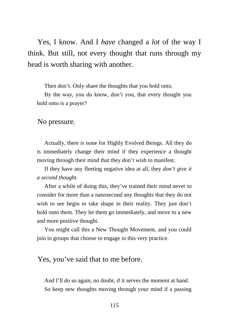Yes, I know. And I *have* changed a *lot* of the way I think. But still, not every thought that runs through my head is worth sharing with another.

Then don't. Only share the thoughts that you hold onto.

By the way, you do know, don't you, that every thought you hold onto is a prayer?

### No pressure.

Actually, there *is* none for Highly Evolved Beings. All they do is immediately change their mind if they experience a thought moving through their mind that they don't wish to manifest.

If they have any fleeting negative idea at all, they *don't give it a second thought.*

After a while of doing this, they've trained their mind never to consider for more than a nanosecond any thoughts that they do not wish to see begin to take shape in their reality. They just don't hold onto them. They let them go immediately, and move to a new and more positive thought.

You might call this a New Thought Movement, and you could join in groups that choose to engage in this very practice.

#### Yes, you've said that to me before.

And I'll do so again, no doubt, if it serves the moment at hand. So keep new thoughts moving through your mind if a passing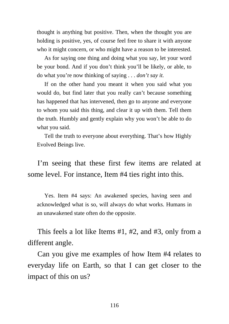thought is anything but positive. Then, when the thought you are holding is positive, yes, of course feel free to share it with anyone who it might concern, or who might have a reason to be interested.

As for saying one thing and doing what you say, let your word be your bond. And if you don't think you'll be likely, or able, to do what you're now thinking of saying . . . *don't say it.*

If on the other hand you meant it when you said what you would do, but find later that you really can't because something has happened that has intervened, then go to anyone and everyone to whom you said this thing, and clear it up with them. Tell them the truth. Humbly and gently explain why you won't be able to do what you said.

Tell the truth to everyone about everything. That's how Highly Evolved Beings live.

I'm seeing that these first few items are related at some level. For instance, Item #4 ties right into this.

Yes. Item #4 says: An awakened species, having seen and acknowledged what is so, will always do what works. Humans in an unawakened state often do the opposite.

This feels a lot like Items #1, #2, and #3, only from a different angle.

Can you give me examples of how Item #4 relates to everyday life on Earth, so that I can get closer to the impact of this on us?

116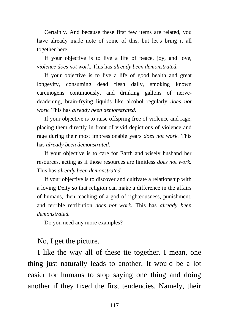Certainly. And because these first few items are related, you have already made note of some of this, but let's bring it all together here.

If your objective is to live a life of peace, joy, and love, *violence does not work.* This has *already been demonstrated.*

If your objective is to live a life of good health and great longevity, consuming dead flesh daily, smoking known carcinogens continuously, and drinking gallons of nervedeadening, brain-frying liquids like alcohol regularly *does not work.* This has *already been demonstrated.*

If your objective is to raise offspring free of violence and rage, placing them directly in front of vivid depictions of violence and rage during their most impressionable years *does not work.* This has *already been demonstrated.*

If your objective is to care for Earth and wisely husband her resources, acting as if those resources are limitless *does not work.* This has *already been demonstrated.*

If your objective is to discover and cultivate a relationship with a loving Deity so that religion can make a difference in the affairs of humans, then teaching of a god of righteousness, punishment, and terrible retribution *does not work.* This has *already been demonstrated.*

Do you need any more examples?

#### No, I get the picture.

I like the way all of these tie together. I mean, one thing just naturally leads to another. It would be a lot easier for humans to stop saying one thing and doing another if they fixed the first tendencies. Namely, their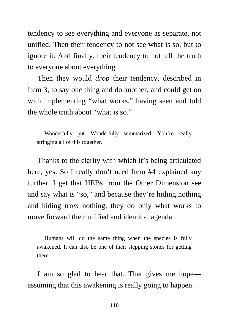tendency to see everything and everyone as separate, not unified. Then their tendency to not see what is so, but to ignore it. And finally, their tendency to not tell the truth to everyone about everything.

Then they would *drop* their tendency, described in Item 3, to say one thing and do another, and could get on with implementing "what works, " having seen and told the whole truth about "what is so."

Wonderfully put. Wonderfully summarized. You're really stringing all of this together.

Thanks to the clarity with which it's being articulated here, yes. So I really don't need Item #4 explained any further. I get that HEBs from the Other Dimension see and say what is "so, " and because they're hiding nothing and hiding *from* nothing, they do only what works to move forward their unified and identical agenda.

Humans will do the same thing when the species is fully awakened. It can also be one of their stepping stones for getting there.

I am so glad to hear that. That gives me hope assuming that this awakening is really going to happen.

118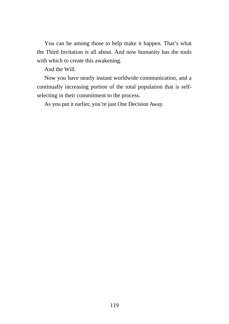You can be among those to help make it happen. That's what the Third Invitation is all about. And now humanity has the tools with which to create this awakening.

And the Will.

Now you have nearly instant worldwide communication, and a continually increasing portion of the total population that is selfselecting in their commitment to the process.

As you put it earlier, you're just One Decision Away.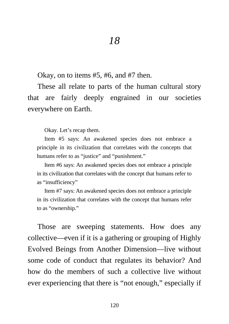Okay, on to items #5, #6, and #7 then.

These all relate to parts of the human cultural story that are fairly deeply engrained in our societies everywhere on Earth.

Okay. Let's recap them.

Item #5 says: An awakened species does not embrace a principle in its civilization that correlates with the concepts that humans refer to as "justice" and "punishment."

Item #6 says: An awakened species does not embrace a principle in its civilization that correlates with the concept that humans refer to as "insufficiency"

Item #7 says: An awakened species does not embrace a principle in its civilization that correlates with the concept that humans refer to as "ownership."

Those are sweeping statements. How does any collective—even if it is a gathering or grouping of Highly Evolved Beings from Another Dimension—live without some code of conduct that regulates its behavior? And how do the members of such a collective live without ever experiencing that there is "not enough, " especially if

120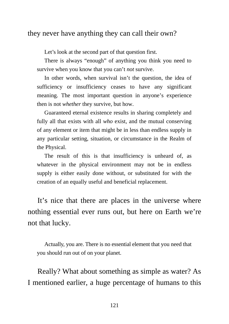# they never have anything they can call their own?

Let's look at the second part of that question first.

There is always "enough" of anything you think you need to survive when you know that you can't *not* survive.

In other words, when survival isn't the question, the idea of sufficiency or insufficiency ceases to have any significant meaning. The most important question in anyone's experience then is not *whether* they survive, but how.

Guaranteed eternal existence results in sharing completely and fully all that exists with all *who* exist, and the mutual conserving of any element or item that might be in less than endless supply in any particular setting, situation, or circumstance in the Realm of the Physical.

The result of this is that insufficiency is unheard of, as whatever in the physical environment may not be in endless supply is either easily done without, or substituted for with the creation of an equally useful and beneficial replacement.

It's nice that there are places in the universe where nothing essential ever runs out, but here on Earth we're not that lucky.

Actually, you are. There is no essential element that you need that you should run out of on your planet.

Really? What about something as simple as water? As I mentioned earlier, a huge percentage of humans to this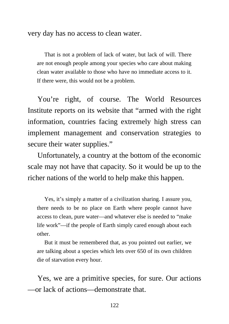very day has no access to clean water.

That is not a problem of lack of water, but lack of will. There are not enough people among your species who care about making clean water available to those who have no immediate access to it. If there were, this would not be a problem.

You're right, of course. The World Resources Institute reports on its website that "armed with the right information, countries facing extremely high stress can implement management and conservation strategies to secure their water supplies."

Unfortunately, a country at the bottom of the economic scale may not have that capacity. So it would be up to the richer nations of the world to help make this happen.

Yes, it's simply a matter of a civilization sharing. I assure you, there needs to be no place on Earth where people cannot have access to clean, pure water—and whatever else is needed to "make life work"—if the people of Earth simply cared enough about each other.

But it must be remembered that, as you pointed out earlier, we are talking about a species which lets over 650 of its own children die of starvation every hour.

Yes, we are a primitive species, for sure. Our actions —or lack of actions—demonstrate that.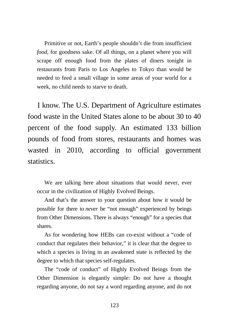Primitive or not, Earth's people shouldn't die from insufficient *food*, for goodness sake. Of all things, on a planet where you will scrape off enough food from the plates of diners tonight in restaurants from Paris to Los Angeles to Tokyo than would be needed to feed a small village in some areas of your world for a week, no child needs to starve to death.

I know. The U.S. Department of Agriculture estimates food waste in the United States alone to be about 30 to 40 percent of the food supply. An estimated 133 billion pounds of food from stores, restaurants and homes was wasted in 2010, according to official government statistics.

We are talking here about situations that would never, ever occur in the civilization of Highly Evolved Beings.

And that's the answer to your question about how it would be possible for there to *never* be "not enough" experienced by beings from Other Dimensions. There is always "enough" for a species that shares.

As for wondering how HEBs can co-exist without a "code of conduct that regulates their behavior," it is clear that the degree to which a species is living in an awakened state is reflected by the degree to which that species self-regulates.

The "code of conduct" of Highly Evolved Beings from the Other Dimension is elegantly simple: Do not have a thought regarding anyone, do not say a word regarding anyone, and do not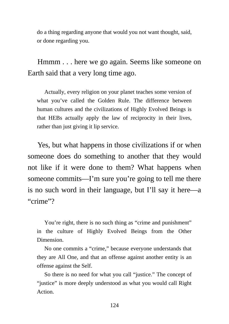do a thing regarding anyone that would you not want thought, said, or done regarding you.

Hmmm . . . here we go again. Seems like someone on Earth said that a very long time ago.

Actually, every religion on your planet teaches some version of what you've called the Golden Rule. The difference between human cultures and the civilizations of Highly Evolved Beings is that HEBs actually apply the law of reciprocity in their lives, rather than just giving it lip service.

Yes, but what happens in those civilizations if or when someone does do something to another that they would not like if it were done to them? What happens when someone commits—I'm sure you're going to tell me there is no such word in their language, but I'll say it here—a "crime"?

You're right, there is no such thing as "crime and punishment" in the culture of Highly Evolved Beings from the Other Dimension.

No one commits a "crime," because everyone understands that they are All One, and that an offense against another entity is an offense against the Self.

So there is no need for what you call "justice." The concept of "justice" is more deeply understood as what you would call Right Action.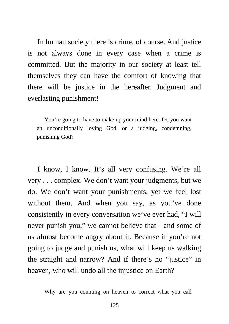In human society there is crime, of course. And justice is not always done in every case when a crime is committed. But the majority in our society at least tell themselves they can have the comfort of knowing that there will be justice in the hereafter. Judgment and everlasting punishment!

You're going to have to make up your mind here. Do you want an unconditionally loving God, or a judging, condemning, punishing God?

I know, I know. It's all very confusing. We're all very . . . complex. We don't want your judgments, but we do. We don't want your punishments, yet we feel lost without them. And when you say, as you've done consistently in every conversation we've ever had, "I will never punish you, " we cannot believe that—and some of us almost become angry about it. Because if you're not going to judge and punish us, what will keep us walking the straight and narrow? And if there's no "justice" in heaven, who will undo all the injustice on Earth?

Why are you counting on heaven to correct what you call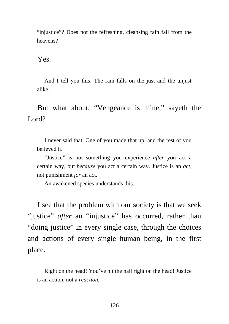"injustice"? Does not the refreshing, cleansing rain fall from the heavens?

Yes.

And I tell you this: The rain falls on the just and the unjust alike.

But what about, "Vengeance is mine, " sayeth the Lord?

I never said that. One of you made that up, and the rest of you believed it.

"Justice" is not something you experience *after* you act a certain way, but *because* you act a certain way. Justice is an *act,* not punishment *for* an act.

An awakened species understands this.

I see that the problem with our society is that we seek "justice" after an "injustice" has occurred, rather than "doing justice" in every single case, through the choices and actions of every single human being, in the first place.

Right on the head! You've hit the nail right on the head! Justice is an action, not a *reaction.*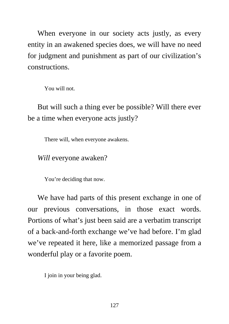When everyone in our society acts justly, as every entity in an awakened species does, we will have no need for judgment and punishment as part of our civilization's constructions.

You will not.

But will such a thing ever be possible? Will there ever be a time when everyone acts justly?

There will, when everyone awakens.

*Will* everyone awaken?

You're deciding that now.

We have had parts of this present exchange in one of our previous conversations, in those exact words. Portions of what's just been said are a verbatim transcript of a back-and-forth exchange we've had before. I'm glad we've repeated it here, like a memorized passage from a wonderful play or a favorite poem.

I join in your being glad.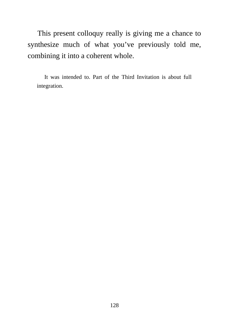This present colloquy really is giving me a chance to synthesize much of what you've previously told me, combining it into a coherent whole.

It was intended to. Part of the Third Invitation is about full integration.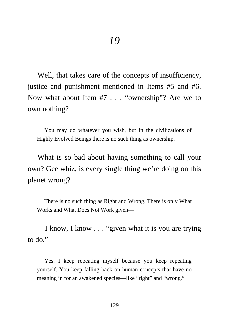Well, that takes care of the concepts of insufficiency, justice and punishment mentioned in Items #5 and #6. Now what about Item #7 . . . "ownership"? Are we to own nothing?

You may do whatever you wish, but in the civilizations of Highly Evolved Beings there is no such thing as ownership.

What is so bad about having something to call your own? Gee whiz, is every single thing we're doing on this planet wrong?

There is no such thing as Right and Wrong. There is only What Works and What Does Not Work given—

—I know, I know . . . "given what it is you are trying to do."

Yes. I keep repeating myself because you keep repeating yourself. You keep falling back on human concepts that have no meaning in for an awakened species—like "right" and "wrong."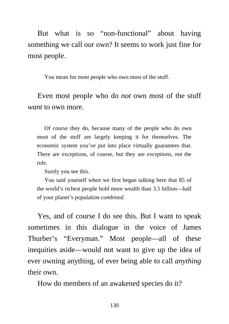But what is so "non-functional" about having something we call our own? It seems to work just fine for most people.

You mean for most people who own most of the stuff.

Even most people who do *not* own most of the stuff *want* to own more.

Of course they do, because many of the people who do own most of the stuff are largely keeping it for themselves. The economic system you've put into place virtually guarantees that. There are exceptions, of course, but they are *exceptions*, not the rule.

Surely you see this.

You said yourself when we first began talking here that 85 of the world's richest people hold more wealth than 3.5 billion—half of your planet's population *combined*.

Yes, and of course I do see this. But I want to speak sometimes in this dialogue in the voice of James Thurber's "Everyman." Most people—all of these inequities aside—would not want to give up the idea of ever owning anything, of ever being able to call *anything* their own.

How do members of an awakened species do it?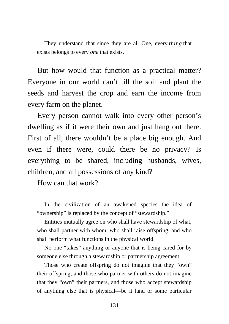They understand that since they are all One, every *thing* that exists belongs to every *one* that exists.

But how would that function as a practical matter? Everyone in our world can't till the soil and plant the seeds and harvest the crop and earn the income from every farm on the planet.

Every person cannot walk into every other person's dwelling as if it were their own and just hang out there. First of all, there wouldn't be a place big enough. And even if there were, could there be no privacy? Is everything to be shared, including husbands, wives, children, and all possessions of any kind?

How can that work?

In the civilization of an awakened species the idea of "ownership" is replaced by the concept of "stewardship."

Entities mutually agree on who shall have stewardship of what, who shall partner with whom, who shall raise offspring, and who shall perform what functions in the physical world.

No one "takes" anything or anyone that is being cared for by someone else through a stewardship or partnership agreement.

Those who create offspring do not imagine that they "own" their offspring, and those who partner with others do not imagine that they "own" their partners, and those who accept stewardship of anything else that is physical—be it land or some particular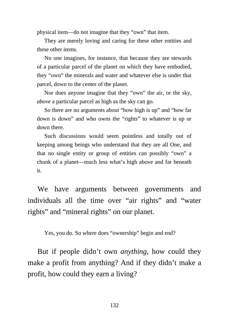physical item—do not imagine that they "own" that item.

They are merely loving and caring for these other entities and these other items.

No one imagines, for instance, that because they are stewards of a particular parcel of the planet on which they have embodied, they "own" the minerals and water and whatever else is under that parcel, down to the center of the planet.

Nor does anyone imagine that they "own" the air, or the sky, *above* a particular parcel as high as the sky can go.

So there are no arguments about "how high is up" and "how far down is down" and who owns the "rights" to whatever is up or down there.

Such discussions would seem pointless and totally out of keeping among beings who understand that they are all One, and that no single entity or group of entities can possibly "own" a chunk of a planet—much less what's high above and far beneath it.

We have arguments between governments and individuals all the time over "air rights" and "water rights" and "mineral rights" on our planet.

Yes, you do. So where does "ownership" begin and end?

But if people didn't own *anything*, how could they make a profit from anything? And if they didn't make a profit, how could they earn a living?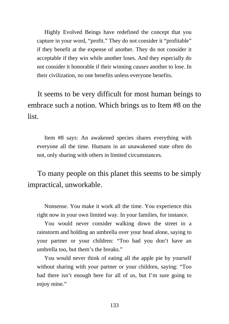Highly Evolved Beings have redefined the concept that you capture in your word, "profit." They do not consider it "profitable" if they benefit at the expense of another. They do not consider it acceptable if they win while another loses. And they especially do not consider it honorable if their winning *causes* another to lose. In their civilization, no one benefits unless everyone benefits.

It seems to be very difficult for most human beings to embrace such a notion. Which brings us to Item #8 on the list.

Item #8 says: An awakened species shares everything with everyone all the time. Humans in an unawakened state often do not, only sharing with others in limited circumstances.

To many people on this planet this seems to be simply impractical, unworkable.

Nonsense. You make it work all the time. You experience this right now in your own limited way. In your families, for instance.

You would never consider walking down the street in a rainstorm and holding an umbrella over your head alone, saying to your partner or your children: "Too bad you don't have an umbrella too, but them's the breaks."

You would never think of eating all the apple pie by yourself without sharing with your partner or your children, saying: "Too bad there isn't enough here for all of us, but I'm sure going to enjoy mine."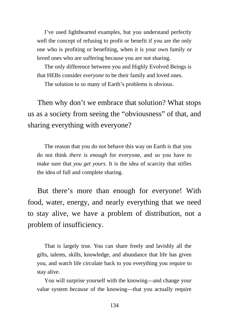I've used lighthearted examples, but you understand perfectly well the concept of refusing to profit or benefit if you are the only one who is profiting or benefiting, when it is your own family or loved ones who are suffering because you are not sharing.

The only difference between you and Highly Evolved Beings is that HEBs consider *everyone* to be their family and loved ones.

The solution to so many of Earth's problems is obvious.

Then why don't we embrace that solution? What stops us as a society from seeing the "obviousness" of that, and sharing everything with everyone?

The reason that you do not behave this way on Earth is that you do not think *there is enough* for everyone, and so you have to make sure that *you get yours.* It is the idea of scarcity that stifles the idea of full and complete sharing.

But there's more than enough for everyone! With food, water, energy, and nearly everything that we need to stay alive, we have a problem of distribution, not a problem of insufficiency.

That is largely true. You can share freely and lavishly all the gifts, talents, skills, knowledge, and abundance that life has given you, and watch life circulate back to you everything you require to stay alive.

You will surprise yourself with the knowing—and change your value system *because* of the knowing—that you actually require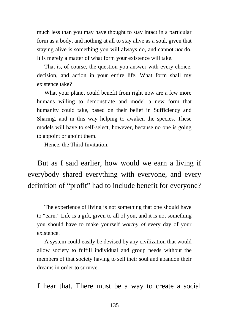much less than you may have thought to stay intact in a particular form as a body, and nothing at all to stay alive as a soul, given that staying alive is something you will always do, and cannot *not* do. It is merely a matter of what form your existence will take.

That is, of course, the question you answer with every choice, decision, and action in your entire life. What form shall my existence take?

What your planet could benefit from right now are a few more humans willing to demonstrate and model a new form that humanity could take, based on their belief in Sufficiency and Sharing, and in this way helping to awaken the species. These models will have to self-select, however, because no one is going to appoint or anoint them.

Hence, the Third Invitation.

But as I said earlier, how would we earn a living if everybody shared everything with everyone, and every definition of "profit" had to include benefit for everyone?

The experience of living is not something that one should have to "earn." Life is a gift, given to all of you, and it is not something you should have to make yourself *worthy of* every day of your existence.

A system could easily be devised by any civilization that would allow society to fulfill individual and group needs without the members of that society having to sell their soul and abandon their dreams in order to survive.

I hear that. There must be a way to create a social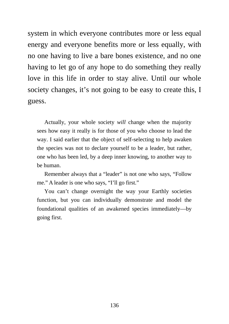system in which everyone contributes more or less equal energy and everyone benefits more or less equally, with no one having to live a bare bones existence, and no one having to let go of any hope to do something they really love in this life in order to stay alive. Until our whole society changes, it's not going to be easy to create this, I guess.

Actually, your whole society *will* change when the majority sees how easy it really is for those of you who choose to lead the way. I said earlier that the object of self-selecting to help awaken the species was not to declare yourself to be a leader, but rather, one who has been led, by a deep inner knowing, to another way to be human.

Remember always that a "leader" is not one who says, "Follow me." A leader is one who says, "I'll go first."

You can't change overnight the way your Earthly societies function, but you can individually demonstrate and model the foundational qualities of an awakened species immediately—by going first.

136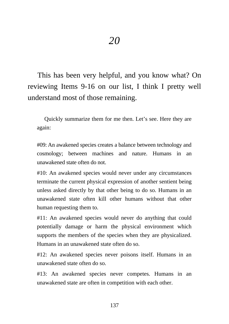This has been very helpful, and you know what? On reviewing Items 9-16 on our list, I think I pretty well understand most of those remaining.

Quickly summarize them for me then. Let's see. Here they are again:

#09: An awakened species creates a balance between technology and cosmology; between machines and nature. Humans in an unawakened state often do not.

#10: An awakened species would never under any circumstances terminate the current physical expression of another sentient being unless asked directly by that other being to do so. Humans in an unawakened state often kill other humans without that other human requesting them to.

#11: An awakened species would never do anything that could potentially damage or harm the physical environment which supports the members of the species when they are physicalized. Humans in an unawakened state often do so.

#12: An awakened species never poisons itself. Humans in an unawakened state often do so.

#13: An awakened species never competes. Humans in an unawakened state are often in competition with each other.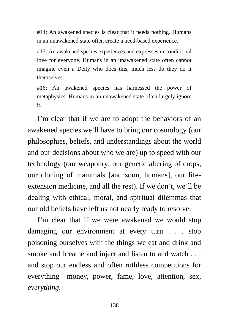#14: An awakened species is clear that it needs nothing. Humans in an unawakened state often create a need-based experience.

#15: An awakened species experiences and expresses unconditional love for everyone. Humans in an unawakened state often cannot imagine even a Deity who does this, much less do they do it themselves.

#16: An awakened species has harnessed the power of metaphysics. Humans in an unawakened state often largely ignore it.

I'm clear that if we are to adopt the behaviors of an awakened species we'll have to bring our cosmology (our philosophies, beliefs, and understandings about the world and our decisions about who we are) up to speed with our technology (our weaponry, our genetic altering of crops, our cloning of mammals [and soon, humans], our lifeextension medicine, and all the rest). If we don't, we'll be dealing with ethical, moral, and spiritual dilemmas that our old beliefs have left us not nearly ready to resolve.

I'm clear that if we were awakened we would stop damaging our environment at every turn . . . stop poisoning ourselves with the things we eat and drink and smoke and breathe and inject and listen to and watch . . . and stop our endless and often ruthless competitions for everything—money, power, fame, love, attention, sex, *everything*.

138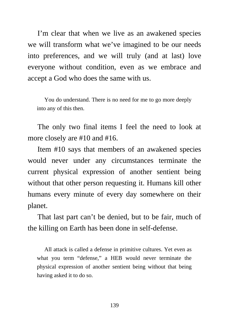I'm clear that when we live as an awakened species we will transform what we've imagined to be our needs into preferences, and we will truly (and at last) love everyone without condition, even as we embrace and accept a God who does the same with us.

You do understand. There is no need for me to go more deeply into any of this then.

The only two final items I feel the need to look at more closely are #10 and #16.

Item #10 says that members of an awakened species would never under any circumstances terminate the current physical expression of another sentient being without that other person requesting it. Humans kill other humans every minute of every day somewhere on their planet.

That last part can't be denied, but to be fair, much of the killing on Earth has been done in self-defense.

All attack is called a defense in primitive cultures. Yet even as what you term "defense," a HEB would never terminate the physical expression of another sentient being without that being having asked it to do so.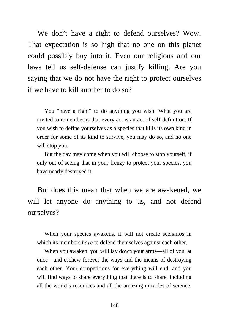We don't have a right to defend ourselves? Wow. That expectation is so high that no one on this planet could possibly buy into it. Even our religions and our laws tell us self-defense can justify killing. Are you saying that we do not have the right to protect ourselves if we have to kill another to do so?

You "have a right" to do anything you wish. What you are invited to remember is that every act is an act of self-definition. If you wish to define yourselves as a species that kills its own kind in order for some of its kind to survive, you may do so, and no one will stop you.

But the day may come when you will choose to stop yourself, if only out of seeing that in your frenzy to protect your species, you have nearly destroyed it.

But does this mean that when we are awakened, we will let anyone do anything to us, and not defend ourselves?

When your species awakens, it will not create scenarios in which its members *have* to defend themselves against each other.

When you awaken, you will lay down your arms—all of you, at once—and eschew forever the ways and the means of destroying each other. Your competitions for everything will end, and you will find ways to share everything that there is to share, including all the world's resources and all the amazing miracles of science,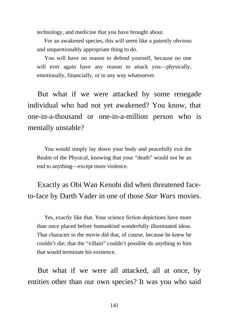technology, and medicine that you have brought about.

For an awakened species, this will seem like a patently obvious and unquestionably appropriate thing to do.

You will have no reason to defend yourself, because no one will ever again have any reason to attack you—physically, emotionally, financially, or in any way whatsoever.

But what if we were attacked by some renegade individual who had not yet awakened? You know, that one-in-a-thousand or one-in-a-million person who is mentally unstable?

You would simply lay down your body and peacefully exit the Realm of the Physical, knowing that your "death" would not be an end to anything—except more violence.

Exactly as Obi Wan Kenobi did when threatened faceto-face by Darth Vader in one of those *Star Wars* movies.

Yes, exactly like that. Your science fiction depictions have more than once placed before humankind wonderfully illuminated ideas. That character in the movie did that, of course, because he knew he couldn't die; that the "villain" couldn't possible do anything to him that would terminate his existence.

But what if we were all attacked, all at once, by entities other than our own species? It was you who said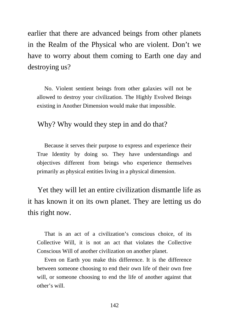earlier that there are advanced beings from other planets in the Realm of the Physical who are violent. Don't we have to worry about them coming to Earth one day and destroying us?

No. Violent sentient beings from other galaxies will not be allowed to destroy your civilization. The Highly Evolved Beings existing in Another Dimension would make that impossible.

#### Why? Why would they step in and do that?

Because it serves their purpose to express and experience their True Identity by doing so. They have understandings and objectives different from beings who experience themselves primarily as physical entities living in a physical dimension.

Yet they will let an entire civilization dismantle life as it has known it on its own planet. They are letting us do this right now.

That is an act of a civilization's conscious choice, of its Collective Will, it is not an act that violates the Collective Conscious Will of another civilization on another planet.

Even on Earth you make this difference. It is the difference between someone choosing to end their own life of their own free will, or someone choosing to end the life of another against that other's will.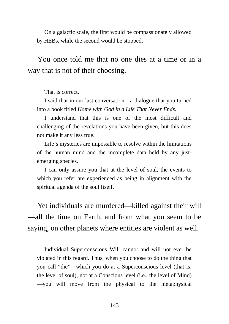On a galactic scale, the first would be compassionately allowed by HEBs, while the second would be stopped.

# You once told me that no one dies at a time or in a way that is not of their choosing.

That is correct.

I said that in our last conversation—a dialogue that you turned into a book titled *Home with God in a Life That Never Ends.*

I understand that this is one of the most difficult and challenging of the revelations you have been given, but this does not make it any less true.

Life's mysteries are impossible to resolve within the limitations of the human mind and the incomplete data held by any justemerging species.

I can only assure you that at the level of soul, the events to which you refer are experienced as being in alignment with the spiritual agenda of the soul Itself.

Yet individuals are murdered—killed against their will —all the time on Earth, and from what you seem to be saying, on other planets where entities are violent as well.

Individual Superconscious Will cannot and will not ever be violated in this regard. Thus, when you choose to do the thing that you call "die"—which you do at a Superconscious level (that is, the level of soul), not at a Conscious level (i.e., the level of Mind) —you will move from the physical to the metaphysical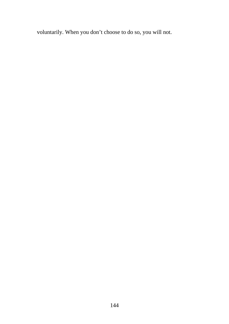voluntarily. When you don't choose to do so, you will not.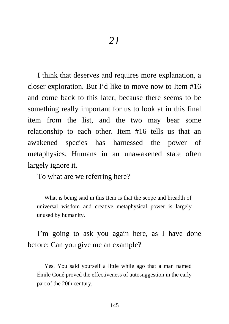I think that deserves and requires more explanation, a closer exploration. But I'd like to move now to Item #16 and come back to this later, because there seems to be something really important for us to look at in this final item from the list, and the two may bear some relationship to each other. Item #16 tells us that an awakened species has harnessed the power of metaphysics. Humans in an unawakened state often largely ignore it.

To what are we referring here?

What is being said in this Item is that the scope and breadth of universal wisdom and creative metaphysical power is largely unused by humanity.

I'm going to ask you again here, as I have done before: Can you give me an example?

Yes. You said yourself a little while ago that a man named Émile Coué proved the effectiveness of autosuggestion in the early part of the 20th century.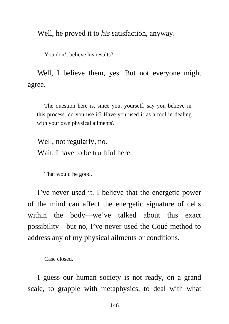Well, he proved it to *his* satisfaction, anyway.

You don't believe his results?

Well, I believe them, yes. But not everyone might agree.

The question here is, since you, yourself, say you believe in this process, do you use it? Have you used it as a tool in dealing with your own physical ailments?

Well, not regularly, no.

Wait. I have to be truthful here.

That would be good.

I've never used it. I believe that the energetic power of the mind can affect the energetic signature of cells within the body—we've talked about this exact possibility—but no, I've never used the Coué method to address any of my physical ailments or conditions.

Case closed.

I guess our human society is not ready, on a grand scale, to grapple with metaphysics, to deal with what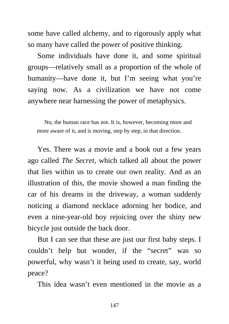some have called alchemy, and to rigorously apply what so many have called the power of positive thinking.

Some individuals have done it, and some spiritual groups—relatively small as a proportion of the whole of humanity—have done it, but I'm seeing what you're saying now. As a civilization we have not come anywhere near harnessing the power of metaphysics.

No, the human race has not. It is, however, becoming more and more aware of it, and is moving, step by step, in that direction.

Yes. There was a movie and a book out a few years ago called *The Secret,* which talked all about the power that lies within us to create our own reality. And as an illustration of this, the movie showed a man finding the car of his dreams in the driveway, a woman suddenly noticing a diamond necklace adorning her bodice, and even a nine-year-old boy rejoicing over the shiny new bicycle just outside the back door.

But I can see that these are just our first baby steps. I couldn't help but wonder, if the "secret" was so powerful, why wasn't it being used to create, say, world peace?

This idea wasn't even mentioned in the movie as a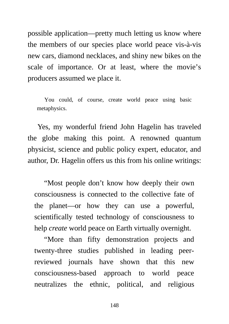possible application—pretty much letting us know where the members of our species place world peace vis-à-vis new cars, diamond necklaces, and shiny new bikes on the scale of importance. Or at least, where the movie's producers assumed we place it.

You could, of course, create world peace using basic metaphysics.

Yes, my wonderful friend John Hagelin has traveled the globe making this point. A renowned quantum physicist, science and public policy expert, educator, and author, Dr. Hagelin offers us this from his online writings:

"Most people don't know how deeply their own consciousness is connected to the collective fate of the planet—or how they can use a powerful, scientifically tested technology of consciousness to help *create* world peace on Earth virtually overnight.

"More than fifty demonstration projects and twenty-three studies published in leading peerreviewed journals have shown that this new consciousness-based approach to world peace neutralizes the ethnic, political, and religious

148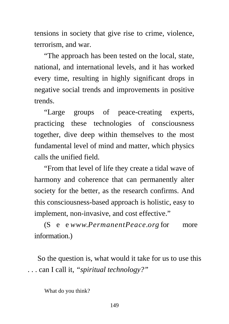tensions in society that give rise to crime, violence, terrorism, and war.

"The approach has been tested on the local, state, national, and international levels, and it has worked every time, resulting in highly significant drops in negative social trends and improvements in positive trends.

"Large groups of peace-creating experts, practicing these technologies of consciousness together, dive deep within themselves to the most fundamental level of mind and matter, which physics calls the unified field.

"From that level of life they create a tidal wave of harmony and coherence that can permanently alter society for the better, as the research confirms. And this consciousness-based approach is holistic, easy to implement, non-invasive, and cost effective."

(S e e *www.PermanentPeace.org* for more information.)

So the question is, what would it take for us to use this . . . can I call it, *"spiritual technology?"*

What do you think?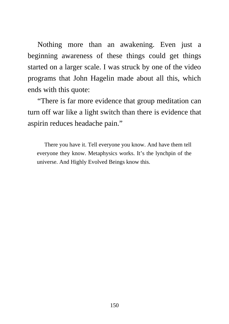Nothing more than an awakening. Even just a beginning awareness of these things could get things started on a larger scale. I was struck by one of the video programs that John Hagelin made about all this, which ends with this quote:

"There is far more evidence that group meditation can turn off war like a light switch than there is evidence that aspirin reduces headache pain."

There you have it. Tell everyone you know. And have them tell everyone they know. Metaphysics works. It's the lynchpin of the universe. And Highly Evolved Beings know this.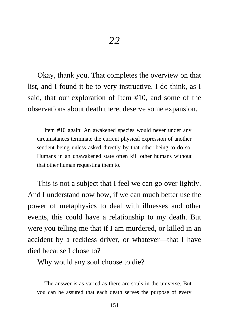Okay, thank you. That completes the overview on that list, and I found it be to very instructive. I do think, as I said, that our exploration of Item #10, and some of the observations about death there, deserve some expansion.

Item #10 again: An awakened species would never under any circumstances terminate the current physical expression of another sentient being unless asked directly by that other being to do so. Humans in an unawakened state often kill other humans without that other human requesting them to.

This is not a subject that I feel we can go over lightly. And I understand now how, if we can much better use the power of metaphysics to deal with illnesses and other events, this could have a relationship to my death. But were you telling me that if I am murdered, or killed in an accident by a reckless driver, or whatever—that I have died because I chose to?

Why would any soul choose to die?

The answer is as varied as there are souls in the universe. But you can be assured that each death serves the purpose of every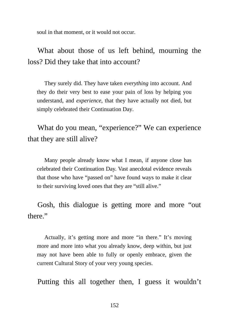soul in that moment, or it would not occur.

## What about those of us left behind, mourning the loss? Did they take that into account?

They surely did. They have taken *everything* into account. And they do their very best to ease your pain of loss by helping you understand, and *experience*, that they have actually not died, but simply celebrated their Continuation Day.

What do you mean, "experience?" We can experience that they are still alive?

Many people already know what I mean, if anyone close has celebrated their Continuation Day. Vast anecdotal evidence reveals that those who have "passed on" have found ways to make it clear to their surviving loved ones that they are "still alive."

Gosh, this dialogue is getting more and more "out there."

Actually, it's getting more and more "in there." It's moving more and more into what you already know, deep within, but just may not have been able to fully or openly embrace, given the current Cultural Story of your very young species.

Putting this all together then, I guess it wouldn't

152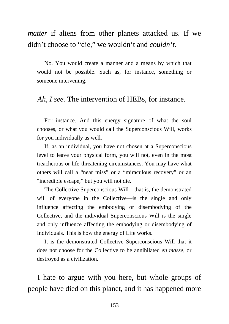# *matter* if aliens from other planets attacked us. If we didn't choose to "die, " we wouldn't and *couldn't.*

No. You would create a manner and a means by which that would not be possible. Such as, for instance, something or someone intervening.

#### *Ah, I see.* The intervention of HEBs, for instance.

For instance. And this energy signature of what the soul chooses, or what you would call the Superconscious Will, works for you individually as well.

If, as an individual, you have not chosen at a Superconscious level to leave your physical form, you will not, even in the most treacherous or life-threatening circumstances. You may have what others will call a "near miss" or a "miraculous recovery" or an "incredible escape," but you will not die.

The Collective Superconscious Will—that is, the demonstrated will of everyone in the Collective—is the single and only influence affecting the embodying or disembodying of the Collective, and the individual Superconscious Will is the single and only influence affecting the embodying or disembodying of Individuals. This is how the energy of Life works.

It is the demonstrated Collective Superconscious Will that it does not choose for the Collective to be annihilated *en masse*, or destroyed as a civilization.

I hate to argue with you here, but whole groups of people have died on this planet, and it has happened more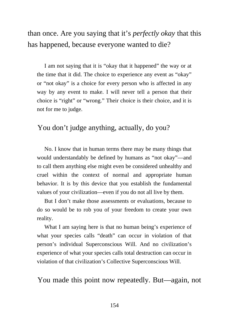# than once. Are you saying that it's *perfectly okay* that this has happened, because everyone wanted to die?

I am not saying that it is "okay that it happened" the way or at the time that it did. The choice to experience any event as "okay" or "not okay" is a choice for every person who is affected in any way by any event to make. I will never tell a person that their choice is "right" or "wrong." Their choice is their choice, and it is not for me to judge.

### You don't judge anything, actually, do you?

No. I know that in human terms there may be many things that would understandably be defined by humans as "not okay"—and to call them anything else might even be considered unhealthy and cruel within the context of normal and appropriate human behavior. It is by this device that you establish the fundamental values of your civilization—even if you do not all live by them.

But I don't make those assessments or evaluations, because to do so would be to rob you of your freedom to create your own reality.

What I am saying here is that no human being's experience of what your species calls "death" can occur in violation of that person's individual Superconscious Will. And no civilization's experience of what your species calls total destruction can occur in violation of that civilization's Collective Superconscious Will.

You made this point now repeatedly. But—again, not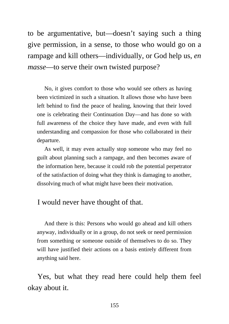to be argumentative, but—doesn't saying such a thing give permission, in a sense, to those who would go on a rampage and kill others—individually, or God help us, *en masse*—to serve their own twisted purpose?

No, it gives comfort to those who would see others as having been victimized in such a situation. It allows those who have been left behind to find the peace of healing, knowing that their loved one is celebrating their Continuation Day—and has done so with full awareness of the choice they have made, and even with full understanding and compassion for those who collaborated in their departure.

As well, it may even actually stop someone who may feel no guilt about planning such a rampage, and then becomes aware of the information here, because it could rob the potential perpetrator of the satisfaction of doing what they think is damaging to another, dissolving much of what might have been their motivation.

### I would never have thought of that.

And there is this: Persons who would go ahead and kill others anyway, individually or in a group, do not seek or need permission from something or someone outside of themselves to do so. They will have justified their actions on a basis entirely different from anything said here.

Yes, but what they read here could help them feel okay about it.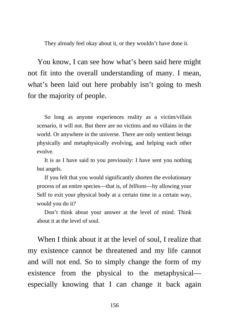They already feel okay about it, or they wouldn't have done it.

You know, I can see how what's been said here might not fit into the overall understanding of many. I mean, what's been laid out here probably isn't going to mesh for the majority of people.

So long as anyone experiences reality as a victim/villain scenario, it will not. But there are no victims and no villains in the world. Or anywhere in the universe. There are only sentient beings physically and metaphysically evolving, and helping each other evolve.

It is as I have said to you previously: I have sent you nothing but angels.

If you felt that you would significantly shorten the evolutionary process of an entire species—that is, of *billions*—by allowing your Self to exit your physical body at a certain time in a certain way, would you do it?

Don't think about your answer at the level of mind. Think about it at the level of soul.

When I think about it at the level of soul, I realize that my existence cannot be threatened and my life cannot and will not end. So to simply change the form of my existence from the physical to the metaphysical especially knowing that I can change it back again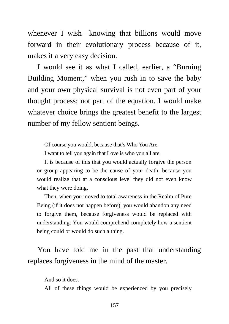whenever I wish—knowing that billions would move forward in their evolutionary process because of it, makes it a very easy decision.

I would see it as what I called, earlier, a "Burning Building Moment, " when you rush in to save the baby and your own physical survival is not even part of your thought process; not part of the equation. I would make whatever choice brings the greatest benefit to the largest number of my fellow sentient beings.

Of course you would, because that's Who You Are.

I want to tell you again that Love is who you all are.

It is because of this that you would actually forgive the person or group appearing to be the cause of your death, because you would realize that at a conscious level they did not even know what they were doing.

Then, when you moved to total awareness in the Realm of Pure Being (if it does not happen before), you would abandon any need to forgive them, because forgiveness would be replaced with understanding. You would comprehend completely how a sentient being could or would do such a thing.

You have told me in the past that understanding replaces forgiveness in the mind of the master.

And so it does.

All of these things would be experienced by you precisely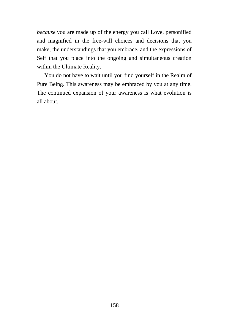*because* you are made up of the energy you call Love, personified and magnified in the free-will choices and decisions that you make, the understandings that you embrace, and the expressions of Self that you place into the ongoing and simultaneous creation within the Ultimate Reality.

You do not have to wait until you find yourself in the Realm of Pure Being. This awareness may be embraced by you at any time. The continued expansion of your awareness is what evolution is all about.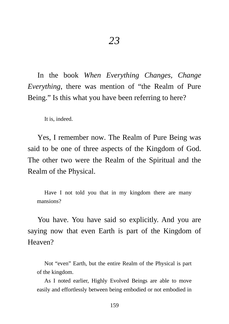In the book *When Everything Changes, Change Everything*, there was mention of "the Realm of Pure Being." Is this what you have been referring to here?

It is, indeed.

Yes, I remember now. The Realm of Pure Being was said to be one of three aspects of the Kingdom of God. The other two were the Realm of the Spiritual and the Realm of the Physical.

Have I not told you that in my kingdom there are many mansions?

You have. You have said so explicitly. And you are saying now that even Earth is part of the Kingdom of Heaven?

Not "even" Earth, but the entire Realm of the Physical is part of the kingdom.

As I noted earlier, Highly Evolved Beings are able to move easily and effortlessly between being embodied or not embodied in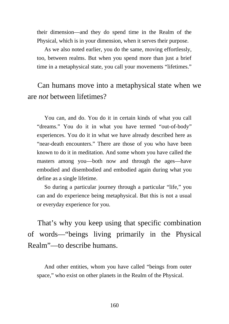their dimension—and they do spend time in the Realm of the Physical, which is in your dimension, when it serves their purpose.

As we also noted earlier, you do the same, moving effortlessly, too, between realms. But when you spend more than just a brief time in a metaphysical state, you call your movements "lifetimes."

# Can humans move into a metaphysical state when we are *not* between lifetimes?

You can, and do. You do it in certain kinds of what you call "dreams." You do it in what you have termed "out-of-body" experiences. You do it in what we have already described here as "near-death encounters." There are those of you who have been known to do it in meditation. And some whom you have called the masters among you—both now and through the ages—have embodied and disembodied and embodied again during what you define as a single lifetime.

So during a particular journey through a particular "life," you can and do experience being metaphysical. But this is not a usual or everyday experience for you.

That's why you keep using that specific combination of words—"beings living primarily in the Physical Realm"—to describe humans.

And other entities, whom you have called "beings from outer space," who exist on other planets in the Realm of the Physical.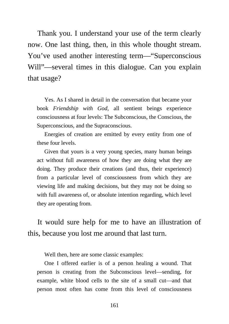Thank you. I understand your use of the term clearly now. One last thing, then, in this whole thought stream. You've used another interesting term—"Superconscious Will"—several times in this dialogue. Can you explain that usage?

Yes. As I shared in detail in the conversation that became your book *Friendship with God*, all sentient beings experience consciousness at four levels: The Subconscious, the Conscious, the Superconscious, and the Supraconscious.

Energies of creation are emitted by every entity from one of these four levels.

Given that yours is a very young species, many human beings act without full awareness of how they are doing what they are doing. They produce their creations (and thus, their experience) from a particular level of consciousness from which they are viewing life and making decisions, but they may not be doing so with full awareness of, or absolute intention regarding, which level they are operating from.

It would sure help for me to have an illustration of this, because you lost me around that last turn.

Well then, here are some classic examples:

One I offered earlier is of a person healing a wound. That person is creating from the Subconscious level—sending, for example, white blood cells to the site of a small cut—and that person most often has come from this level of consciousness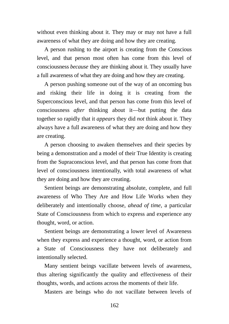without even thinking about it. They may or may not have a full awareness of what they are doing and how they are creating.

A person rushing to the airport is creating from the Conscious level, and that person most often has come from this level of consciousness *because* they are thinking about it. They usually have a full awareness of what they are doing and how they are creating.

A person pushing someone out of the way of an oncoming bus and risking their life in doing it is creating from the Superconscious level, and that person has come from this level of consciousness *after* thinking about it—but putting the data together so rapidly that it *appears* they did *not* think about it. They always have a full awareness of what they are doing and how they are creating.

A person choosing to awaken themselves and their species by being a demonstration and a model of their True Identity is creating from the Supraconscious level, and that person has come from that level of consciousness intentionally, with total awareness of what they are doing and how they are creating.

Sentient beings are demonstrating absolute, complete, and full awareness of Who They Are and How Life Works when they deliberately and intentionally choose, *ahead of time*, a particular State of Consciousness from which to express and experience any thought, word, or action.

Sentient beings are demonstrating a lower level of Awareness when they express and experience a thought, word, or action from a State of Consciousness they have not deliberately and intentionally selected.

Many sentient beings vacillate between levels of awareness, thus altering significantly the quality and effectiveness of their thoughts, words, and actions across the moments of their life.

Masters are beings who do not vacillate between levels of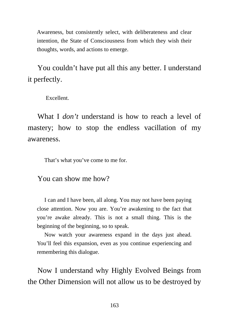Awareness, but consistently select, with deliberateness and clear intention, the State of Consciousness from which they wish their thoughts, words, and actions to emerge.

You couldn't have put all this any better. I understand it perfectly.

Excellent.

What I *don't* understand is how to reach a level of mastery; how to stop the endless vacillation of my awareness.

That's what you've come to me for.

You can show me how?

I can and I have been, all along. You may not have been paying close attention. Now you are. You're awakening to the fact that you're awake already. This is not a small thing. This is the beginning of the beginning, so to speak.

Now watch your awareness expand in the days just ahead. You'll feel this expansion, even as you continue experiencing and remembering this dialogue.

Now I understand why Highly Evolved Beings from the Other Dimension will not allow us to be destroyed by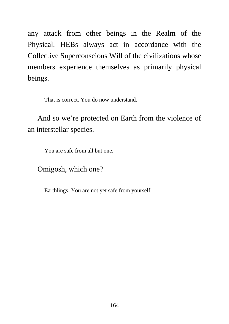any attack from other beings in the Realm of the Physical. HEBs always act in accordance with the Collective Superconscious Will of the civilizations whose members experience themselves as primarily physical beings.

That is correct. You do now understand.

And so we're protected on Earth from the violence of an interstellar species.

You are safe from all but one.

Omigosh, which one?

Earthlings. You are not yet safe from yourself.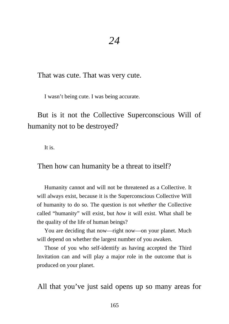That was cute. That was very cute.

I wasn't being cute. I was being accurate.

But is it not the Collective Superconscious Will of humanity not to be destroyed?

It is.

### Then how can humanity be a threat to itself?

Humanity cannot and will not be threatened as a Collective. It will always exist, because it is the Superconscious Collective Will of humanity to do so. The question is not *whether* the Collective called "humanity" will exist, but *how* it will exist. What shall be the quality of the life of human beings?

You are deciding that now—right now—on your planet. Much will depend on whether the largest number of you awaken.

Those of you who self-identify as having accepted the Third Invitation can and will play a major role in the outcome that is produced on your planet.

All that you've just said opens up so many areas for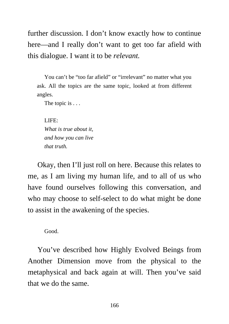further discussion. I don't know exactly how to continue here—and I really don't want to get too far afield with this dialogue. I want it to be *relevant.*

You can't be "too far afield" or "irrelevant" no matter what you ask. All the topics are the same topic, looked at from different angles.

The topic is . . .

LIFE: *What is true about it, and how you can live that truth.*

Okay, then I'll just roll on here. Because this relates to me, as I am living my human life, and to all of us who have found ourselves following this conversation, and who may choose to self-select to do what might be done to assist in the awakening of the species.

Good.

You've described how Highly Evolved Beings from Another Dimension move from the physical to the metaphysical and back again at will. Then you've said that we do the same.

166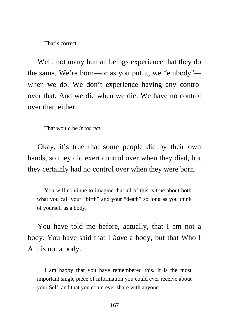That's correct.

Well, not many human beings experience that they do the same. We're born—or as you put it, we "embody" when we do. We don't experience having any control over that. And we die when we die. We have no control over that, either.

That would be *incorrect.*

Okay, it's true that some people die by their own hands, so they did exert control over when they died, but they certainly had no control over when they were born.

You will continue to imagine that all of this is true about both what you call your "birth" and your "death" so long as you think of yourself as a body*.*

You have told me before, actually, that I am not a body. You have said that I *have* a body, but that Who I Am is not a body.

I am happy that you have remembered this. It is the most important single piece of information you could ever receive about your Self, and that you could ever share with anyone.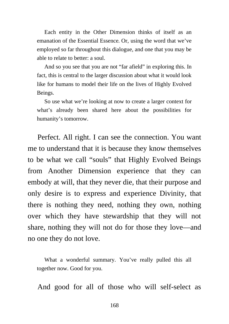Each entity in the Other Dimension thinks of itself as an emanation of the Essential Essence*.* Or, using the word that we've employed so far throughout this dialogue, and one that you may be able to relate to better: a soul.

And so you see that you are not "far afield" in exploring this. In fact, this is central to the larger discussion about what it would look like for humans to model their life on the lives of Highly Evolved Beings.

So use what we're looking at now to create a larger context for what's already been shared here about the possibilities for humanity's tomorrow.

Perfect. All right. I can see the connection. You want me to understand that it is because they know themselves to be what we call "souls" that Highly Evolved Beings from Another Dimension experience that they can embody at will, that they never die, that their purpose and only desire is to express and experience Divinity, that there is nothing they need, nothing they own, nothing over which they have stewardship that they will not share, nothing they will not do for those they love—and no one they do not love.

What a wonderful summary. You've really pulled this all together now. Good for you.

And good for all of those who will self-select as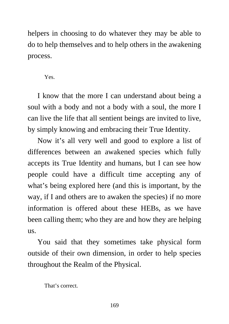helpers in choosing to do whatever they may be able to do to help themselves and to help others in the awakening process.

Yes.

I know that the more I can understand about being a soul with a body and not a body with a soul, the more I can live the life that all sentient beings are invited to live, by simply knowing and embracing their True Identity.

Now it's all very well and good to explore a list of differences between an awakened species which fully accepts its True Identity and humans, but I can see how people could have a difficult time accepting any of what's being explored here (and this is important, by the way, if I and others are to awaken the species) if no more information is offered about these HEBs, as we have been calling them; who they are and how they are helping us.

You said that they sometimes take physical form outside of their own dimension, in order to help species throughout the Realm of the Physical.

That's correct.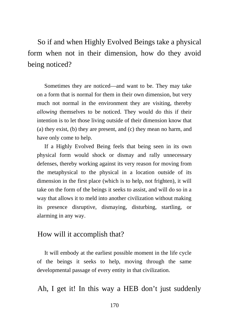So if and when Highly Evolved Beings take a physical form when not in their dimension, how do they avoid being noticed?

Sometimes they are noticed—and want to be. They may take on a form that is normal for them in their own dimension, but very much not normal in the environment they are visiting, thereby *allowing* themselves to be noticed. They would do this if their intention is to let those living outside of their dimension know that (a) they exist, (b) they are present, and (c) they mean no harm, and have only come to help.

If a Highly Evolved Being feels that being seen in its own physical form would shock or dismay and rally unnecessary defenses, thereby working against its very reason for moving from the metaphysical to the physical in a location outside of its dimension in the first place (which is to help, not frighten), it will take on the form of the beings it seeks to assist, and will do so in a way that allows it to meld into another civilization without making its presence disruptive, dismaying, disturbing, startling, or alarming in any way.

### How will it accomplish that?

It will embody at the earliest possible moment in the life cycle of the beings it seeks to help, moving through the same developmental passage of every entity in that civilization.

Ah, I get it! In this way a HEB don't just suddenly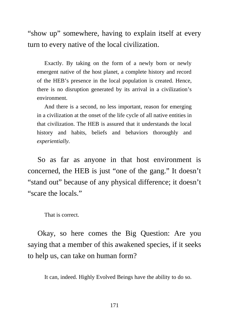"show up" somewhere, having to explain itself at every turn to every native of the local civilization.

Exactly. By taking on the form of a newly born or newly emergent native of the host planet, a complete history and record of the HEB's presence in the local population is created. Hence, there is no disruption generated by its arrival in a civilization's environment.

And there is a second, no less important, reason for emerging in a civilization at the onset of the life cycle of all native entities in that civilization. The HEB is assured that it understands the local history and habits, beliefs and behaviors thoroughly and *experientially.*

So as far as anyone in that host environment is concerned, the HEB is just "one of the gang." It doesn't "stand out" because of any physical difference; it doesn't "scare the locals."

#### That is correct.

Okay, so here comes the Big Question: Are you saying that a member of this awakened species, if it seeks to help us, can take on human form?

It can, indeed. Highly Evolved Beings have the ability to do so.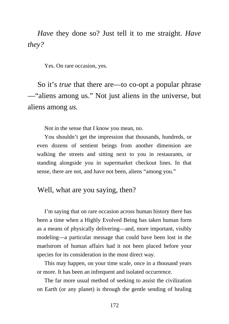*Have* they done so? Just tell it to me straight. *Have they?*

Yes. On rare occasion, yes.

So it's *true* that there are—to co-opt a popular phrase —"aliens among us." Not just aliens in the universe, but aliens among *us.*

Not in the sense that I know you mean, no.

You shouldn't get the impression that thousands, hundreds, or even dozens of sentient beings from another dimension are walking the streets and sitting next to you in restaurants, or standing alongside you in supermarket checkout lines. In that sense, there are not, and have not been, aliens "among you."

Well, what are you saying, then?

I'm saying that on rare occasion across human history there has been a time when a Highly Evolved Being has taken human form as a means of physically delivering—and, more important, visibly modeling—a particular message that could have been lost in the maelstrom of human affairs had it not been placed before your species for its consideration in the most direct way.

This may happen, on your time scale, once in a thousand years or more. It has been an infrequent and isolated occurrence.

The far more usual method of seeking to assist the civilization on Earth (or any planet) is through the gentle sending of healing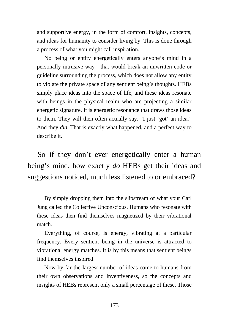and supportive energy, in the form of comfort, insights, concepts, and ideas for humanity to consider living by. This is done through a process of what you might call inspiration.

No being or entity energetically enters anyone's mind in a personally intrusive way—that would break an unwritten code or guideline surrounding the process, which does not allow any entity to violate the private space of any sentient being's thoughts. HEBs simply place ideas into the space of life, and these ideas resonate with beings in the physical realm who are projecting a similar energetic signature. It is energetic resonance that draws those ideas to them. They will then often actually say, "I just 'got' an idea." And they *did.* That is exactly what happened, and a perfect way to describe it.

So if they don't ever energetically enter a human being's mind, how exactly *do* HEBs get their ideas and suggestions noticed, much less listened to or embraced?

By simply dropping them into the slipstream of what your Carl Jung called the Collective Unconscious. Humans who resonate with these ideas then find themselves magnetized by their vibrational match.

Everything, of course, is energy, vibrating at a particular frequency. Every sentient being in the universe is attracted to vibrational energy matches. It is by this means that sentient beings find themselves inspired.

Now by far the largest number of ideas come to humans from their own observations and inventiveness, so the concepts and insights of HEBs represent only a small percentage of these. Those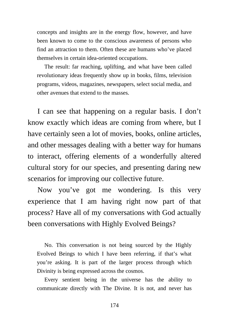concepts and insights are in the energy flow, however, and have been known to come to the conscious awareness of persons who find an attraction to them. Often these are humans who've placed themselves in certain idea-oriented occupations.

The result: far reaching, uplifting, and what have been called revolutionary ideas frequently show up in books, films, television programs, videos, magazines, newspapers, select social media, and other avenues that extend to the masses.

I can see that happening on a regular basis. I don't know exactly which ideas are coming from where, but I have certainly seen a lot of movies, books, online articles, and other messages dealing with a better way for humans to interact, offering elements of a wonderfully altered cultural story for our species, and presenting daring new scenarios for improving our collective future.

Now you've got me wondering. Is this very experience that I am having right now part of that process? Have all of my conversations with God actually been conversations with Highly Evolved Beings?

No. This conversation is not being sourced by the Highly Evolved Beings to which I have been referring, if that's what you're asking. It is part of the larger process through which Divinity is being expressed across the cosmos.

Every sentient being in the universe has the ability to communicate directly with The Divine. It is not, and never has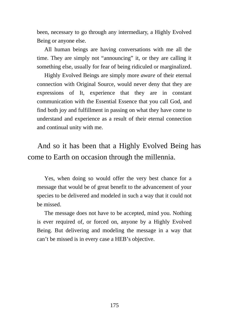been, necessary to go through any intermediary, a Highly Evolved Being or anyone else.

All human beings are having conversations with me all the time. They are simply not "announcing" it, or they are calling it something else, usually for fear of being ridiculed or marginalized.

Highly Evolved Beings are simply more *aware* of their eternal connection with Original Source, would never deny that they are expressions of It, experience that they are in constant communication with the Essential Essence that you call God, and find both joy and fulfillment in passing on what they have come to understand and experience as a result of their eternal connection and continual unity with me.

# And so it has been that a Highly Evolved Being has come to Earth on occasion through the millennia.

Yes, when doing so would offer the very best chance for a message that would be of great benefit to the advancement of your species to be delivered and modeled in such a way that it could not be missed.

The message does not have to be accepted, mind you. Nothing is ever required of, or forced on, anyone by a Highly Evolved Being. But delivering and modeling the message in a way that can't be missed is in every case a HEB's objective.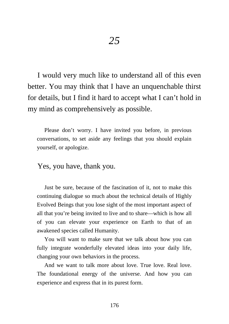I would very much like to understand all of this even better. You may think that I have an unquenchable thirst for details, but I find it hard to accept what I can't hold in my mind as comprehensively as possible.

Please don't worry. I have invited you before, in previous conversations, to set aside any feelings that you should explain yourself, or apologize.

#### Yes, you have, thank you.

Just be sure, because of the fascination of it, not to make this continuing dialogue so much about the technical details of Highly Evolved Beings that you lose sight of the most important aspect of all that you're being invited to live and to share—which is how all of you can elevate your experience on Earth to that of an awakened species called Humanity.

You will want to make sure that we talk about how you can fully integrate wonderfully elevated ideas into your daily life, changing your own behaviors in the process.

And we want to talk more about love. True love. Real love. The foundational energy of the universe. And how you can experience and express that in its purest form.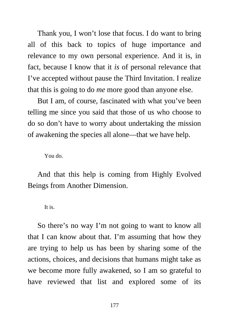Thank you, I won't lose that focus. I do want to bring all of this back to topics of huge importance and relevance to my own personal experience. And it is, in fact, because I know that it *is* of personal relevance that I've accepted without pause the Third Invitation. I realize that this is going to do *me* more good than anyone else.

But I am, of course, fascinated with what you've been telling me since you said that those of us who choose to do so don't have to worry about undertaking the mission of awakening the species all alone—that we have help.

You do.

And that this help is coming from Highly Evolved Beings from Another Dimension.

It is.

So there's no way I'm not going to want to know all that I can know about that. I'm assuming that how they are trying to help us has been by sharing some of the actions, choices, and decisions that humans might take as we become more fully awakened, so I am so grateful to have reviewed that list and explored some of its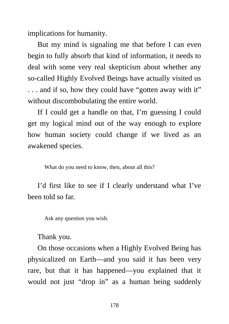implications for humanity.

But my mind is signaling me that before I can even begin to fully absorb that kind of information, it needs to deal with some very real skepticism about whether any so-called Highly Evolved Beings have actually visited us . . . and if so, how they could have "gotten away with it" without discombobulating the entire world.

If I could get a handle on that, I'm guessing I could get my logical mind out of the way enough to explore how human society could change if we lived as an awakened species.

What do you need to know, then, about all this?

I'd first like to see if I clearly understand what I've been told so far.

Ask any question you wish.

Thank you.

On those occasions when a Highly Evolved Being has physicalized on Earth—and you said it has been very rare, but that it has happened—you explained that it would not just "drop in" as a human being suddenly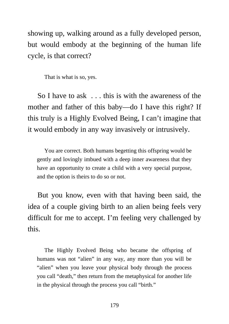showing up, walking around as a fully developed person, but would embody at the beginning of the human life cycle, is that correct?

That is what is so, yes.

So I have to ask . . . this is with the awareness of the mother and father of this baby—do I have this right? If this truly is a Highly Evolved Being, I can't imagine that it would embody in any way invasively or intrusively.

You are correct. Both humans begetting this offspring would be gently and lovingly imbued with a deep inner awareness that they have an opportunity to create a child with a very special purpose, and the option is theirs to do so or not.

But you know, even with that having been said, the idea of a couple giving birth to an alien being feels very difficult for me to accept. I'm feeling very challenged by this.

The Highly Evolved Being who became the offspring of humans was not "alien" in any way, any more than you will be "alien" when you leave your physical body through the process you call "death," then return from the metaphysical for another life in the physical through the process you call "birth."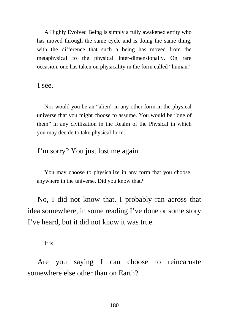A Highly Evolved Being is simply a fully awakened entity who has moved through the same cycle and is doing the same thing, with the difference that such a being has moved from the metaphysical to the physical inter-dimensionally. On rare occasion, one has taken on physicality in the form called "human."

I see.

Nor would you be an "alien" in any other form in the physical universe that you might choose to assume. You would be "one of them" in any civilization in the Realm of the Physical in which you may decide to take physical form.

### I'm sorry? You just lost me again.

You may choose to physicalize in any form that you choose, anywhere in the universe. Did you know that?

No, I did not know that. I probably ran across that idea somewhere, in some reading I've done or some story I've heard, but it did not know it was true.

It is.

Are you saying I can choose to reincarnate somewhere else other than on Earth?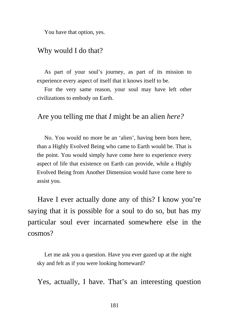You have that option, yes.

# Why would I do that?

As part of your soul's journey, as part of its mission to experience every aspect of itself that it knows itself to be.

For the very same reason, your soul may have left other civilizations to embody on Earth.

# Are you telling me that *I* might be an alien *here?*

No. You would no more be an 'alien', having been born here, than a Highly Evolved Being who came to Earth would be. That is the point. You would simply have come here to experience every aspect of life that existence on Earth can provide, while a Highly Evolved Being from Another Dimension would have come here to assist you.

Have I ever actually done any of this? I know you're saying that it is possible for a soul to do so, but has my particular soul ever incarnated somewhere else in the cosmos?

Let me ask you a question. Have you ever gazed up at the night sky and felt as if you were looking homeward?

Yes, actually, I have. That's an interesting question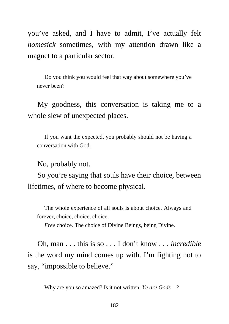you've asked, and I have to admit, I've actually felt *homesick* sometimes, with my attention drawn like a magnet to a particular sector.

Do you think you would feel that way about somewhere you've never been?

My goodness, this conversation is taking me to a whole slew of unexpected places.

If you want the expected, you probably should not be having a conversation with God.

No, probably not.

So you're saying that souls have their choice, between lifetimes, of where to become physical.

The whole experience of all souls is about choice. Always and forever, choice, choice, choice.

*Free* choice. The choice of Divine Beings, being Divine.

Oh, man . . . this is so . . . I don't know . . . *incredible* is the word my mind comes up with. I'm fighting not to say, "impossible to believe."

Why are you so amazed? Is it not written: *Ye are Gods—?*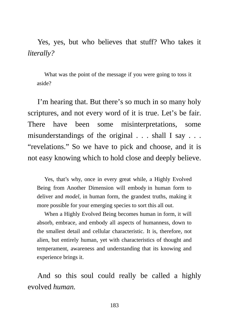Yes, yes, but who believes that stuff? Who takes it *literally?*

What was the point of the message if you were going to toss it aside?

I'm hearing that. But there's so much in so many holy scriptures, and not every word of it is true. Let's be fair. There have been some misinterpretations, some misunderstandings of the original . . . shall I say . . . "revelations." So we have to pick and choose, and it is not easy knowing which to hold close and deeply believe.

Yes, that's why, once in every great while, a Highly Evolved Being from Another Dimension will embody in human form to deliver and *model*, in human form, the grandest truths, making it more possible for your emerging species to sort this all out.

When a Highly Evolved Being becomes human in form, it will absorb, embrace, and embody all aspects of humanness, down to the smallest detail and cellular characteristic. It is, therefore, not alien, but entirely human, yet with characteristics of thought and temperament, awareness and understanding that its knowing and experience brings it.

And so this soul could really be called a highly evolved *human.*

183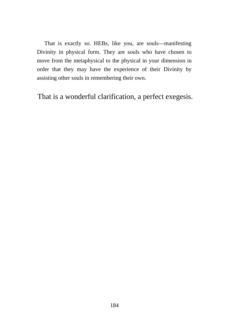That is exactly so. HEBs, like you, are souls—manifesting Divinity in physical form. They are souls who have chosen to move from the metaphysical to the physical in your dimension in order that they may have the experience of their Divinity by assisting other souls in remembering their own.

That is a wonderful clarification, a perfect exegesis.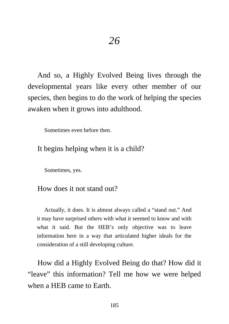And so, a Highly Evolved Being lives through the developmental years like every other member of our species, then begins to do the work of helping the species awaken when it grows into adulthood.

Sometimes even before then.

It begins helping when it is a child?

Sometimes, yes.

How does it not stand out?

Actually, it does. It is almost always called a "stand out." And it may have surprised others with what it seemed to know and with what it said. But the HEB's only objective was to leave information here in a way that articulated higher ideals for the consideration of a still developing culture.

How did a Highly Evolved Being do that? How did it "leave" this information? Tell me how we were helped when a HEB came to Earth.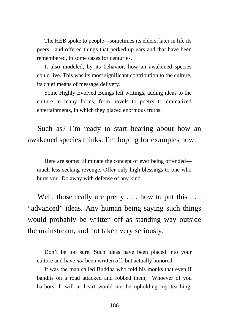The HEB spoke to people—sometimes its elders, later in life its peers—and offered things that perked up ears and that have been remembered, in some cases for centuries.

It also modeled, by its behavior, how an awakened species could live. This was its most significant contribution to the culture, its chief means of message delivery.

Some Highly Evolved Beings left writings, adding ideas to the culture in many forms, from novels to poetry to dramatized entertainments, in which they placed enormous truths.

Such as? I'm ready to start hearing about how an awakened species thinks. I'm hoping for examples now.

Here are some: Eliminate the concept of ever being offended much less seeking revenge. Offer only high blessings to one who hurts you. Do away with defense of any kind.

Well, those really are pretty  $\dots$  how to put this  $\dots$ "advanced" ideas. Any human being saying such things would probably be written off as standing way outside the mainstream, and not taken very seriously.

Don't be too sure. Such ideas have been placed into your culture and have *not* been written off, but actually honored.

It was the man called Buddha who told his monks that even if bandits on a road attacked and robbed them, "Whoever of you harbors ill will at heart would not be upholding my teaching.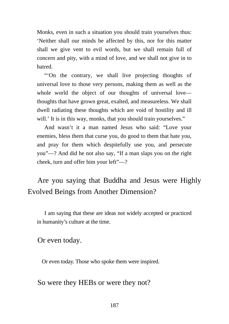Monks, even in such a situation you should train yourselves thus: 'Neither shall our minds be affected by this, nor for this matter shall we give vent to evil words, but we shall remain full of concern and pity, with a mind of love, and we shall not give in to hatred.

"'On the contrary, we shall live projecting thoughts of universal love to those very persons, making them as well as the whole world the object of our thoughts of universal love thoughts that have grown great, exalted, and measureless. We shall dwell radiating these thoughts which are void of hostility and ill will.' It is in this way, monks, that you should train yourselves."

And wasn't it a man named Jesus who said: "Love your enemies, bless them that curse you, do good to them that hate you, and pray for them which despitefully use you, and persecute you"—? And did he not also say, "If a man slaps you on the right cheek, turn and offer him your left"—?

# Are you saying that Buddha and Jesus were Highly Evolved Beings from Another Dimension?

I am saying that these are ideas not widely accepted or practiced in humanity's culture at the time.

## Or even today.

Or even today. Those who spoke them were inspired.

## So were they HEBs or were they not?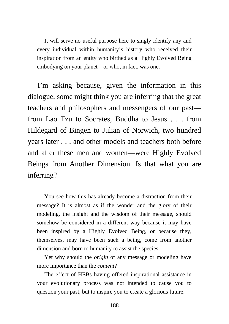It will serve no useful purpose here to singly identify any and every individual within humanity's history who received their inspiration from an entity who birthed as a Highly Evolved Being embodying on your planet—or who, in fact, was one.

I'm asking because, given the information in this dialogue, some might think you are inferring that the great teachers and philosophers and messengers of our past from Lao Tzu to Socrates, Buddha to Jesus . . . from Hildegard of Bingen to Julian of Norwich, two hundred years later . . . and other models and teachers both before and after these men and women—were Highly Evolved Beings from Another Dimension. Is that what you are inferring?

You see how this has already become a distraction from their message? It is almost as if the wonder and the glory of their modeling, the insight and the wisdom of their message, should somehow be considered in a different way because it may have been inspired by a Highly Evolved Being, or because they, themselves, may have been such a being, come from another dimension and born to humanity to assist the species.

Yet why should the *origin* of any message or modeling have more importance than the *content*?

The effect of HEBs having offered inspirational assistance in your evolutionary process was not intended to cause you to question your past, but to inspire you to create a glorious future.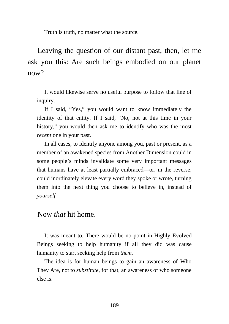Truth is truth, no matter what the source.

Leaving the question of our distant past, then, let me ask you this: Are such beings embodied on our planet now?

It would likewise serve no useful purpose to follow that line of inquiry.

If I said, "Yes," you would want to know immediately the identity of that entity. If I said, "No, not at this time in your history," you would then ask me to identify who was the most *recent* one in your past.

In all cases, to identify anyone among you, past or present, as a member of an awakened species from Another Dimension could in some people's minds invalidate some very important messages that humans have at least partially embraced—or, in the reverse, could inordinately elevate every word they spoke or wrote, turning them into the next thing you choose to believe in, instead of *yourself.*

# Now *that* hit home.

It was meant to. There would be no point in Highly Evolved Beings seeking to help humanity if all they did was cause humanity to start seeking help from *them.*

The idea is for human beings to gain an awareness of Who They Are, not to *substitute,* for that, an awareness of who someone else is.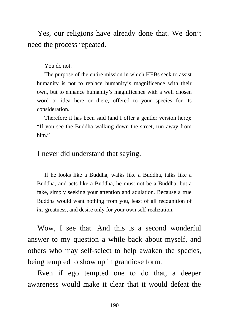Yes, our religions have already done that. We don't need the process repeated.

You do not.

The purpose of the entire mission in which HEBs seek to assist humanity is not to replace humanity's magnificence with their own, but to enhance humanity's magnificence with a well chosen word or idea here or there, offered to your species for its consideration.

Therefore it has been said (and I offer a gentler version here): "If you see the Buddha walking down the street, run away from him"

#### I never did understand that saying.

If he looks like a Buddha, walks like a Buddha, talks like a Buddha, and acts like a Buddha, he must not be a Buddha, but a fake, simply seeking your attention and adulation. Because a true Buddha would want nothing from you, least of all recognition of *his* greatness, and desire only for your own self-realization.

Wow, I see that. And this is a second wonderful answer to my question a while back about myself, and others who may self-select to help awaken the species, being tempted to show up in grandiose form.

Even if ego tempted one to do that, a deeper awareness would make it clear that it would defeat the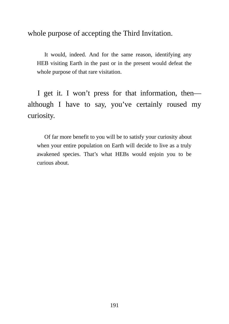whole purpose of accepting the Third Invitation.

It would, indeed. And for the same reason, identifying any HEB visiting Earth in the past or in the present would defeat the whole purpose of that rare visitation.

I get it. I won't press for that information, then although I have to say, you've certainly roused my curiosity.

Of far more benefit to you will be to satisfy your curiosity about when your entire population on Earth will decide to live as a truly awakened species. That's what HEBs would enjoin you to be curious about.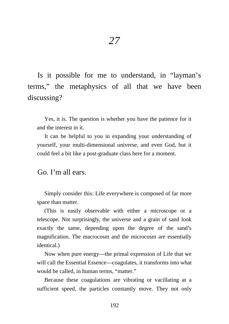Is it possible for me to understand, in "layman's terms, " the metaphysics of all that we have been discussing?

Yes, it is. The question is whether you have the patience for it and the interest in it.

It can be helpful to you in expanding your understanding of yourself, your multi-dimensional universe, and even God, but it could feel a bit like a post-graduate class here for a moment.

Go. I'm all ears.

Simply consider this: Life everywhere is composed of far more space than matter.

(This is easily observable with either a microscope or a telescope. Not surprisingly, the universe and a grain of sand look exactly the same, depending upon the degree of the sand's magnification. The macrocosm and the microcosm are essentially identical.)

Now when pure energy—the primal expression of Life that we will call the Essential Essence—coagulates, it transforms into what would be called, in human terms, "matter."

Because these coagulations are vibrating or vacillating at a sufficient speed, the particles constantly move. They not only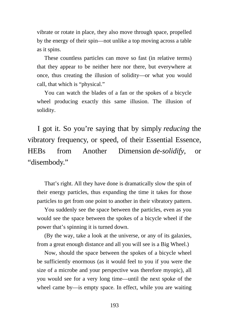vibrate or rotate in place, they also move through space, propelled by the energy of their spin—not unlike a top moving across a table as it spins.

These countless particles can move so fast (in relative terms) that they appear to be neither here nor there, but everywhere at once, thus creating the illusion of solidity—or what you would call, that which is "physical."

You can watch the blades of a fan or the spokes of a bicycle wheel producing exactly this same illusion. The illusion of solidity.

I got it. So you're saying that by simply *reducing* the vibratory frequency, or speed, of their Essential Essence, HEBs from Another Dimension *de-solidify*, or "disembody."

That's right. All they have done is dramatically slow the spin of their energy particles, thus expanding the time it takes for those particles to get from one point to another in their vibratory pattern.

You suddenly see the space between the particles, even as you would see the space between the spokes of a bicycle wheel if the power that's spinning it is turned down.

(By the way, take a look at the universe, or any of its galaxies, from a great enough distance and all you will see is a Big Wheel.)

Now, should the space between the spokes of a bicycle wheel be sufficiently enormous (as it would feel to you if you were the size of a microbe and your perspective was therefore myopic), all you would see for a very long time—until the next spoke of the wheel came by—is empty space. In effect, while you are waiting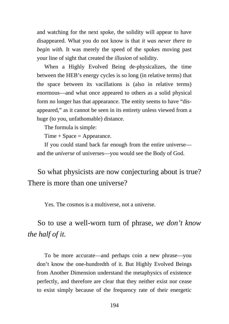and watching for the next spoke, the solidity will appear to have disappeared. What you do not know is that *it was never there to begin with.* It was merely the speed of the spokes moving past your line of sight that created the *illusion* of solidity.

When a Highly Evolved Being de-physicalizes, the time between the HEB's energy cycles is so long (in relative terms) that the space between its vacillations is (also in relative terms) enormous—and what once appeared to others as a solid physical form no longer has that appearance. The entity seems to have "disappeared," as it cannot be seen in its entirety unless viewed from a huge (to you, unfathomable) distance.

The formula is simple:

Time + Space = Appearance.

If you could stand back far enough from the entire universe and the *universe* of universes—you would see the Body of God.

So what physicists are now conjecturing about is true? There is more than one universe?

Yes. The cosmos is a multiverse, not a universe.

So to use a well-worn turn of phrase, *we don't know the half of it.*

To be more accurate—and perhaps coin a new phrase—you don't know the one-hundredth of it. But Highly Evolved Beings from Another Dimension understand the metaphysics of existence perfectly, and therefore are clear that they neither exist nor cease to exist simply because of the frequency rate of their energetic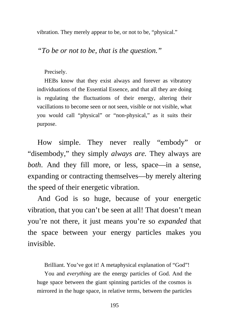vibration. They merely appear to be, or not to be, "physical."

*"To be or not to be, that is the question."*

Precisely.

HEBs know that they exist always and forever as vibratory individuations of the Essential Essence, and that all they are doing is regulating the fluctuations of their energy, altering their vacillations to become seen or not seen, visible or not visible, what you would call "physical" or "non-physical," as it suits their purpose.

How simple. They never really "embody" or "disembody, " they simply *always are.* They always are *both*. And they fill more, or less, space—in a sense, expanding or contracting themselves—by merely altering the speed of their energetic vibration.

And God is so huge, because of your energetic vibration, that you can't be seen at all! That doesn't mean you're not there, it just means you're so *expanded* that the space between your energy particles makes you invisible.

Brilliant. You've got it! A metaphysical explanation of "God"!

You and *everything* are the energy particles of God. And the huge space between the giant spinning particles of the cosmos is mirrored in the huge space, in relative terms, between the particles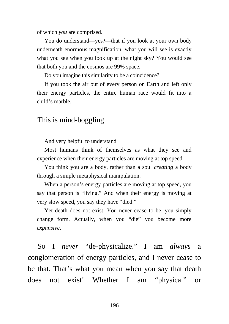of which *you* are comprised.

You do understand—yes?—that if you look at your own body underneath enormous magnification, what you will see is exactly what you see when you look up at the night sky? You would see that both you and the cosmos are 99% space.

Do you imagine this similarity to be a coincidence?

If you took the air out of every person on Earth and left only their energy particles, the entire human race would fit into a child's marble.

#### This is mind-boggling.

And very helpful to understand

Most humans think of themselves as what they see and experience when their energy particles are moving at top speed.

You think you are a body, rather than a soul *creating* a body through a simple metaphysical manipulation.

When a person's energy particles are moving at top speed, you say that person is "living." And when their energy is moving at very slow speed, you say they have "died."

Yet death does not exist. You never cease to be, you simply change form. Actually, when you "die" you become more *expansive*.

So I *never* "de-physicalize." I am *always* a conglomeration of energy particles, and I never cease to be that. That's what you mean when you say that death does not exist! Whether I am "physical" or

196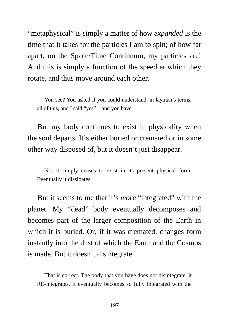"metaphysical" is simply a matter of how *expanded* is the time that it takes for the particles I am to spin; of how far apart, on the Space/Time Continuum, my particles are! And this is simply a function of the speed at which they rotate, and thus move around each other.

You see? You asked if you could understand, in layman's terms, all of this, and I said "yes"—and you have.

But my body continues to exist in physicality when the soul departs. It's either buried or cremated or in some other way disposed of, but it doesn't just disappear.

No, it simply ceases to exist in its present physical form. Eventually it dissipates.

But it seems to me that it's *more* "integrated" with the planet. My "dead" body eventually decomposes and becomes part of the larger composition of the Earth in which it is buried. Or, if it was cremated, changes form instantly into the dust of which the Earth and the Cosmos is made. But it doesn't disintegrate.

That is correct. The body that you have does not disintegrate, it RE-integrates. It eventually becomes so fully integrated with the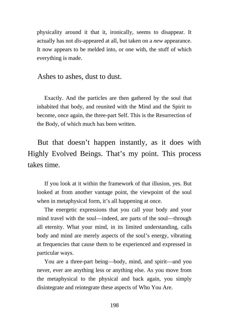physicality around it that it, ironically, seems to disappear. It actually has not *dis*-appeared at all, but taken on a *new* appearance. It now appears to be melded into, or one with, the stuff of which everything is made.

Ashes to ashes, dust to dust.

Exactly. And the particles are then gathered by the soul that inhabited that body, and reunited with the Mind and the Spirit to become, once again, the three-part Self. This is the Resurrection of the Body, of which much has been written.

But that doesn't happen instantly, as it does with Highly Evolved Beings. That's my point. This process takes time.

If you look at it within the framework of that illusion, yes. But looked at from another vantage point, the viewpoint of the soul when in metaphysical form, it's all happening at once.

The energetic expressions that you call your body and your mind travel with the soul—indeed, are parts of the soul—through all eternity. What your mind, in its limited understanding, calls body and mind are merely aspects of the soul's energy, vibrating at frequencies that cause them to be experienced and expressed in particular ways.

You are a three-part being—body, mind, and spirit—and you never, ever are anything less or anything else. As you move from the metaphysical to the physical and back again, you simply disintegrate and reintegrate these aspects of Who You Are.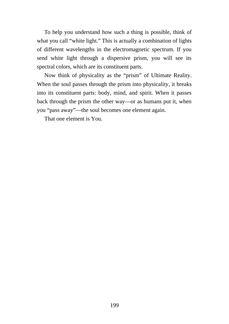To help you understand how such a thing is possible, think of what you call "white light." This is actually a combination of lights of different wavelengths in the electromagnetic spectrum. If you send white light through a dispersive prism, you will see its spectral colors, which are its constituent parts.

Now think of physicality as the "prism" of Ultimate Reality. When the soul passes through the prism into physicality, it breaks into its constituent parts: body, mind, and spirit. When it passes back through the prism the other way—or as humans put it, when you "pass away"—the soul becomes one element again.

That one element is You.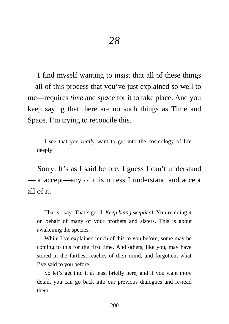I find myself wanting to insist that all of these things —all of this process that you've just explained so well to me—requires *time* and *space* for it to take place. And you keep saying that there are no such things as Time and Space. I'm trying to reconcile this.

I see that you *really* want to get into the cosmology of life deeply.

Sorry. It's as I said before. I guess I can't understand —or accept—any of this unless I understand and accept all of it.

That's okay. That's good. *Keep being skeptical*. You're doing it on behalf of many of your brothers and sisters. This is about awakening the species.

While I've explained much of this to you before, some may be coming to this for the first time. And others, like you, may have stored in the farthest reaches of their mind, and forgotten, what I've said to you before.

So let's get into it at least briefly here, and if you want more detail, you can go back into our previous dialogues and re-read them.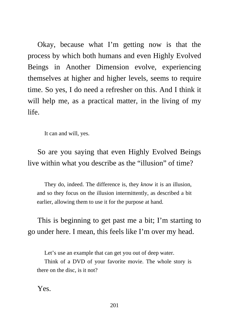Okay, because what I'm getting now is that the process by which both humans and even Highly Evolved Beings in Another Dimension evolve, experiencing themselves at higher and higher levels, seems to require time. So yes, I do need a refresher on this. And I think it will help me, as a practical matter, in the living of my life.

It can and will, yes.

So are you saying that even Highly Evolved Beings live within what you describe as the "illusion" of time?

They do, indeed. The difference is, they *know* it is an illusion, and so they focus on the illusion intermittently, as described a bit earlier, allowing them to use it for the purpose at hand.

This is beginning to get past me a bit; I'm starting to go under here. I mean, this feels like I'm over my head.

Let's use an example that can get you out of deep water.

Think of a DVD of your favorite movie. The whole story is there on the disc, is it not?

Yes.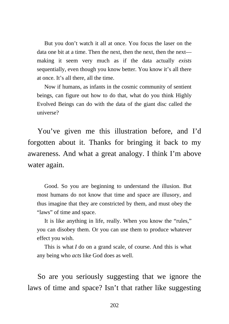But you don't watch it all at once. You focus the laser on the data one bit at a time. Then the next, then the next, then the next making it seem very much as if the data actually *exists* sequentially, even though you know better. You know it's all there at once. It's all there, all the time.

Now if humans, as infants in the cosmic community of sentient beings, can figure out how to do that, what do you think Highly Evolved Beings can do with the data of the giant disc called the universe?

You've given me this illustration before, and I'd forgotten about it. Thanks for bringing it back to my awareness. And what a great analogy. I think I'm above water again.

Good. So you are beginning to understand the illusion. But most humans do not know that time and space are illusory, and thus imagine that they are constricted by them, and must obey the "laws" of time and space.

It is like anything in life, really. When you know the "rules," you can disobey them. Or you can use them to produce whatever effect you wish.

This is what *I* do on a grand scale, of course. And this is what any being who *acts* like God does as well.

So are you seriously suggesting that we ignore the laws of time and space? Isn't that rather like suggesting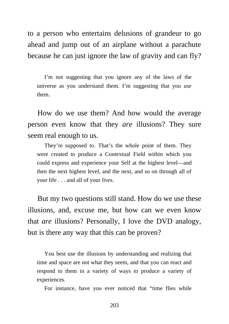to a person who entertains delusions of grandeur to go ahead and jump out of an airplane without a parachute because he can just ignore the law of gravity and can fly?

I'm not suggesting that you ignore any of the laws of the universe as you understand them. I'm suggesting that you *use* them.

How do we use them? And how would the average person even know that they *are* illusions? They sure seem real enough to us.

They're supposed to. That's the whole point of them. They were created to produce a Contextual Field within which you could express and experience your Self at the highest level—and then the next highest level, and the next, and so on through all of your life . . . and all of your *lives.*

But my two questions still stand. How do we use these illusions, and, excuse me, but how can we even know that *are* illusions? Personally, I love the DVD analogy, but is there any way that this can be proven?

You best use the illusions by understanding and realizing that time and space are not what they seem, and that you can react and respond to them in a variety of ways to produce a variety of experiences.

For instance, have you ever noticed that "time flies while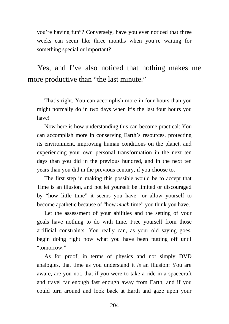you're having fun"? Conversely, have you ever noticed that three weeks can seem like three months when you're waiting for something special or important?

# Yes, and I've also noticed that nothing makes me more productive than "the last minute."

That's right. You can accomplish more in four hours than you might normally do in two days when it's the last four hours you have!

Now here is how understanding this can become practical: You can accomplish more in conserving Earth's resources, protecting its environment, improving human conditions on the planet, and experiencing your own personal transformation in the next ten days than you did in the previous hundred, and in the next ten years than you did in the previous century, if you choose to.

The first step in making this possible would be to accept that Time is an illusion, and not let yourself be limited or discouraged by "how little time" it seems you have—or allow yourself to become apathetic because of "how *much* time" you think you have.

Let the assessment of your abilities and the setting of your goals have nothing to do with time. Free yourself from those artificial constraints. You really can, as your old saying goes, begin doing right now what you have been putting off until "tomorrow."

As for proof, in terms of physics and not simply DVD analogies, that time as you understand it *is* an illusion: You are aware, are you not, that if you were to take a ride in a spacecraft and travel far enough fast enough away from Earth, and if you could turn around and look back at Earth and gaze upon your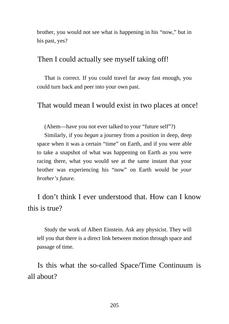brother, you would not see what is happening in his "now," but in his past, yes?

# Then I could actually see myself taking off!

That is correct. If you could travel far away fast enough, you could turn back and peer into your own past.

That would mean I would exist in two places at once!

(Ahem—have you not ever talked to your "future self"?)

Similarly, if you *began* a journey from a position in deep, deep space when it was a certain "time" on Earth, and if you were able to take a snapshot of what was happening on Earth as you were racing there, what you would see at the same instant that your brother was experiencing his "now" on Earth would be *your brother's future.*

I don't think I ever understood that. How can I know this is true?

Study the work of Albert Einstein. Ask any physicist. They will tell you that there is a direct link between motion through space and passage of time.

Is this what the so-called Space/Time Continuum is all about?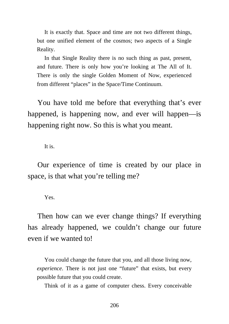It is exactly that. Space and time are not two different things, but one unified element of the cosmos; two aspects of a Single Reality.

In that Single Reality there is no such thing as past, present, and future. There is only how you're looking at The All of It. There is only the single Golden Moment of Now, experienced from different "places" in the Space/Time Continuum.

You have told me before that everything that's ever happened, is happening now, and ever will happen—is happening right now. So this is what you meant.

It is.

Our experience of time is created by our place in space, is that what you're telling me?

Yes.

Then how can we ever change things? If everything has already happened, we couldn't change our future even if we wanted to!

You could change the future that you, and all those living now, *experience*. There is not just one "future" that exists, but every possible future that you could create.

Think of it as a game of computer chess. Every conceivable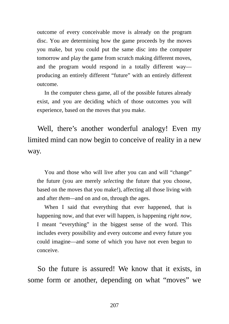outcome of every conceivable move is already on the program disc. You are determining how the game proceeds by the moves you make, but you could put the same disc into the computer tomorrow and play the game from scratch making different moves, and the program would respond in a totally different way producing an entirely different "future" with an entirely different outcome.

In the computer chess game, all of the possible futures already exist, and you are deciding which of those outcomes you will experience, based on the moves that you make.

Well, there's another wonderful analogy! Even my limited mind can now begin to conceive of reality in a new way.

You and those who will live after you can and will "change" the future (you are merely *selecting* the future that you choose, based on the moves that you make!), affecting all those living with and after *them—*and on and on, through the ages.

When I said that everything that ever happened, that is happening now, and that ever will happen, is happening *right now*, I meant "everything" in the biggest sense of the word. This includes every possibility and every outcome and every future you could imagine—and some of which you have not even begun to conceive.

So the future is assured! We know that it exists, in some form or another, depending on what "moves" we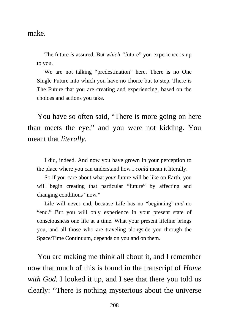make.

The future *is* assured. But *which "*future" you experience is up to you.

We are not talking "predestination" here. There is no One Single Future into which you have no choice but to step. There is The Future that you are creating and experiencing, based on the choices and actions you take.

You have so often said, "There is more going on here than meets the eye, " and you were not kidding. You meant that *literally.*

I did, indeed. And now you have grown in your perception to the place where you can understand how I *could* mean it literally.

So if you care about what *your* future will be like on Earth, you will begin creating that particular "future" by affecting and changing conditions "now."

Life will never end, because Life has no "beginning" *and* no "end." But you will only experience in your present state of consciousness one life at a time. What your present lifeline brings you, and all those who are traveling alongside you through the Space/Time Continuum, depends on you and on them.

You are making me think all about it, and I remember now that much of this is found in the transcript of *Home with God.* I looked it up, and I see that there you told us clearly: "There is nothing mysterious about the universe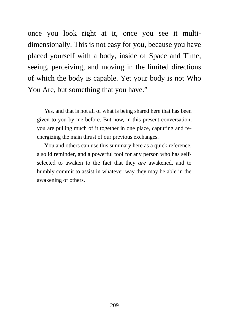once you look right at it, once you see it multidimensionally. This is not easy for you, because you have placed yourself with a body, inside of Space and Time, seeing, perceiving, and moving in the limited directions of which the body is capable. Yet your body is not Who You Are, but something that you have."

Yes, and that is not all of what is being shared here that has been given to you by me before. But now, in this present conversation, you are pulling much of it together in one place, capturing and reenergizing the main thrust of our previous exchanges.

You and others can use this summary here as a quick reference, a solid reminder, and a powerful tool for any person who has selfselected to awaken to the fact that they *are* awakened, and to humbly commit to assist in whatever way they may be able in the awakening of others.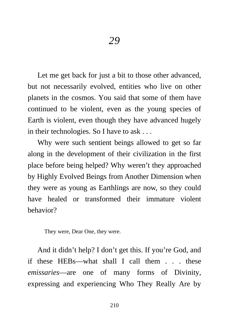Let me get back for just a bit to those other advanced, but not necessarily evolved, entities who live on other planets in the cosmos. You said that some of them have continued to be violent, even as the young species of Earth is violent, even though they have advanced hugely in their technologies. So I have to ask . . .

Why were such sentient beings allowed to get so far along in the development of their civilization in the first place before being helped? Why weren't they approached by Highly Evolved Beings from Another Dimension when they were as young as Earthlings are now, so they could have healed or transformed their immature violent behavior?

They were, Dear One, they were.

And it didn't help? I don't get this. If you're God, and if these HEBs—what shall I call them . . . these *emissaries*—are one of many forms of Divinity, expressing and experiencing Who They Really Are by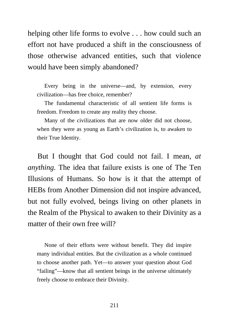helping other life forms to evolve . . . how could such an effort not have produced a shift in the consciousness of those otherwise advanced entities, such that violence would have been simply abandoned?

Every being in the universe—and, by extension, every civilization—has free choice, remember?

The fundamental characteristic of all sentient life forms is freedom. Freedom to create any reality they choose.

Many of the civilizations that are now older did not choose, when they were as young as Earth's civilization is, to awaken to their True Identity.

But I thought that God could not fail. I mean, *at anything.* The idea that failure exists is one of The Ten Illusions of Humans. So how is it that the attempt of HEBs from Another Dimension did not inspire advanced, but not fully evolved, beings living on other planets in the Realm of the Physical to awaken to their Divinity as a matter of their own free will?

None of their efforts were without benefit. They did inspire many individual entities. But the civilization as a whole continued to choose another path. Yet—to answer your question about God "failing"—know that all sentient beings in the universe ultimately freely choose to embrace their Divinity.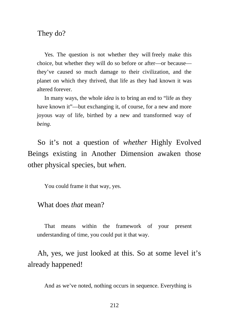# They do?

Yes. The question is not whether they will freely make this choice, but whether they will do so before or after—or because they've caused so much damage to their civilization, and the planet on which they thrived, that life as they had known it was altered forever.

In many ways, the whole *idea* is to bring an end to "life as they have known it"—but exchanging it, of course, for a new and more joyous way of life, birthed by a new and transformed way of *being.*

So it's not a question of *whether* Highly Evolved Beings existing in Another Dimension awaken those other physical species, but *when.*

You could frame it that way, yes.

What does *that* mean?

That means within the framework of your present understanding of time, you could put it that way.

Ah, yes, we just looked at this. So at some level it's already happened!

And as we've noted, nothing occurs in sequence. Everything is

212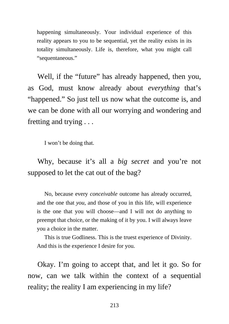happening simultaneously. Your individual experience of this reality appears to you to be sequential, yet the reality exists in its totality simultaneously. Life is, therefore, what you might call "sequentaneous."

Well, if the "future" has already happened, then you, as God, must know already about *everything* that's "happened." So just tell us now what the outcome is, and we can be done with all our worrying and wondering and fretting and trying . . .

I won't be doing that.

Why, because it's all a *big secret* and you're not supposed to let the cat out of the bag?

No, because every *conceivable* outcome has already occurred, and the one that *you*, and those of you in this life, will experience is the one that you will choose—and I will not do anything to preempt that choice, or the making of it by you. I will always leave you a choice in the matter.

This is true Godliness. This is the truest experience of Divinity. And this is the experience I desire for you.

Okay. I'm going to accept that, and let it go. So for now, can we talk within the context of a sequential reality; the reality I am experiencing in my life?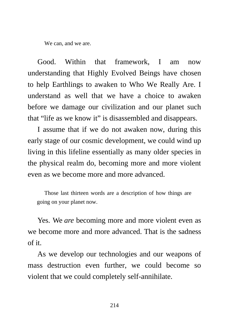We can, and we are.

Good. Within that framework, I am now understanding that Highly Evolved Beings have chosen to help Earthlings to awaken to Who We Really Are. I understand as well that we have a choice to awaken before we damage our civilization and our planet such that "life as we know it" is disassembled and disappears.

I assume that if we do not awaken now, during this early stage of our cosmic development, we could wind up living in this lifeline essentially as many older species in the physical realm do, becoming more and more violent even as we become more and more advanced.

Those last thirteen words are a description of how things are going on your planet now.

Yes. We *are* becoming more and more violent even as we become more and more advanced. That is the sadness of it.

As we develop our technologies and our weapons of mass destruction even further, we could become so violent that we could completely self-annihilate.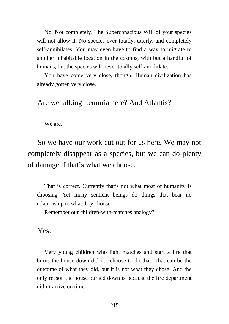No. Not completely. The Superconscious Will of your species will not allow it. No species ever totally, utterly, and completely self-annihilates. You may even have to find a way to migrate to another inhabitable location in the cosmos, with but a handful of humans, but the species will never totally self-annihilate.

You have come very close, though. Human civilization has already gotten very close.

## Are we talking Lemuria here? And Atlantis?

We are.

So we have our work cut out for us here. We may not completely disappear as a species, but we can do plenty of damage if that's what we choose.

That is correct. Currently that's not what most of humanity is choosing. Yet many sentient beings do things that bear no relationship to what they choose.

Remember our children-with-matches analogy?

Yes.

Very young children who light matches and start a fire that burns the house down did not choose to do that. That can be the outcome of what they did, but it is not what they chose. And the only reason the house burned down is because the fire department didn't arrive on time.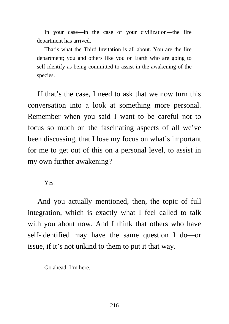In your case—in the case of your civilization—the fire department has arrived.

That's what the Third Invitation is all about. You are the fire department; you and others like you on Earth who are going to self-identify as being committed to assist in the awakening of the species.

If that's the case, I need to ask that we now turn this conversation into a look at something more personal. Remember when you said I want to be careful not to focus so much on the fascinating aspects of all we've been discussing, that I lose my focus on what's important for me to get out of this on a personal level, to assist in my own further awakening?

Yes.

And you actually mentioned, then, the topic of full integration, which is exactly what I feel called to talk with you about now. And I think that others who have self-identified may have the same question I do—or issue, if it's not unkind to them to put it that way.

Go ahead. I'm here.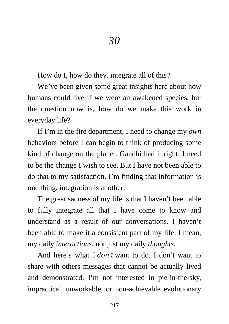How do I, how do they, integrate all of this?

We've been given some great insights here about how humans could live if we were an awakened species, but the question now is, how do we make this work in everyday life?

If I'm in the fire department, I need to change my *own* behaviors before I can begin to think of producing some kind of change on the planet. Gandhi had it right. I need to be the change I wish to see. But I have not been able to do that to my satisfaction. I'm finding that information is one thing, integration is another.

The great sadness of my life is that I haven't been able to fully integrate all that I have come to know and understand as a result of our conversations. I haven't been able to make it a consistent part of my life. I mean, my daily *interactions*, not just my daily *thoughts.*

And here's what I *don't* want to do. I don't want to share with others messages that cannot be actually lived and demonstrated. I'm not interested in pie-in-the-sky, impractical, unworkable, or non-achievable evolutionary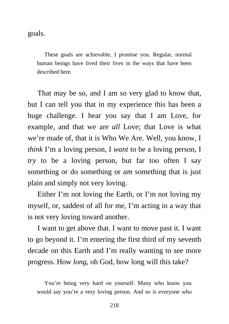goals.

These goals are achievable, I promise you. Regular, normal human beings have lived their lives in the ways that have been described here.

That may be so, and I am so very glad to know that, but I can tell you that in my experience this has been a huge challenge. I hear you say that I am Love, for example, and that we are *all* Love; that Love is what we're made of, that it is Who We Are. Well, you know, I *think* I'm a loving person, I *want* to be a loving person, I *try* to be a loving person, but far too often I say something or do something or *am* something that is just plain and simply not very loving.

Either I'm not loving the Earth, or I'm not loving my myself, or, saddest of all for me, I'm acting in a way that is not very loving toward another.

I want to get above that. I want to move past it. I want to go beyond it. I'm entering the first third of my seventh decade on this Earth and I'm really wanting to see more progress. How *long*, oh God, how long will this take?

You're being very hard on yourself. Many who know you would say you're a very loving person. And so is everyone who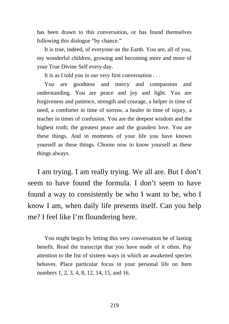has been drawn to this conversation, or has found themselves following this dialogue "by chance."

It is true, indeed, of everyone on the Earth. You are, all of you, my wonderful children, growing and becoming more and more of your True Divine Self every day.

It is as I told you in our very first conversation . . .

You are goodness and mercy and compassion and understanding. You are peace and joy and light. You are forgiveness and patience, strength and courage, a helper in time of need, a comforter in time of sorrow, a healer in time of injury, a teacher in times of confusion. You are the deepest wisdom and the highest truth; the greatest peace and the grandest love. You are these things. And in moments of your life you have known yourself as these things. Choose now to know yourself as these things always.

I am trying. I am really trying. We all are. But I don't seem to have found the formula. I don't seem to have found a way to consistently be who I want to be, who I know I am, when daily life presents itself. Can you help me? I feel like I'm floundering here.

You might begin by letting this very conversation be of lasting benefit. Read the transcript that you have made of it often. Pay attention to the list of sixteen ways in which an awakened species behaves. Place particular focus in your personal life on Item numbers 1, 2, 3, 4, 8, 12, 14, 15, and 16.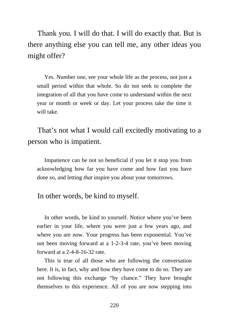Thank you. I will do that. I will do exactly that. But is there anything else you can tell me, any other ideas you might offer?

Yes. Number one, see your whole life as the process, not just a small period within that whole. So do not seek to complete the integration of all that you have come to understand within the next year or month or week or day. Let your process take the time it will take.

That's not what I would call excitedly motivating to a person who is impatient.

Impatience can be not so beneficial if you let it stop you from acknowledging how far you have come and how fast you have done so, and letting *that* inspire you about your tomorrows.

In other words, be kind to myself.

In other words, be kind to yourself. Notice where you've been earlier in your life, where you were just a few years ago, and where you are now. Your progress has been exponential. You've not been moving forward at a 1-2-3-4 rate, you've been moving forward at a 2-4-8-16-32 rate.

This is true of all those who are following the conversation here. It is, in fact, why and how they have come to do so. They are not following this exchange "by chance." They have brought themselves to this experience. All of you are now stepping into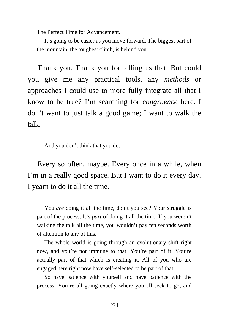The Perfect Time for Advancement.

It's going to be easier as you move forward. The biggest part of the mountain, the toughest climb, is behind you.

Thank you. Thank you for telling us that. But could you give me any practical tools, any *methods* or approaches I could use to more fully integrate all that I know to be true? I'm searching for *congruence* here. I don't want to just talk a good game; I want to walk the talk.

And you don't think that you do.

Every so often, maybe. Every once in a while, when I'm in a really good space. But I want to do it every day. I yearn to do it all the time.

You *are* doing it all the time, don't you see? Your struggle is part of the process. It's *part* of doing it all the time. If you weren't walking the talk all the time, you wouldn't pay ten seconds worth of attention to any of this.

The whole world is going through an evolutionary shift right now, and you're not immune to that. You're part of it. You're actually part of that which is creating it. All of you who are engaged here right now have self-selected to be part of that.

So have patience with yourself and have patience with the process. You're all going exactly where you all seek to go, and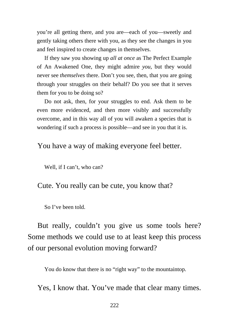you're all getting there, and you are—each of you—sweetly and gently taking others there with you, as they see the changes in you and feel inspired to create changes in themselves.

If they saw you showing up *all at once* as The Perfect Example of An Awakened One, they might admire *you*, but they would never see *themselves* there. Don't you see, then, that you are going through your struggles on their behalf? Do you see that it serves them for you to be doing so?

Do not ask, then, for your struggles to end. Ask them to be even more evidenced, and then more visibly and successfully overcome, and in this way all of you will awaken a species that is wondering if such a process is possible—and see in you that it is.

## You have a way of making everyone feel better.

Well, if I can't, who can?

#### Cute. You really can be cute, you know that?

So I've been told.

But really, couldn't you give us some tools here? Some methods we could use to at least keep this process of our personal evolution moving forward?

You do know that there is no "right way" to the mountaintop.

Yes, I know that. You've made that clear many times.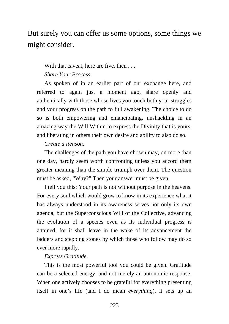# But surely you can offer us some options, some things we might consider.

With that caveat, here are five, then . . . *Share Your Process*.

As spoken of in an earlier part of our exchange here, and referred to again just a moment ago, share openly and authentically with those whose lives you touch both your struggles and your progress on the path to full awakening. The choice to do so is both empowering and emancipating, unshackling in an amazing way the Will Within to express the Divinity that is yours, and liberating in others their own desire and ability to also do so.

#### *Create a Reason*.

The challenges of the path you have chosen may, on more than one day, hardly seem worth confronting unless you accord them greater meaning than the simple triumph over them. The question must be asked, "Why?" Then your answer must be given.

I tell you this: Your path is not without purpose in the heavens. For every soul which would grow to know in its experience what it has always understood in its awareness serves not only its own agenda, but the Superconscious Will of the Collective, advancing the evolution of a species even as its individual progress is attained, for it shall leave in the wake of its advancement the ladders and stepping stones by which those who follow may do so ever more rapidly.

#### *Express Gratitude*.

This is the most powerful tool you could be given. Gratitude can be a selected energy, and not merely an autonomic response. When one actively chooses to be grateful for everything presenting itself in one's life (and I do mean *everything*), it sets up an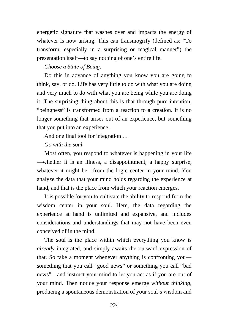energetic signature that washes over and impacts the energy of whatever is now arising. This can transmogrify (defined as: "To transform, especially in a surprising or magical manner") the presentation itself—to say nothing of one's entire life.

*Choose a State of Being*.

Do this in advance of anything you know you are going to think, say, or do. Life has very little to do with what you are doing and very much to do with what you are being while you are doing it. The surprising thing about this is that through pure intention, "beingness" is transformed from a reaction to a creation. It is no longer something that arises out of an experience, but something that you put into an experience.

And one final tool for integration . . .

*Go with the soul*.

Most often, you respond to whatever is happening in your life —whether it is an illness, a disappointment, a happy surprise, whatever it might be—from the logic center in your mind. You analyze the data that your mind holds regarding the experience at hand, and that is the place from which your reaction emerges.

It is possible for you to cultivate the ability to respond from the wisdom center in your soul. Here, the data regarding the experience at hand is unlimited and expansive, and includes considerations and understandings that may not have been even conceived of in the mind.

The soul is the place within which everything you know is *already* integrated, and simply awaits the outward expression of that. So take a moment whenever anything is confronting you something that you call "good news" or something you call "bad news"—and instruct your mind to let you act as if you are out of your mind. Then notice your response emerge *without thinking*, producing a spontaneous demonstration of your soul's wisdom and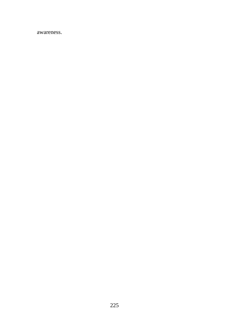awareness.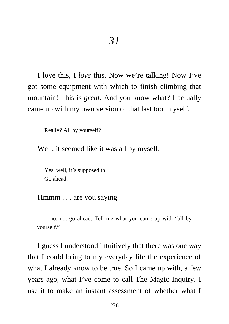I love this, I *love* this. Now we're talking! Now I've got some equipment with which to finish climbing that mountain! This is *great.* And you know what? I actually came up with my own version of that last tool myself.

Really? All by yourself?

Well, it seemed like it was all by myself.

Yes, well, it's supposed to. Go ahead.

Hmmm . . . are you saying—

—no, no, go ahead. Tell me what you came up with "all by yourself."

I guess I understood intuitively that there was one way that I could bring to my everyday life the experience of what I already know to be true. So I came up with, a few years ago, what I've come to call The Magic Inquiry. I use it to make an instant assessment of whether what I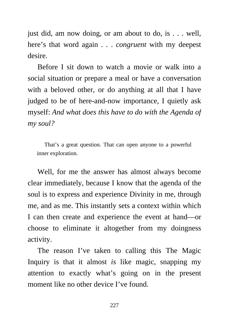just did, am now doing, or am about to do, is . . . well, here's that word again . . . *congruent* with my deepest desire.

Before I sit down to watch a movie or walk into a social situation or prepare a meal or have a conversation with a beloved other, or do anything at all that I have judged to be of here-and-now importance, I quietly ask myself: *And what does this have to do with the Agenda of my soul?*

That's a great question. That can open anyone to a powerful inner exploration.

Well, for me the answer has almost always become clear immediately, because I know that the agenda of the soul is to express and experience Divinity in me, through me, and as me. This instantly sets a context within which I can then create and experience the event at hand—or choose to eliminate it altogether from my doingness activity.

The reason I've taken to calling this The Magic Inquiry is that it almost *is* like magic, snapping my attention to exactly what's going on in the present moment like no other device I've found.

227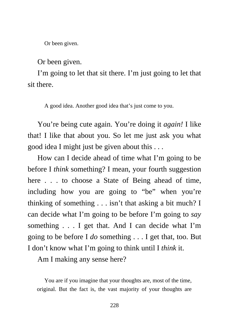Or been given.

Or been given.

I'm going to let that sit there. I'm just going to let that sit there.

A good idea. Another good idea that's just come to you.

You're being cute again. You're doing it *again!* I like that! I like that about you. So let me just ask you what good idea I might just be given about this . . .

How can I decide ahead of time what I'm going to be before I *think* something? I mean, your fourth suggestion here . . . to choose a State of Being ahead of time, including how you are going to "be" when you're thinking of something . . . isn't that asking a bit much? I can decide what I'm going to be before I'm going to *say* something . . . I get that. And I can decide what I'm going to be before I *do* something . . . I get that, too. But I don't know what I'm going to think until I *think* it.

Am I making any sense here?

You are if you imagine that your thoughts are, most of the time, original. But the fact is, the vast majority of your thoughts are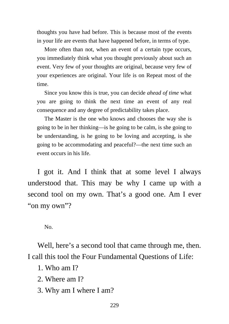thoughts you have had before. This is because most of the events in your life are events that have happened before, in terms of type.

More often than not, when an event of a certain type occurs, you immediately think what you thought previously about such an event. Very few of your thoughts are original, because very few of your experiences are original. Your life is on Repeat most of the time.

Since you know this is true, you can decide *ahead of time* what you are going to think the next time an event of any real consequence and any degree of predictability takes place.

The Master is the one who knows and chooses the way she is going to be in her thinking—is he going to be calm, is she going to be understanding, is he going to be loving and accepting, is she going to be accommodating and peaceful?—the next time such an event occurs in his life.

I got it. And I think that at some level I always understood that. This may be why I came up with a second tool on my own. That's a good one. Am I ever "on my own"?

No.

Well, here's a second tool that came through me, then. I call this tool the Four Fundamental Questions of Life:

1. Who am I?

2. Where am I?

3. Why am I where I am?

229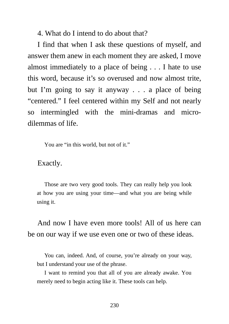4. What do I intend to do about that?

I find that when I ask these questions of myself, and answer them anew in each moment they are asked, I move almost immediately to a place of being . . . I hate to use this word, because it's so overused and now almost trite, but I'm going to say it anyway . . . a place of being "centered." I feel centered within my Self and not nearly so intermingled with the mini-dramas and microdilemmas of life.

You are "in this world, but not of it."

Exactly.

Those are two very good tools. They can really help you look at how you are using your time—and what you are being while using it.

And now I have even more tools! All of us here can be on our way if we use even one or two of these ideas.

You can, indeed. And, of course, you're already on your way, but I understand your use of the phrase.

I want to remind you that all of you are already awake. You merely need to begin acting like it. These tools can help.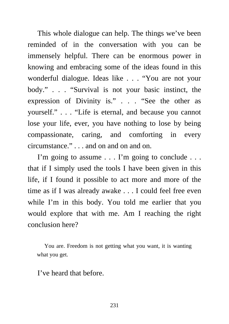This whole dialogue can help. The things we've been reminded of in the conversation with you can be immensely helpful. There can be enormous power in knowing and embracing some of the ideas found in this wonderful dialogue. Ideas like . . . "You are not your body." . . . "Survival is not your basic instinct, the expression of Divinity is." . . . "See the other as yourself." . . . "Life is eternal, and because you cannot lose your life, ever, you have nothing to lose by being compassionate, caring, and comforting in every circumstance." . . . and on and on and on.

I'm going to assume  $\ldots$  I'm going to conclude  $\ldots$ that if I simply used the tools I have been given in this life, if I found it possible to act more and more of the time as if I was already awake . . . I could feel free even while I'm in this body. You told me earlier that you would explore that with me. Am I reaching the right conclusion here?

You are. Freedom is not getting what you want, it is wanting what you get.

I've heard that before.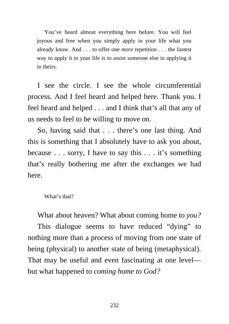You've heard almost everything here before. You will feel joyous and free when you simply apply in your life what you already know. And . . . to offer one *more* repetition . . . the fastest way to apply it in your life is to assist someone else in applying it in theirs.

I see the circle. I see the whole circumferential process. And I feel heard and helped here. Thank you. I feel heard and helped . . . and I think that's all that any of us needs to feel to be willing to move on.

So, having said that . . . there's one last thing. And this is something that I absolutely have to ask you about, because . . . sorry, I have to say this . . . it's something that's really bothering me after the exchanges we had here.

What's that?

What about heaven? What about coming home to *you?* This dialogue seems to have reduced "dying" to nothing more than a process of moving from one state of being (physical) to another state of being (metaphysical). That may be useful and even fascinating at one level but what happened to *coming home to God?*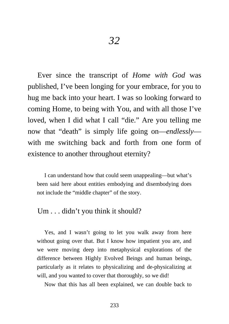Ever since the transcript of *Home with God* was published*,* I've been longing for your embrace, for you to hug me back into your heart. I was so looking forward to coming Home, to being with You, and with all those I've loved, when I did what I call "die." Are you telling me now that "death" is simply life going on—*endlessly* with me switching back and forth from one form of existence to another throughout eternity?

I can understand how that could seem unappealing—but what's been said here about entities embodying and disembodying does not include the "middle chapter" of the story.

### Um . . . didn't you think it should?

Yes, and I wasn't going to let you walk away from here without going over that. But I know how impatient you are, and we were moving deep into metaphysical explorations of the difference between Highly Evolved Beings and human beings, particularly as it relates to physicalizing and de-physicalizing at will, and you wanted to cover that thoroughly, so we did!

Now that this has all been explained, we can double back to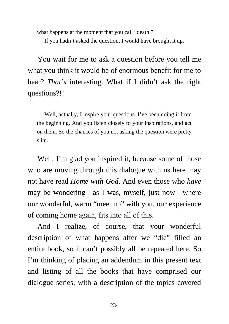what happens at the moment that you call "death."

If you hadn't asked the question, I would have brought it up.

You wait for me to ask a question before you tell me what you think it would be of enormous benefit for me to hear? *That's* interesting. What if I didn't ask the right questions?!!

Well, actually, I inspire your questions. I've been doing it from the beginning. And you listen closely to your inspirations, and act on them. So the chances of you not asking the question were pretty slim.

Well, I'm glad you inspired it, because some of those who are moving through this dialogue with us here may not have read *Home with God*. And even those who *have* may be wondering—as I was, myself, just now—where our wonderful, warm "meet up" with you, our experience of coming home again, fits into all of this.

And I realize, of course, that your wonderful description of what happens after we "die" filled an entire book, so it can't possibly all be repeated here. So I'm thinking of placing an addendum in this present text and listing of all the books that have comprised our dialogue series, with a description of the topics covered

234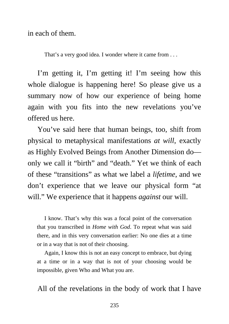in each of them.

That's a very good idea. I wonder where it came from . . .

I'm getting it, I'm getting it! I'm seeing how this whole dialogue is happening here! So please give us a summary now of how our experience of being home again with you fits into the new revelations you've offered us here.

You've said here that human beings, too, shift from physical to metaphysical manifestations *at will*, exactly as Highly Evolved Beings from Another Dimension do only we call it "birth" and "death." Yet we think of each of these "transitions" as what we label a *lifetime*, and we don't experience that we leave our physical form "at will." We experience that it happens *against* our will.

I know. That's why this was a focal point of the conversation that you transcribed in *Home with God*. To repeat what was said there, and in this very conversation earlier: No one dies at a time or in a way that is not of their choosing.

Again, I know this is not an easy concept to embrace, but dying at a time or in a way that is not of your choosing would be impossible, given Who and What you are.

All of the revelations in the body of work that I have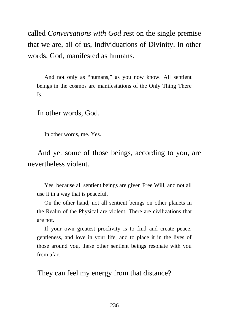called *Conversations with God* rest on the single premise that we are, all of us, Individuations of Divinity. In other words, God, manifested as humans.

And not only as "humans," as you now know. All sentient beings in the cosmos are manifestations of the Only Thing There Is.

In other words, God.

In other words, me. Yes.

And yet some of those beings, according to you, are nevertheless violent.

Yes, because all sentient beings are given Free Will, and not all use it in a way that is peaceful.

On the other hand, not all sentient beings on other planets in the Realm of the Physical are violent. There are civilizations that are not.

If your own greatest proclivity is to find and create peace, gentleness, and love in your life, and to place it in the lives of those around you, these other sentient beings resonate with you from afar.

They can feel my energy from that distance?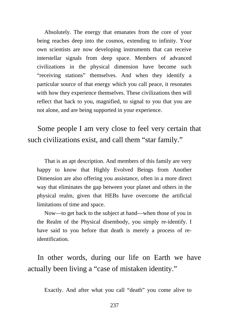Absolutely. The energy that emanates from the core of your being reaches deep into the cosmos, extending to infinity. Your own scientists are now developing instruments that can receive interstellar signals from deep space. Members of advanced civilizations in the physical dimension have become such "receiving stations" themselves. And when they identify a particular source of that energy which you call peace, it resonates with how they experience themselves. These civilizations then will reflect that back to you, magnified, to signal to you that you are not alone, and are being supported in your experience.

Some people I am very close to feel very certain that such civilizations exist, and call them "star family."

That is an apt description. And members of this family are very happy to know that Highly Evolved Beings from Another Dimension are also offering you assistance, often in a more direct way that eliminates the gap between your planet and others in the physical realm, given that HEBs have overcome the artificial limitations of time and space.

Now—to get back to the subject at hand—when those of you in the Realm of the Physical disembody, you simply re-identify. I have said to you before that death is merely a process of reidentification.

In other words, during our life on Earth we have actually been living a "case of mistaken identity."

Exactly. And after what you call "death" you come alive to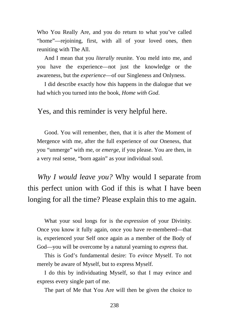Who You Really Are, and you do return to what you've called "home"—rejoining, first, with all of your loved ones, then reuniting with The All.

And I mean that you *literally* reunite*.* You meld into me, and you have the experience—not just the knowledge or the awareness, but the *experience*—of our Singleness and Onlyness.

I did describe exactly how this happens in the dialogue that we had which you turned into the book, *Home with God*.

### Yes, and this reminder is very helpful here.

Good. You will remember, then, that it is after the Moment of Mergence with me, after the full experience of our Oneness, that you "unmerge" with me, or *emerge*, if you please. You are then, in a very real sense, "born again" as your individual soul.

*Why I would leave you?* Why would I separate from this perfect union with God if this is what I have been longing for all the time? Please explain this to me again.

What your soul longs for is the *expression* of your Divinity. Once you know it fully again, once you have re-membered—that is, experienced your Self once again as a member of the Body of God—you will be overcome by a natural yearning to *express* that.

This is God's fundamental desire: To *evince* Myself. To not merely be aware of Myself, but to express Myself.

I do this by individuating Myself, so that I may evince and express every single part of me.

The part of Me that You Are will then be given the choice to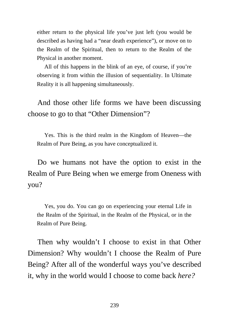either return to the physical life you've just left (you would be described as having had a "near death experience"), or move on to the Realm of the Spiritual, then to return to the Realm of the Physical in another moment.

All of this happens in the blink of an eye, of course, if you're observing it from within the illusion of sequentiality. In Ultimate Reality it is all happening simultaneously.

And those other life forms we have been discussing choose to go to that "Other Dimension"?

Yes. This is the third realm in the Kingdom of Heaven—the Realm of Pure Being, as you have conceptualized it.

Do we humans not have the option to exist in the Realm of Pure Being when we emerge from Oneness with you?

Yes, you do. You can go on experiencing your eternal Life in the Realm of the Spiritual, in the Realm of the Physical, or in the Realm of Pure Being.

Then why wouldn't I choose to exist in that Other Dimension? Why wouldn't I choose the Realm of Pure Being? After all of the wonderful ways you've described it, why in the world would I choose to come back *here?*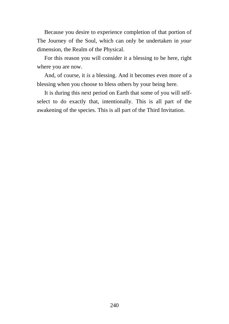Because you desire to experience completion of that portion of The Journey of the Soul, which can only be undertaken in *your* dimension, the Realm of the Physical.

For this reason you will consider it a blessing to be here, right where you are now.

And, of course, it *is* a blessing. And it becomes even more of a blessing when you choose to bless others by your being here.

It is during this next period on Earth that some of you will selfselect to do exactly that, intentionally. This is all part of the awakening of the species. This is all part of the Third Invitation.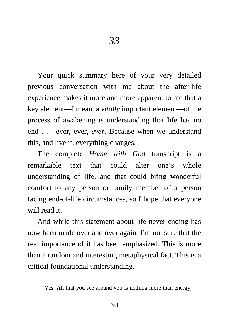Your quick summary here of your very detailed previous conversation with me about the after-life experience makes it more and more apparent to me that a key element—I mean, a *vitally* important element—of the process of awakening is understanding that life has no end . . . ever, ever, *ever.* Because when we understand this, and live it, everything changes.

The complete *Home with God* transcript is a remarkable text that could alter one's whole understanding of life, and that could bring wonderful comfort to any person or family member of a person facing end-of-life circumstances, so I hope that everyone will read it.

And while this statement about life never ending has now been made over and over again, I'm not sure that the real importance of it has been emphasized. This is more than a random and interesting metaphysical fact. This is a critical foundational understanding.

Yes. All that you see around you is nothing more than energy,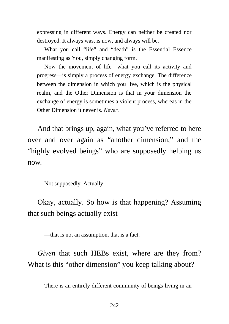expressing in different ways. Energy can neither be created nor destroyed. It always was, is now, and always will be.

What you call "life" and "death" is the Essential Essence manifesting as You, simply changing form.

Now the movement of life—what you call its activity and progress—is simply a process of energy exchange. The difference between the dimension in which you live, which is the physical realm, and the Other Dimension is that in your dimension the exchange of energy is sometimes a violent process, whereas in the Other Dimension it never is. *Never.*

And that brings up, again, what you've referred to here over and over again as "another dimension, " and the "highly evolved beings" who are supposedly helping us now.

Not supposedly. Actually.

Okay, actually. So how is that happening? Assuming that such beings actually exist—

—that is not an assumption, that is a fact.

*Given* that such HEBs exist, where are they from? What is this "other dimension" you keep talking about?

There is an entirely different community of beings living in an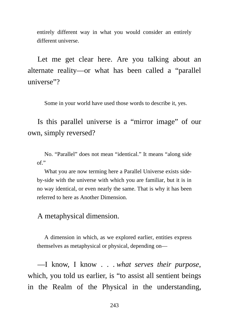entirely different way in what you would consider an entirely different universe.

Let me get clear here. Are you talking about an alternate reality—or what has been called a "parallel universe"?

Some in your world have used those words to describe it, yes.

Is this parallel universe is a "mirror image" of our own, simply reversed?

No. "Parallel" does not mean "identical." It means "along side  $\alpha$ f"

What you are now terming here a Parallel Universe exists sideby-side with the universe with which you are familiar, but it is in no way identical, or even nearly the same. That is why it has been referred to here as Another Dimension.

#### A metaphysical dimension.

A dimension in which, as we explored earlier, entities express themselves as metaphysical or physical, depending on—

—I know, I know . . . *what serves their purpose*, which, you told us earlier, is "to assist all sentient beings in the Realm of the Physical in the understanding,

243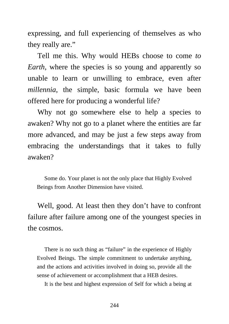expressing, and full experiencing of themselves as who they really are."

Tell me this. Why would HEBs choose to come *to Earth*, where the species is so young and apparently so unable to learn or unwilling to embrace, even after *millennia*, the simple, basic formula we have been offered here for producing a wonderful life?

Why not go somewhere else to help a species to awaken? Why not go to a planet where the entities are far more advanced, and may be just a few steps away from embracing the understandings that it takes to fully awaken?

Some do. Your planet is not the only place that Highly Evolved Beings from Another Dimension have visited.

Well, good. At least then they don't have to confront failure after failure among one of the youngest species in the cosmos.

There is no such thing as "failure" in the experience of Highly Evolved Beings. The simple commitment to undertake anything, and the actions and activities involved in doing so, provide all the sense of achievement or accomplishment that a HEB desires.

It is the best and highest expression of Self for which a being at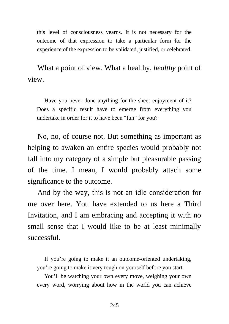this level of consciousness yearns. It is not necessary for the outcome of that expression to take a particular form for the experience of the expression to be validated, justified, or celebrated.

What a point of view. What a healthy, *healthy* point of view.

Have you never done anything for the sheer enjoyment of it? Does a specific result have to emerge from everything you undertake in order for it to have been "fun" for you?

No, no, of course not. But something as important as helping to awaken an entire species would probably not fall into my category of a simple but pleasurable passing of the time. I mean, I would probably attach some significance to the outcome.

And by the way, this is not an idle consideration for me over here. You have extended to us here a Third Invitation, and I am embracing and accepting it with no small sense that I would like to be at least minimally successful.

If you're going to make it an outcome-oriented undertaking, you're going to make it very tough on yourself before you start.

You'll be watching your own every move, weighing your own every word, worrying about how in the world you can achieve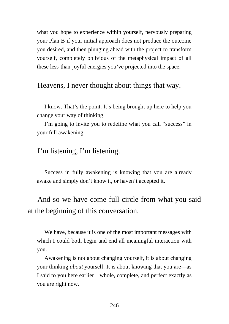what you hope to experience within yourself, nervously preparing your Plan B if your initial approach does not produce the outcome you desired, and then plunging ahead with the project to transform yourself, completely oblivious of the metaphysical impact of all these less-than-joyful energies you've projected into the space.

### Heavens, I never thought about things that way.

I know. That's the point. It's being brought up here to help you change your way of thinking.

I'm going to invite you to redefine what you call "success" in your full awakening.

## I'm listening, I'm listening.

Success in fully awakening is knowing that you are already awake and simply don't know it, or haven't accepted it.

# And so we have come full circle from what you said at the beginning of this conversation.

We have, because it is one of the most important messages with which I could both begin and end all meaningful interaction with you.

Awakening is not about changing yourself, it is about changing your thinking *about* yourself. It is about knowing that you are—as I said to you here earlier—whole, complete, and perfect exactly as you are right now.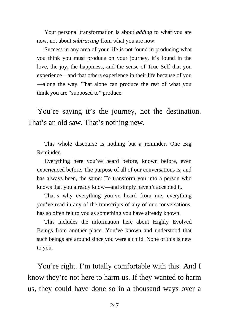Your personal transformation is about *adding* to what you are now, not about *subtracting* from what you are now.

Success in any area of your life is not found in producing what you think you must produce on your journey, it's found in the love, the joy, the happiness, and the sense of True Self that you experience—and that others experience in their life because of you —along the way. That alone can produce the rest of what you think you are "supposed to" produce.

You're saying it's the journey, not the destination. That's an old saw. That's nothing new.

This whole discourse is nothing but a reminder. One Big Reminder.

Everything here you've heard before, known before, even experienced before. The purpose of all of our conversations is, and has always been, the same: To transform you into a person who knows that you already know—and simply haven't accepted it.

That's why everything you've heard from me, everything you've read in any of the transcripts of any of our conversations, has so often felt to you as something you have already known.

This includes the information here about Highly Evolved Beings from another place. You've known and understood that such beings are around since you were a child. None of this is new to you.

You're right. I'm totally comfortable with this. And I know they're not here to harm us. If they wanted to harm us, they could have done so in a thousand ways over a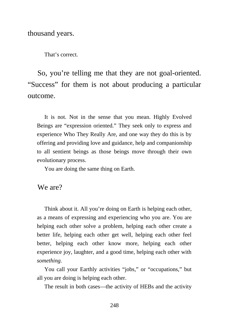thousand years.

That's correct.

So, you're telling me that they are not goal-oriented. "Success" for them is not about producing a particular outcome.

It is not. Not in the sense that you mean. Highly Evolved Beings are "expression oriented." They seek only to express and experience Who They Really Are, and one way they do this is by offering and providing love and guidance, help and companionship to all sentient beings as those beings move through their own evolutionary process.

You are doing the same thing on Earth.

We are?

Think about it. All you're doing on Earth is helping each other, as a means of expressing and experiencing who you are. You are helping each other solve a problem, helping each other create a better life, helping each other get well, helping each other feel better, helping each other know more, helping each other experience joy, laughter, and a good time, helping each other with *something.*

You call your Earthly activities "jobs," or "occupations," but all you are doing is helping each other.

The result in both cases—the activity of HEBs and the activity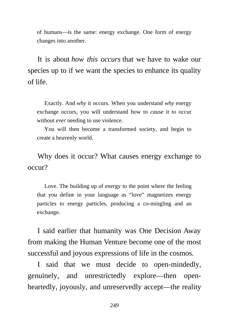of humans—is the same: energy exchange. One form of energy changes into another.

It is about *how this occurs* that we have to wake our species up to if we want the species to enhance its quality of life.

Exactly. And *why* it occurs. When you understand *why* energy exchange occurs, you will understand how to *cause* it to occur without *ever* needing to use violence.

You will then become a transformed society, and begin to create a heavenly world.

Why does it occur? What causes energy exchange to occur?

Love. The building up of energy to the point where the feeling that you define in your language as "love" magnetizes energy particles to energy particles, producing a co-mingling and an exchange.

I said earlier that humanity was One Decision Away from making the Human Venture become one of the most successful and joyous expressions of life in the cosmos.

I said that we must decide to open-mindedly, genuinely, and unrestrictedly explore—then openheartedly, joyously, and unreservedly accept—the reality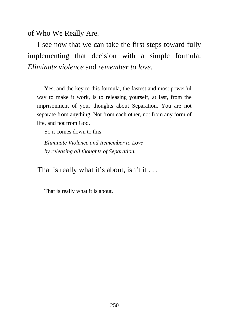of Who We Really Are.

I see now that we can take the first steps toward fully implementing that decision with a simple formula: *Eliminate violence* and *remember to love.*

Yes, and the key to this formula, the fastest and most powerful way to make it work, is to releasing yourself, at last, from the imprisonment of your thoughts about Separation. You are not separate from anything. Not from each other, not from any form of life, and not from God.

So it comes down to this:

*Eliminate Violence and Remember to Love by releasing all thoughts of Separation.*

That is really what it's about, isn't it . . .

That is really what it is about.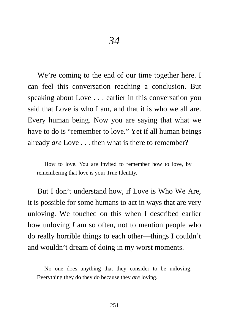We're coming to the end of our time together here. I can feel this conversation reaching a conclusion. But speaking about Love . . . earlier in this conversation you said that Love is who I am, and that it is who we all are. Every human being. Now you are saying that what we have to do is "remember to love." Yet if all human beings already *are* Love . . . then what is there to remember?

How to love. You are invited to remember how to love, by remembering that love is your True Identity.

But I don't understand how, if Love is Who We Are, it is possible for some humans to act in ways that are very unloving. We touched on this when I described earlier how unloving *I* am so often, not to mention people who do really horrible things to each other—things I couldn't and wouldn't dream of doing in my worst moments.

No one does anything that they consider to be unloving. Everything they do they do because they *are* loving.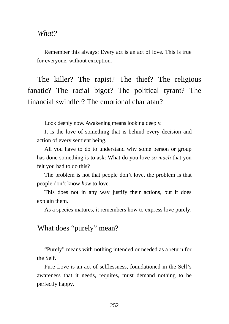#### *What?*

Remember this always: Every act is an act of love. This is true for everyone, without exception.

The killer? The rapist? The thief? The religious fanatic? The racial bigot? The political tyrant? The financial swindler? The emotional charlatan?

Look deeply now. Awakening means looking deeply.

It is the love of something that is behind every decision and action of every sentient being.

All you have to do to understand why some person or group has done something is to ask: What do you love *so much* that you felt you had to do this?

The problem is not that people don't love, the problem is that people don't know *how* to love.

This does not in any way justify their actions, but it does explain them.

As a species matures, it remembers how to express love purely.

### What does "purely" mean?

"Purely" means with nothing intended or needed as a return for the Self.

Pure Love is an act of selflessness, foundationed in the Self's awareness that it needs, requires, must demand nothing to be perfectly happy.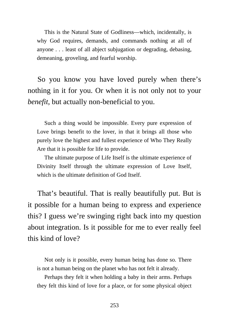This is the Natural State of Godliness—which, incidentally, is why God requires, demands, and commands nothing at all of anyone . . . least of all abject subjugation or degrading, debasing, demeaning, groveling, and fearful worship.

So you know you have loved purely when there's nothing in it for you. Or when it is not only not to your *benefit*, but actually non-beneficial to you.

Such a thing would be impossible. Every pure expression of Love brings benefit to the lover, in that it brings all those who purely love the highest and fullest experience of Who They Really Are that it is possible for life to provide.

The ultimate purpose of Life Itself is the ultimate experience of Divinity Itself through the ultimate expression of Love Itself, which is the ultimate definition of God Itself.

That's beautiful. That is really beautifully put. But is it possible for a human being to express and experience this? I guess we're swinging right back into my question about integration. Is it possible for me to ever really feel this kind of love?

Not only is it possible, every human being has done so. There is not a human being on the planet who has not felt it already.

Perhaps they felt it when holding a baby in their arms. Perhaps they felt this kind of love for a place, or for some physical object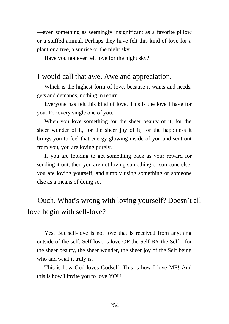—even something as seemingly insignificant as a favorite pillow or a stuffed animal. Perhaps they have felt this kind of love for a plant or a tree, a sunrise or the night sky.

Have you not ever felt love for the night sky?

#### I would call that awe. Awe and appreciation.

Which is the highest form of love, because it wants and needs, gets and demands, nothing in return.

Everyone has felt this kind of love. This is the love I have for you. For every single one of you.

When you love something for the sheer beauty of it, for the sheer wonder of it, for the sheer joy of it, for the happiness it brings you to feel that energy glowing inside of you and sent out from you, you are loving purely.

If you are looking to get something back as your reward for sending it out, then you are not loving something or someone else, you are loving yourself, and simply using something or someone else as a means of doing so.

## Ouch. What's wrong with loving yourself? Doesn't all love begin with self-love?

Yes. But self-love is not love that is received from anything outside of the self. Self-love is love OF the Self BY the Self—for the sheer beauty, the sheer wonder, the sheer joy of the Self being who and what it truly is.

This is how God loves Godself. This is how I love ME! And this is how I invite you to love YOU.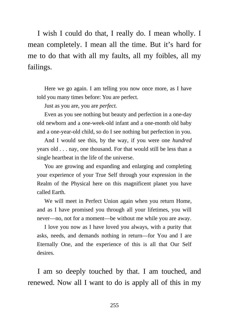I wish I could do that, I really do. I mean wholly. I mean completely. I mean all the time. But it's hard for me to do that with all my faults, all my foibles, all my failings.

Here we go again. I am telling you now once more, as I have told you many times before: You are perfect.

Just as you are, you are *perfect.*

Even as you see nothing but beauty and perfection in a one-day old newborn and a one-week-old infant and a one-month old baby and a one-year-old child, so do I see nothing but perfection in you.

And I would see this, by the way, if you were one *hundred* years old . . . nay, one thousand. For that would still be less than a single heartbeat in the life of the universe.

You are growing and expanding and enlarging and completing your experience of your True Self through your expression in the Realm of the Physical here on this magnificent planet you have called Earth.

We will meet in Perfect Union again when you return Home, and as I have promised you through all your lifetimes, you will never—no, not for a moment—be without me while you are away.

I love you now as I have loved you always, with a purity that asks, needs, and demands nothing in return—for You and I are Eternally One, and the experience of this is all that Our Self desires.

I am so deeply touched by that. I am touched, and renewed. Now all I want to do is apply all of this in my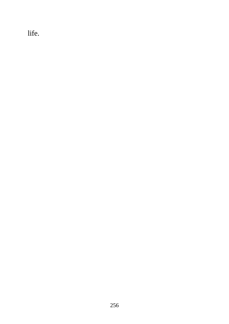# life.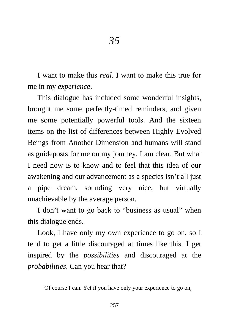I want to make this *real*. I want to make this true for me in my *experience*.

This dialogue has included some wonderful insights, brought me some perfectly-timed reminders, and given me some potentially powerful tools. And the sixteen items on the list of differences between Highly Evolved Beings from Another Dimension and humans will stand as guideposts for me on my journey, I am clear. But what I need now is to know and to feel that this idea of our awakening and our advancement as a species isn't all just a pipe dream, sounding very nice, but virtually unachievable by the average person.

I don't want to go back to "business as usual" when this dialogue ends.

Look, I have only my own experience to go on, so I tend to get a little discouraged at times like this. I get inspired by the *possibilities* and discouraged at the *probabilities*. Can you hear that?

Of course I can. Yet if you have only your experience to go on,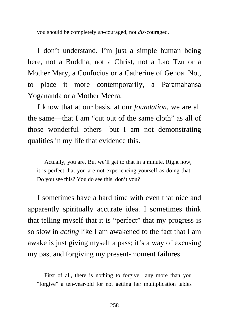you should be completely *en-*couraged, not *dis-*couraged.

I don't understand. I'm just a simple human being here, not a Buddha, not a Christ, not a Lao Tzu or a Mother Mary, a Confucius or a Catherine of Genoa. Not, to place it more contemporarily, a Paramahansa Yogananda or a Mother Meera.

I know that at our basis, at our *foundation*, we are all the same—that I am "cut out of the same cloth" as all of those wonderful others—but I am not demonstrating qualities in my life that evidence this.

Actually, you are. But we'll get to that in a minute. Right now, it is perfect that you are not experiencing yourself as doing that. Do you see this? You do see this, don't you?

I sometimes have a hard time with even that nice and apparently spiritually accurate idea. I sometimes think that telling myself that it is "perfect" that my progress is so slow in *acting* like I am awakened to the fact that I am awake is just giving myself a pass; it's a way of excusing my past and forgiving my present-moment failures.

First of all, there is nothing to forgive—any more than you "forgive" a ten-year-old for not getting her multiplication tables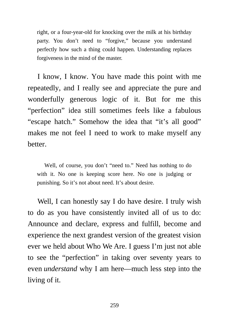right, or a four-year-old for knocking over the milk at his birthday party. You don't need to "forgive," because you understand perfectly how such a thing could happen. Understanding replaces forgiveness in the mind of the master.

I know, I know. You have made this point with me repeatedly, and I really see and appreciate the pure and wonderfully generous logic of it. But for me this "perfection" idea still sometimes feels like a fabulous "escape hatch." Somehow the idea that "it's all good" makes me not feel I need to work to make myself any better.

Well, of course, you don't "need to." Need has nothing to do with it. No one is keeping score here. No one is judging or punishing. So it's not about need. It's about desire.

Well, I can honestly say I do have desire. I truly wish to do as you have consistently invited all of us to do: Announce and declare, express and fulfill, become and experience the next grandest version of the greatest vision ever we held about Who We Are. I guess I'm just not able to see the "perfection" in taking over seventy years to even *understand* why I am here—much less step into the living of it.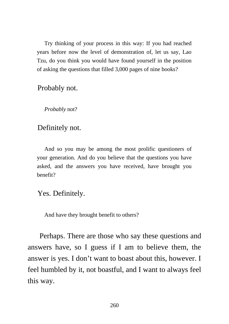Try thinking of your process in this way: If you had reached years before now the level of demonstration of, let us say, Lao Tzu, do you think you would have found yourself in the position of asking the questions that filled 3,000 pages of nine books?

#### Probably not.

*Probably* not?

### Definitely not.

And so you may be among the most prolific questioners of your generation. And do you believe that the questions you have asked, and the answers you have received, have brought you benefit?

### Yes. Definitely.

And have they brought benefit to others?

Perhaps. There are those who say these questions and answers have, so I guess if I am to believe them, the answer is yes. I don't want to boast about this, however. I feel humbled by it, not boastful, and I want to always feel this way.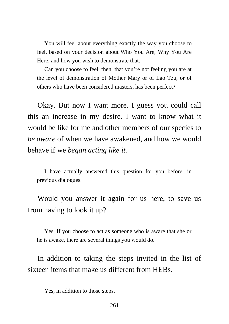You will feel about everything exactly the way you choose to feel, based on your decision about Who You Are, Why You Are Here, and how you wish to demonstrate that.

Can you choose to feel, then, that you're not feeling you are at the level of demonstration of Mother Mary or of Lao Tzu, or of others who have been considered masters, has been perfect?

Okay. But now I want more. I guess you could call this an increase in my desire. I want to know what it would be like for me and other members of our species to *be aware* of when we have awakened, and how we would behave if we *began acting like it.*

I have actually answered this question for you before, in previous dialogues.

Would you answer it again for us here, to save us from having to look it up?

Yes. If you choose to act as someone who is aware that she or he is awake, there are several things you would do.

In addition to taking the steps invited in the list of sixteen items that make us different from HEBs.

Yes, in addition to those steps.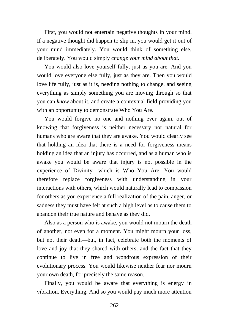First, you would not entertain negative thoughts in your mind. If a negative thought did happen to slip in, you would get it out of your mind immediately. You would think of something else, deliberately. You would simply *change your mind about that.*

You would also love yourself fully, just as you are. And you would love everyone else fully, just as they are. Then you would love life fully, just as it is, needing nothing to change, and seeing everything as simply something you are moving through so that you can *know* about it, and create a contextual field providing you with an opportunity to demonstrate Who You Are.

You would forgive no one and nothing ever again, out of knowing that forgiveness is neither necessary nor natural for humans who are aware that they are awake. You would clearly see that holding an idea that there is a need for forgiveness means holding an idea that an injury has occurred, and as a human who is awake you would be aware that injury is not possible in the experience of Divinity—which is Who You Are. You would therefore replace forgiveness with understanding in your interactions with others, which would naturally lead to compassion for others as you experience a full realization of the pain, anger, or sadness they must have felt at such a high level as to cause them to abandon their true nature and behave as they did.

Also as a person who is awake, you would not mourn the death of another, not even for a moment. You might mourn your loss, but not their death—but, in fact, celebrate both the moments of love and joy that they shared with others, and the fact that they continue to live in free and wondrous expression of their evolutionary process. You would likewise neither fear nor mourn your own death, for precisely the same reason.

Finally, you would be aware that everything is energy in vibration. Everything. And so you would pay much more attention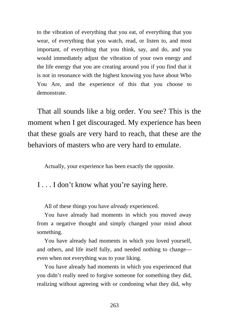to the vibration of everything that you eat, of everything that you wear, of everything that you watch, read, or listen to, and most important, of everything that you think, say, and do, and you would immediately adjust the vibration of your own energy and the life energy that you are creating around you if you find that it is not in resonance with the highest knowing you have about Who You Are, and the experience of this that you choose to demonstrate.

That all sounds like a big order. You see? This is the moment when I get discouraged. My experience has been that these goals are very hard to reach, that these are the behaviors of masters who are very hard to emulate.

Actually, your experience has been exactly the opposite.

### I . . . I don't know what you're saying here.

All of these things you have *already* experienced.

You have already had moments in which you moved away from a negative thought and simply changed your mind about something.

You have already had moments in which you loved yourself, and others, and life itself fully, and needed nothing to change even when not everything was to your liking.

You have already had moments in which you experienced that you didn't really need to forgive someone for something they did, realizing without agreeing with or condoning what they did, why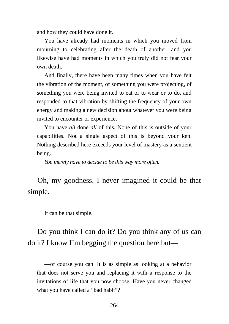and how they could have done it.

You have already had moments in which you moved from mourning to celebrating after the death of another, and you likewise have had moments in which you truly did not fear your own death.

And finally, there have been many times when you have felt the vibration of the moment, of something you were projecting, of something you were being invited to eat or to wear or to do, and responded to that vibration by shifting the frequency of your own energy and making a new decision about whatever you were being invited to encounter or experience.

You have *all* done *all* of this. None of this is outside of your capabilities. Not a single aspect of this is beyond your ken. Nothing described here exceeds your level of mastery as a sentient being.

*You merely have to decide to be this way more often.*

Oh, my goodness. I never imagined it could be that simple.

It can be that simple.

Do you think I can do it? Do you think any of us can do it? I know I'm begging the question here but—

—of course you can. It is as simple as looking at a behavior that does not serve you and replacing it with a response to the invitations of life that you now choose. Have you never changed what you have called a "bad habit"?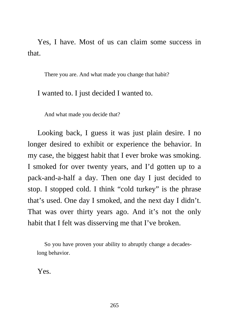Yes, I have. Most of us can claim some success in that.

There you are. And what made you change that habit?

I wanted to. I just decided I wanted to.

And what made you decide that?

Looking back, I guess it was just plain desire. I no longer desired to exhibit or experience the behavior. In my case, the biggest habit that I ever broke was smoking. I smoked for over twenty years, and I'd gotten up to a pack-and-a-half a day. Then one day I just decided to stop. I stopped cold. I think "cold turkey" is the phrase that's used. One day I smoked, and the next day I didn't. That was over thirty years ago. And it's not the only habit that I felt was disserving me that I've broken.

So you have proven your ability to abruptly change a decadeslong behavior.

Yes.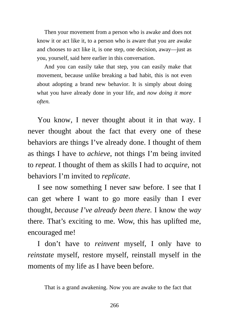Then your movement from a person who is awake and does not know it or act like it, to a person who is aware that you are awake and chooses to act like it, is one step, one decision, away—just as you, yourself, said here earlier in this conversation.

And you can easily take that step, you can easily make that movement, because unlike breaking a bad habit, this is not even about adopting a brand new behavior. It is simply about doing what you have already done in your life, and *now doing it more often.*

You know, I never thought about it in that way. I never thought about the fact that every one of these behaviors are things I've already done. I thought of them as things I have to *achieve*, not things I'm being invited to *repeat.* I thought of them as skills I had to *acquire*, not behaviors I'm invited to *replicate*.

I see now something I never saw before. I see that I can get where I want to go more easily than I ever thought, *because I've already been there.* I know the *way* there. That's exciting to me. Wow, this has uplifted me, encouraged me!

I don't have to *reinvent* myself, I only have to *reinstate* myself, restore myself, reinstall myself in the moments of my life as I have been before.

That is a grand awakening. Now you are awake to the fact that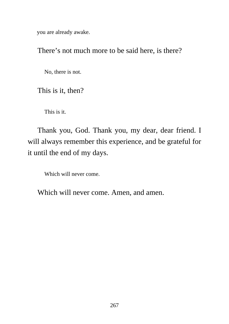you are already awake.

There's not much more to be said here, is there?

No, there is not.

This is it, then?

This is it.

Thank you, God. Thank you, my dear, dear friend. I will always remember this experience, and be grateful for it until the end of my days.

Which will never come.

Which will never come. Amen, and amen.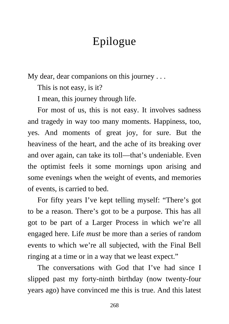# Epilogue

My dear, dear companions on this journey . . .

This is not easy, is it?

I mean, this journey through life.

For most of us, this is not easy. It involves sadness and tragedy in way too many moments. Happiness, too, yes. And moments of great joy, for sure. But the heaviness of the heart, and the ache of its breaking over and over again, can take its toll—that's undeniable. Even the optimist feels it some mornings upon arising and some evenings when the weight of events, and memories of events, is carried to bed.

For fifty years I've kept telling myself: "There's got to be a reason. There's got to be a purpose. This has all got to be part of a Larger Process in which we're all engaged here. Life *must* be more than a series of random events to which we're all subjected, with the Final Bell ringing at a time or in a way that we least expect."

The conversations with God that I've had since I slipped past my forty-ninth birthday (now twenty-four years ago) have convinced me this is true. And this latest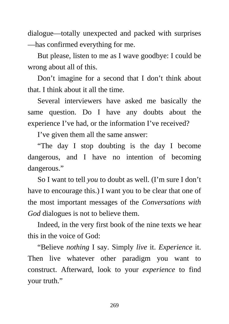dialogue—totally unexpected and packed with surprises —has confirmed everything for me.

But please, listen to me as I wave goodbye: I could be wrong about all of this.

Don't imagine for a second that I don't think about that. I think about it all the time.

Several interviewers have asked me basically the same question. Do I have any doubts about the experience I've had, or the information I've received?

I've given them all the same answer:

"The day I stop doubting is the day I become dangerous, and I have no intention of becoming dangerous."

So I want to tell *you* to doubt as well. (I'm sure I don't have to encourage this.) I want you to be clear that one of the most important messages of the *Conversations with God* dialogues is not to believe them.

Indeed, in the very first book of the nine texts we hear this in the voice of God:

"Believe *nothing* I say. Simply *live* it. *Experience* it. Then live whatever other paradigm you want to construct. Afterward, look to your *experience* to find your truth."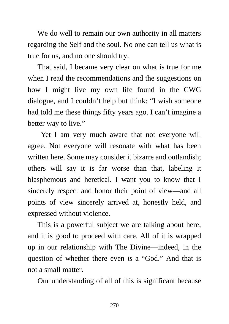We do well to remain our own authority in all matters regarding the Self and the soul. No one can tell us what is true for us, and no one should try.

That said, I became very clear on what is true for me when I read the recommendations and the suggestions on how I might live my own life found in the CWG dialogue, and I couldn't help but think: "I wish someone had told me these things fifty years ago. I can't imagine a better way to live."

Yet I am very much aware that not everyone will agree. Not everyone will resonate with what has been written here. Some may consider it bizarre and outlandish; others will say it is far worse than that, labeling it blasphemous and heretical. I want you to know that I sincerely respect and honor their point of view—and all points of view sincerely arrived at, honestly held, and expressed without violence.

This is a powerful subject we are talking about here, and it is good to proceed with care. All of it is wrapped up in our relationship with The Divine—indeed, in the question of whether there even *is* a "God." And that is not a small matter.

Our understanding of all of this is significant because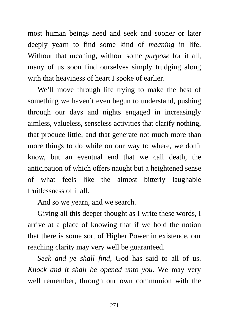most human beings need and seek and sooner or later deeply yearn to find some kind of *meaning* in life. Without that meaning, without some *purpose* for it all, many of us soon find ourselves simply trudging along with that heaviness of heart I spoke of earlier.

We'll move through life trying to make the best of something we haven't even begun to understand, pushing through our days and nights engaged in increasingly aimless, valueless, senseless activities that clarify nothing, that produce little, and that generate not much more than more things to do while on our way to where, we don't know, but an eventual end that we call death, the anticipation of which offers naught but a heightened sense of what feels like the almost bitterly laughable fruitlessness of it all.

And so we yearn, and we search.

Giving all this deeper thought as I write these words, I arrive at a place of knowing that if we hold the notion that there is some sort of Higher Power in existence, our reaching clarity may very well be guaranteed.

*Seek and ye shall find*, God has said to all of us. *Knock and it shall be opened unto you.* We may very well remember, through our own communion with the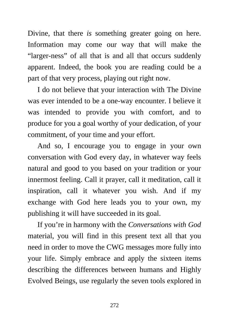Divine, that there *is* something greater going on here. Information may come our way that will make the "larger-ness" of all that is and all that occurs suddenly apparent. Indeed, the book you are reading could be a part of that very process, playing out right now.

I do not believe that your interaction with The Divine was ever intended to be a one-way encounter. I believe it was intended to provide you with comfort, and to produce for you a goal worthy of your dedication, of your commitment, of your time and your effort.

And so, I encourage you to engage in your own conversation with God every day, in whatever way feels natural and good to you based on your tradition or your innermost feeling. Call it prayer, call it meditation, call it inspiration, call it whatever you wish. And if my exchange with God here leads you to your own, my publishing it will have succeeded in its goal.

If you're in harmony with the *Conversations with God* material, you will find in this present text all that you need in order to move the CWG messages more fully into your life. Simply embrace and apply the sixteen items describing the differences between humans and Highly Evolved Beings, use regularly the seven tools explored in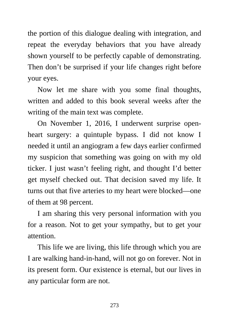the portion of this dialogue dealing with integration, and repeat the everyday behaviors that you have already shown yourself to be perfectly capable of demonstrating. Then don't be surprised if your life changes right before your eyes.

Now let me share with you some final thoughts, written and added to this book several weeks after the writing of the main text was complete.

On November 1, 2016, I underwent surprise openheart surgery: a quintuple bypass. I did not know I needed it until an angiogram a few days earlier confirmed my suspicion that something was going on with my old ticker. I just wasn't feeling right, and thought I'd better get myself checked out. That decision saved my life. It turns out that five arteries to my heart were blocked—one of them at 98 percent.

I am sharing this very personal information with you for a reason. Not to get your sympathy, but to get your attention.

This life we are living, this life through which you are I are walking hand-in-hand, will not go on forever. Not in its present form. Our existence is eternal, but our lives in any particular form are not.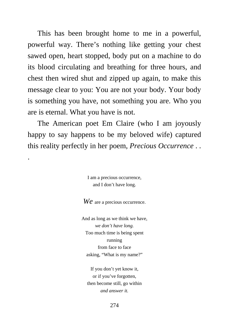This has been brought home to me in a powerful, powerful way. There's nothing like getting your chest sawed open, heart stopped, body put on a machine to do its blood circulating and breathing for three hours, and chest then wired shut and zipped up again, to make this message clear to you: You are not your body. Your body is something you have, not something you are. Who you are is eternal. What you have is not.

The American poet Em Claire (who I am joyously happy to say happens to be my beloved wife) captured this reality perfectly in her poem, *Precious Occurrence* . .

.

I am a precious occurrence, and I don't have long.

*We* are <sup>a</sup> precious occurrence.

And as long as we think we have, *we don't have long.* Too much time is being spent running from face to face asking, "What is my name?"

If you don't yet know it, or if you've forgotten, then become still, go within *and answer it.*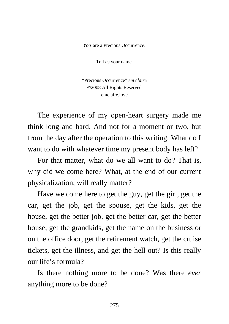*You* are a Precious Occurrence:

Tell *us* your name.

"Precious Occurrence" *em claire* ©2008 All Rights Reserved emclaire.love

The experience of my open-heart surgery made me think long and hard. And not for a moment or two, but from the day after the operation to this writing. What do I want to do with whatever time my present body has left?

For that matter, what do we all want to do? That is, why did we come here? What, at the end of our current physicalization, will really matter?

Have we come here to get the guy, get the girl, get the car, get the job, get the spouse, get the kids, get the house, get the better job, get the better car, get the better house, get the grandkids, get the name on the business or on the office door, get the retirement watch, get the cruise tickets, get the illness, and get the hell out? Is this really our life's formula?

Is there nothing more to be done? Was there *ever* anything more to be done?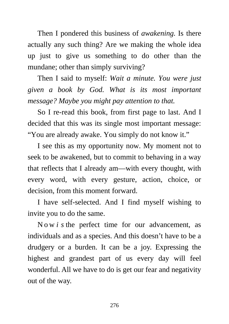Then I pondered this business of *awakening.* Is there actually any such thing? Are we making the whole idea up just to give us something to do other than the mundane; other than simply surviving?

Then I said to myself: *Wait a minute. You were just given a book by God. What is its most important message? Maybe you might pay attention to that.*

So I re-read this book, from first page to last. And I decided that this was its single most important message: "You are already awake. You simply do not know it."

I see this as my opportunity now. My moment not to seek to be awakened, but to commit to behaving in a way that reflects that I already am—with every thought, with every word, with every gesture, action, choice, or decision, from this moment forward.

I have self-selected. And I find myself wishing to invite you to do the same.

N o w *i s* the perfect time for our advancement, as individuals and as a species. And this doesn't have to be a drudgery or a burden. It can be a joy. Expressing the highest and grandest part of us every day will feel wonderful. All we have to do is get our fear and negativity out of the way.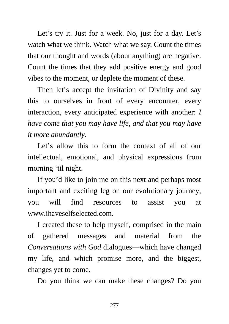Let's try it. Just for a week. No, just for a day. Let's watch what we think. Watch what we say. Count the times that our thought and words (about anything) are negative. Count the times that they add positive energy and good vibes to the moment, or deplete the moment of these.

Then let's accept the invitation of Divinity and say this to ourselves in front of every encounter, every interaction, every anticipated experience with another: *I have come that you may have life, and that you may have it more abundantly.*

Let's allow this to form the context of all of our intellectual, emotional, and physical expressions from morning 'til night.

If you'd like to join me on this next and perhaps most important and exciting leg on our evolutionary journey, you will find resources to assist you at www.ihaveselfselected.com.

I created these to help myself, comprised in the main of gathered messages and material from the *Conversations with God* dialogues—which have changed my life, and which promise more, and the biggest, changes yet to come.

Do you think we can make these changes? Do you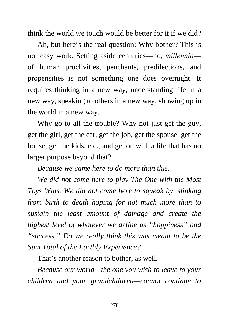think the world we touch would be better for it if we did?

Ah, but here's the real question: Why bother? This is not easy work. Setting aside centuries—no, *millennia* of human proclivities, penchants, predilections, and propensities is not something one does overnight. It requires thinking in a new way, understanding life in a new way, speaking to others in a new way, showing up in the world in a new way.

Why go to all the trouble? Why not just get the guy, get the girl, get the car, get the job, get the spouse, get the house, get the kids, etc., and get on with a life that has no larger purpose beyond that?

*Because we came here to do more than this.*

*We did not come here to play The One with the Most Toys Wins. We did not come here to squeak by, slinking from birth to death hoping for not much more than to sustain the least amount of damage and create the highest level of whatever we define as "happiness" and "success." Do we really think this was meant to be the Sum Total of the Earthly Experience?*

That's another reason to bother, as well.

*Because our world—the one you wish to leave to your children and your grandchildren—cannot continue to*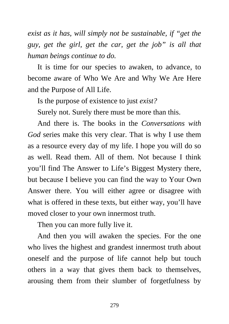*exist as it has, will simply not be sustainable, if "get the guy, get the girl, get the car, get the job" is all that human beings continue to do.*

It is time for our species to awaken, to advance, to become aware of Who We Are and Why We Are Here and the Purpose of All Life.

Is the purpose of existence to just *exist?*

Surely not. Surely there must be more than this.

And there is. The books in the *Conversations with God* series make this very clear. That is why I use them as a resource every day of my life. I hope you will do so as well. Read them. All of them. Not because I think you'll find The Answer to Life's Biggest Mystery there, but because I believe you can find the way to Your Own Answer there. You will either agree or disagree with what is offered in these texts, but either way, you'll have moved closer to your own innermost truth.

Then you can more fully live it.

And then you will awaken the species. For the one who lives the highest and grandest innermost truth about oneself and the purpose of life cannot help but touch others in a way that gives them back to themselves, arousing them from their slumber of forgetfulness by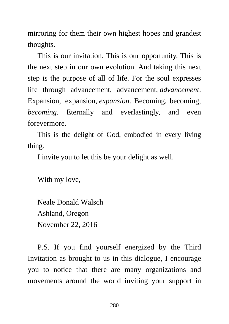mirroring for them their own highest hopes and grandest thoughts.

This is our invitation. This is our opportunity. This is the next step in our own evolution. And taking this next step is the purpose of all of life. For the soul expresses life through advancement, advancement, *advancement*. Expansion, expansion, *expansion*. Becoming, becoming, *becoming*. Eternally and everlastingly, and even forevermore.

This is the delight of God, embodied in every living thing.

I invite you to let this be your delight as well.

With my love,

Neale Donald Walsch Ashland, Oregon November 22, 2016

P.S. If you find yourself energized by the Third Invitation as brought to us in this dialogue, I encourage you to notice that there are many organizations and movements around the world inviting your support in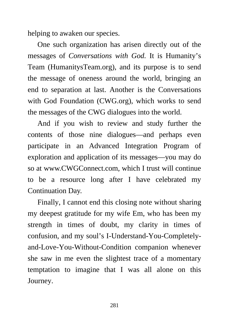helping to awaken our species.

One such organization has arisen directly out of the messages of *Conversations with God.* It is Humanity's Team (HumanitysTeam.org), and its purpose is to send the message of oneness around the world, bringing an end to separation at last. Another is the Conversations with God Foundation (CWG.org), which works to send the messages of the CWG dialogues into the world.

And if you wish to review and study further the contents of those nine dialogues—and perhaps even participate in an Advanced Integration Program of exploration and application of its messages—you may do so at www.CWGConnect.com, which I trust will continue to be a resource long after I have celebrated my Continuation Day.

Finally, I cannot end this closing note without sharing my deepest gratitude for my wife Em, who has been my strength in times of doubt, my clarity in times of confusion, and my soul's I-Understand-You-Completelyand-Love-You-Without-Condition companion whenever she saw in me even the slightest trace of a momentary temptation to imagine that I was all alone on this Journey.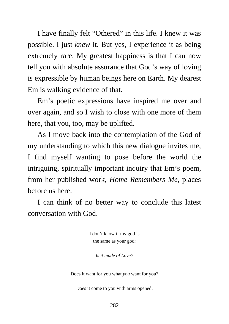I have finally felt "Othered" in this life. I knew it was possible. I just *knew* it. But yes, I experience it as being extremely rare. My greatest happiness is that I can now tell you with absolute assurance that God's way of loving is expressible by human beings here on Earth. My dearest Em is walking evidence of that.

Em's poetic expressions have inspired me over and over again, and so I wish to close with one more of them here, that you, too, may be uplifted.

As I move back into the contemplation of the God of my understanding to which this new dialogue invites me, I find myself wanting to pose before the world the intriguing, spiritually important inquiry that Em's poem, from her published work, *Home Remembers Me*, places before us here.

I can think of no better way to conclude this latest conversation with God.

> I don't know if my god is the same as your god:

> > *Is it made of Love?*

Does it want for you what *you* want for you?

Does it come to you with arms opened,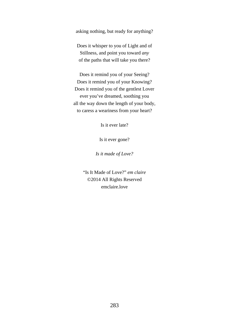asking nothing, but ready for anything?

Does it whisper to you of Light and of Stillness, and point you toward *any* of the paths that will take you there?

Does it remind you of your Seeing? Does it remind you of your Knowing? Does it remind you of the gentlest Lover ever you've dreamed, soothing you all the way down the length of your body, to caress a weariness from your heart?

Is it ever late?

Is it ever gone?

*Is it made of Love?*

"Is It Made of Love?" *em claire* ©2014 All Rights Reserved emclaire.love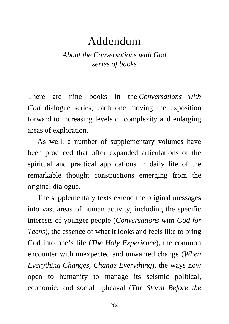# Addendum

### *About the Conversations with God series of books*

There are nine books in the *Conversations with God* dialogue series, each one moving the exposition forward to increasing levels of complexity and enlarging areas of exploration.

As well, a number of supplementary volumes have been produced that offer expanded articulations of the spiritual and practical applications in daily life of the remarkable thought constructions emerging from the original dialogue.

The supplementary texts extend the original messages into vast areas of human activity, including the specific interests of younger people (*Conversations with God for Teens*), the essence of what it looks and feels like to bring God into one's life (*The Holy Experience*), the common encounter with unexpected and unwanted change (*When Everything Changes, Change Everything*), the ways now open to humanity to manage its seismic political, economic, and social upheaval (*The Storm Before the*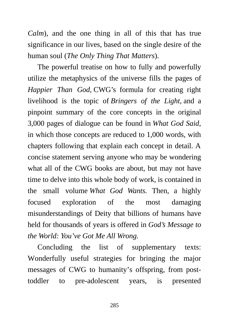*Calm*), and the one thing in all of this that has true significance in our lives, based on the single desire of the human soul (*The Only Thing That Matters*).

The powerful treatise on how to fully and powerfully utilize the metaphysics of the universe fills the pages of *Happier Than God,* CWG's formula for creating right livelihood is the topic of *Bringers of the Light,* and a pinpoint summary of the core concepts in the original 3,000 pages of dialogue can be found in *What God Said*, in which those concepts are reduced to 1,000 words, with chapters following that explain each concept in detail. A concise statement serving anyone who may be wondering what all of the CWG books are about, but may not have time to delve into this whole body of work, is contained in the small volume *What God Wants.* Then, a highly focused exploration of the most damaging misunderstandings of Deity that billions of humans have held for thousands of years is offered in *God's Message to the World: You've Got Me All Wrong.*

Concluding the list of supplementary texts: Wonderfully useful strategies for bringing the major messages of CWG to humanity's offspring, from posttoddler to pre-adolescent years, is presented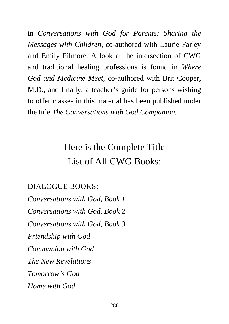in *Conversations with God for Parents: Sharing the Messages with Children*, co-authored with Laurie Farley and Emily Filmore*.* A look at the intersection of CWG and traditional healing professions is found in *Where God and Medicine Meet*, co-authored with Brit Cooper, M.D., and finally, a teacher's guide for persons wishing to offer classes in this material has been published under the title *The Conversations with God Companion.*

# Here is the Complete Title List of All CWG Books:

### DIALOGUE BOOKS:

*Conversations with God, Book 1 Conversations with God, Book 2 Conversations with God, Book 3 Friendship with God Communion with God The New Revelations Tomorrow's God Home with God*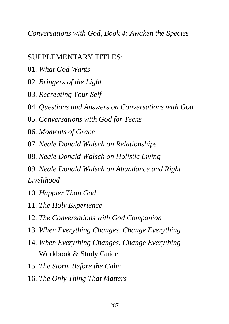*Conversations with God, Book 4: Awaken the Species*

SUPPLEMENTARY TITLES:

- **0**1. *What God Wants*
- **0**2. *Bringers of the Light*
- **0**3. *Recreating Your Self*
- **0**4. *Questions and Answers on Conversations with God*
- **0**5. *Conversations with God for Teens*
- **0**6. *Moments of Grace*
- **0**7. *Neale Donald Walsch on Relationships*
- **0**8. *Neale Donald Walsch on Holistic Living*
- **0**9. *Neale Donald Walsch on Abundance and Right Livelihood*
- 10. *Happier Than God*
- 11. *The Holy Experience*
- 12. *The Conversations with God Companion*
- 13. *When Everything Changes, Change Everything*
- 14. *When Everything Changes, Change Everything* Workbook & Study Guide
- 15. *The Storm Before the Calm*
- 16. *The Only Thing That Matters*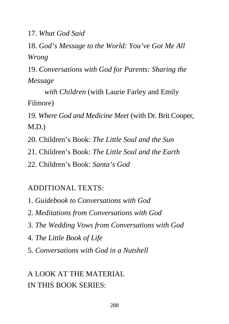17. *What God Said*

18. *God's Message to the World: You've Got Me All Wrong*

19. *Conversations with God for Parents: Sharing the Message*

*with Children* (with Laurie Farley and Emily Filmore)

19. *Where God and Medicine Meet* (with Dr. Brit Cooper, M.D.)

20. Children's Book: *The Little Soul and the Sun*

21. Children's Book: *The Little Soul and the Earth*

22. Children's Book: *Santa's God*

### ADDITIONAL TEXTS:

1. *Guidebook to Conversations with God*

2. *Meditations from Conversations with God*

3. *The Wedding Vows from Conversations with God*

- 4. *The Little Book of Life*
- 5. *Conversations with God in a Nutshell*

A LOOK AT THE MATERIAL IN THIS BOOK SERIES: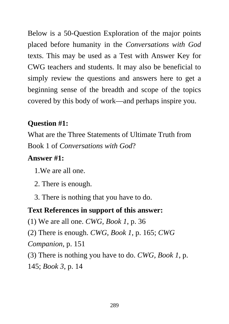Below is a 50-Question Exploration of the major points placed before humanity in the *Conversations with God* texts. This may be used as a Test with Answer Key for CWG teachers and students. It may also be beneficial to simply review the questions and answers here to get a beginning sense of the breadth and scope of the topics covered by this body of work—and perhaps inspire you.

## **Question #1:**

What are the Three Statements of Ultimate Truth from Book 1 of *Conversations with God*?

#### **Answer #1:**

- 1.We are all one.
- 2. There is enough.
- 3. There is nothing that you have to do.

## **Text References in support of this answer:**

(1) We are all one. *CWG, Book 1*, p. 36

(2) There is enough. *CWG, Book 1*, p. 165; *CWG*

*Companion*, p. 151

(3) There is nothing you have to do. *CWG, Book 1*, p.

145; *Book 3*, p. 14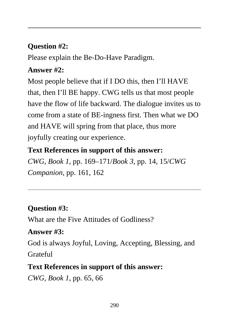## **Question #2:**

Please explain the Be-Do-Have Paradigm.

## **Answer #2:**

Most people believe that if I DO this, then I'll HAVE that, then I'll BE happy. CWG tells us that most people have the flow of life backward. The dialogue invites us to come from a state of BE-ingness first. Then what we DO and HAVE will spring from that place, thus more joyfully creating our experience.

## **Text References in support of this answer:**

*CWG, Book 1*, pp. 169–171/*Book 3*, pp. 14, 15/*CWG Companion*, pp. 161, 162

## **Question #3:**

What are the Five Attitudes of Godliness?

#### **Answer #3:**

God is always Joyful, Loving, Accepting, Blessing, and Grateful

#### **Text References in support of this answer:**

*CWG, Book 1*, pp. 65, 66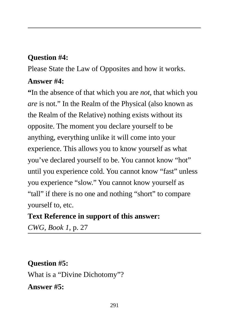# **Question #4:**

Please State the Law of Opposites and how it works.

### **Answer #4:**

**"**In the absence of that which you are *not*, that which you *are* is not." In the Realm of the Physical (also known as the Realm of the Relative) nothing exists without its opposite. The moment you declare yourself to be anything, everything unlike it will come into your experience. This allows you to know yourself as what you've declared yourself to be. You cannot know "hot" until you experience cold. You cannot know "fast" unless you experience "slow." You cannot know yourself as "tall" if there is no one and nothing "short" to compare yourself to, etc.

## **Text Reference in support of this answer:**

*CWG, Book 1*, p. 27

# **Question #5:**

What is a "Divine Dichotomy"?

**Answer #5:**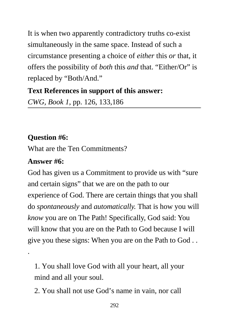It is when two apparently contradictory truths co-exist simultaneously in the same space. Instead of such a circumstance presenting a choice of *either* this *or* that, it offers the possibility of *both* this *and* that. "Either/Or" is replaced by "Both/And."

### **Text References in support of this answer:**

*CWG, Book 1*, pp. 126, 133,186

## **Question #6:**

What are the Ten Commitments?

#### **Answer #6:**

.

God has given us a Commitment to provide us with "sure and certain signs" that we are on the path to our experience of God. There are certain things that you shall do *spontaneously* and *automatically.* That is how you will *know* you are on The Path! Specifically, God said: You will know that you are on the Path to God because I will give you these signs: When you are on the Path to God . .

1. You shall love God with all your heart, all your mind and all your soul.

2. You shall not use God's name in vain, nor call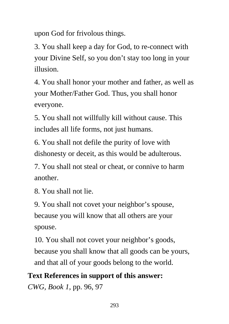upon God for frivolous things.

3. You shall keep a day for God, to re-connect with your Divine Self, so you don't stay too long in your illusion.

4. You shall honor your mother and father, as well as your Mother/Father God. Thus, you shall honor everyone.

5. You shall not willfully kill without cause. This includes all life forms, not just humans.

6. You shall not defile the purity of love with dishonesty or deceit, as this would be adulterous.

7. You shall not steal or cheat, or connive to harm another.

8. You shall not lie.

9. You shall not covet your neighbor's spouse, because you will know that all others are your spouse.

10. You shall not covet your neighbor's goods, because you shall know that all goods can be yours, and that all of your goods belong to the world.

## **Text References in support of this answer:**

*CWG, Book 1*, pp. 96, 97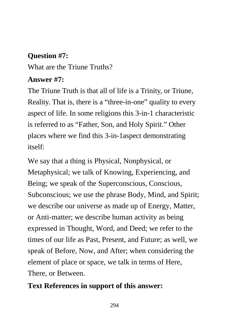## **Question #7:**

What are the Triune Truths?

#### **Answer #7:**

The Triune Truth is that all of life is a Trinity, or Triune, Reality. That is, there is a "three-in-one" quality to every aspect of life. In some religions this 3-in-1 characteristic is referred to as "Father, Son, and Holy Spirit." Other places where we find this 3-in-1aspect demonstrating itself:

We say that a thing is Physical, Nonphysical, or Metaphysical; we talk of Knowing, Experiencing, and Being; we speak of the Superconscious, Conscious, Subconscious; we use the phrase Body, Mind, and Spirit; we describe our universe as made up of Energy, Matter, or Anti-matter; we describe human activity as being expressed in Thought, Word, and Deed; we refer to the times of our life as Past, Present, and Future; as well, we speak of Before, Now, and After; when considering the element of place or space, we talk in terms of Here, There, or Between.

#### **Text References in support of this answer:**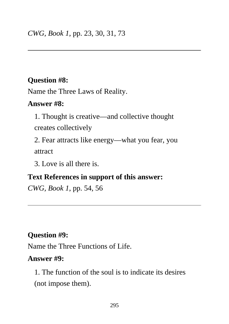## **Question #8:**

Name the Three Laws of Reality.

#### **Answer #8:**

1. Thought is creative—and collective thought creates collectively

2. Fear attracts like energy—what you fear, you attract

3. Love is all there is.

## **Text References in support of this answer:**

*CWG, Book 1*, pp. 54, 56

# **Question #9:**

Name the Three Functions of Life.

#### **Answer #9:**

1. The function of the soul is to indicate its desires (not impose them).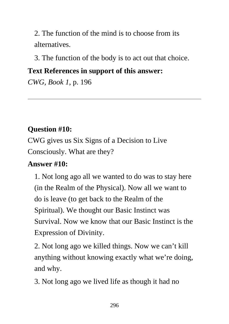2. The function of the mind is to choose from its alternatives.

3. The function of the body is to act out that choice.

#### **Text References in support of this answer:**

*CWG, Book 1*, p. 196

# **Question #10:**

CWG gives us Six Signs of a Decision to Live Consciously. What are they?

### **Answer #10:**

1. Not long ago all we wanted to do was to stay here (in the Realm of the Physical). Now all we want to do is leave (to get back to the Realm of the Spiritual). We thought our Basic Instinct was Survival. Now we know that our Basic Instinct is the Expression of Divinity.

2. Not long ago we killed things. Now we can't kill anything without knowing exactly what we're doing, and why.

3. Not long ago we lived life as though it had no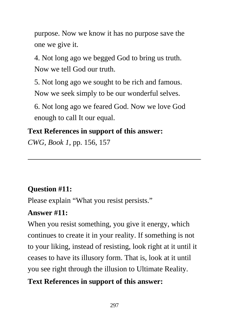purpose. Now we know it has no purpose save the one we give it.

4. Not long ago we begged God to bring us truth. Now we tell God our truth.

5. Not long ago we sought to be rich and famous. Now we seek simply to be our wonderful selves.

6. Not long ago we feared God. Now we love God enough to call It our equal.

## **Text References in support of this answer:**

*CWG, Book 1*, pp. 156, 157

# **Question #11:**

Please explain "What you resist persists."

## **Answer #11:**

When you resist something, you give it energy, which continues to create it in your reality. If something is not to your liking, instead of resisting, look right at it until it ceases to have its illusory form. That is, look at it until you see right through the illusion to Ultimate Reality.

# **Text References in support of this answer:**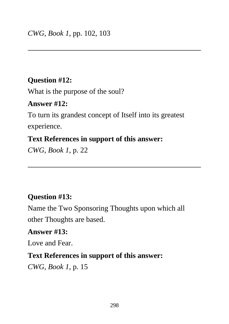## **Question #12:**

What is the purpose of the soul?

#### **Answer #12:**

To turn its grandest concept of Itself into its greatest experience.

### **Text References in support of this answer:**

*CWG, Book 1*, p. 22

## **Question #13:**

Name the Two Sponsoring Thoughts upon which all other Thoughts are based.

#### **Answer #13:**

Love and Fear.

## **Text References in support of this answer:**

*CWG, Book 1*, p. 15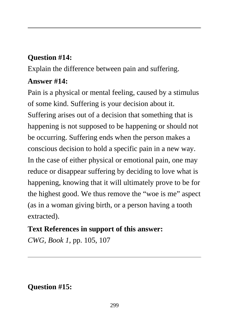## **Question #14:**

Explain the difference between pain and suffering.

## **Answer #14:**

Pain is a physical or mental feeling, caused by a stimulus of some kind. Suffering is your decision about it. Suffering arises out of a decision that something that is happening is not supposed to be happening or should not be occurring. Suffering ends when the person makes a conscious decision to hold a specific pain in a new way. In the case of either physical or emotional pain, one may reduce or disappear suffering by deciding to love what is happening, knowing that it will ultimately prove to be for the highest good. We thus remove the "woe is me" aspect (as in a woman giving birth, or a person having a tooth extracted).

# **Text References in support of this answer:**

*CWG, Book 1*, pp. 105, 107

## **Question #15:**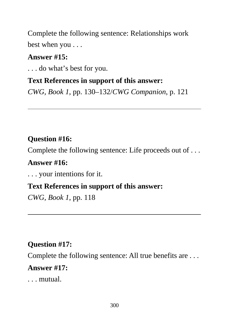Complete the following sentence: Relationships work best when you . . .

## **Answer #15:**

. . . do what's best for you.

## **Text References in support of this answer:**

*CWG, Book 1*, pp. 130–132/*CWG Companion*, p. 121

# **Question #16:**

Complete the following sentence: Life proceeds out of . . .

#### **Answer #16:**

. . . your intentions for it.

#### **Text References in support of this answer:**

*CWG, Book 1*, pp. 118

# **Question #17:**

Complete the following sentence: All true benefits are . . .

#### **Answer #17:**

. . . mutual.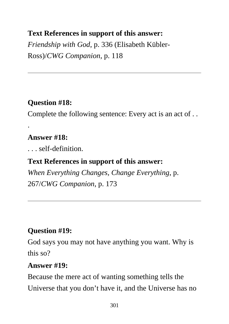# **Text References in support of this answer:**

*Friendship with God*, p. 336 (Elisabeth Kübler-Ross)/*CWG Companion*, p. 118

# **Question #18:**

Complete the following sentence: Every act is an act of . .

# **Answer #18:**

.

. . . self-definition.

## **Text References in support of this answer:**

*When Everything Changes, Change Everything*, p. 267/*CWG Companion*, p. 173

# **Question #19:**

God says you may not have anything you want. Why is this so?

#### **Answer #19:**

Because the mere act of wanting something tells the Universe that you don't have it, and the Universe has no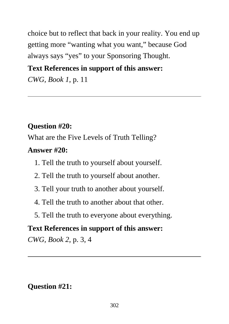choice but to reflect that back in your reality. You end up getting more "wanting what you want, " because God always says "yes" to your Sponsoring Thought.

#### **Text References in support of this answer:**

*CWG, Book 1*, p. 11

# **Question #20:**

What are the Five Levels of Truth Telling?

#### **Answer #20:**

- 1. Tell the truth to yourself about yourself.
- 2. Tell the truth to yourself about another.
- 3. Tell your truth to another about yourself.
- 4. Tell the truth to another about that other.
- 5. Tell the truth to everyone about everything.

#### **Text References in support of this answer:**

*CWG, Book 2*, p. 3, 4

#### **Question #21:**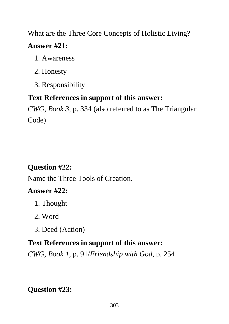# What are the Three Core Concepts of Holistic Living?

### **Answer #21:**

- 1. Awareness
- 2. Honesty
- 3. Responsibility

# **Text References in support of this answer:**

*CWG, Book 3*, p. 334 (also referred to as The Triangular Code)

# **Question #22:**

Name the Three Tools of Creation.

## **Answer #22:**

- 1. Thought
- 2. Word
- 3. Deed (Action)

# **Text References in support of this answer:**

*CWG, Book 1*, p. 91/*Friendship with God*, p. 254

**Question #23:**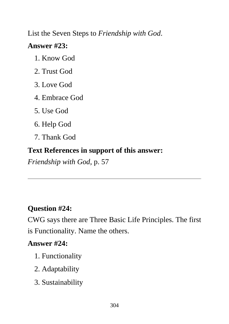List the Seven Steps to *Friendship with God*.

### **Answer #23:**

- 1. Know God
- 2. Trust God
- 3. Love God
- 4. Embrace God
- 5. Use God
- 6. Help God
- 7. Thank God

#### **Text References in support of this answer:**

*Friendship with God*, p. 57

## **Question #24:**

CWG says there are Three Basic Life Principles. The first is Functionality. Name the others.

#### **Answer #24:**

- 1. Functionality
- 2. Adaptability
- 3. Sustainability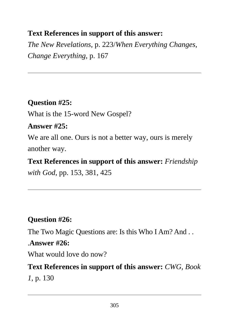# **Text References in support of this answer:**

*The New Revelations*, p. 223/*When Everything Changes, Change Everything*, p. 167

# **Question #25:**

What is the 15-word New Gospel?

## **Answer #25:**

We are all one. Ours is not a better way, ours is merely another way.

# **Text References in support of this answer:** *Friendship with God*, pp. 153, 381, 425

# **Question #26:**

The Two Magic Questions are: Is this Who I Am? And . .

## .**Answer #26:**

What would love do now?

# **Text References in support of this answer:** *CWG, Book 1*, p. 130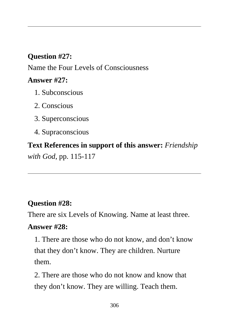# **Question #27:**

Name the Four Levels of Consciousness

## **Answer #27:**

- 1. Subconscious
- 2. Conscious
- 3. Superconscious
- 4. Supraconscious

# **Text References in support of this answer:** *Friendship with God*, pp. 115-117

## **Question #28:**

There are six Levels of Knowing. Name at least three.

#### **Answer #28:**

1. There are those who do not know, and don't know that they don't know. They are children. Nurture them.

2. There are those who do not know and know that they don't know. They are willing. Teach them.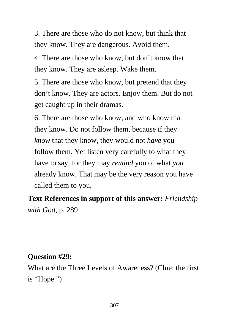3. There are those who do not know, but think that they know. They are dangerous. Avoid them.

4. There are those who know, but don't know that they know. They are asleep. Wake them.

5. There are those who know, but pretend that they don't know. They are actors. Enjoy them. But do not get caught up in their dramas.

6. There are those who know, and who know that they know. Do not follow them, because if they *know* that they know, they would not *have* you follow them. Yet listen very carefully to what they have to say, for they may *remind* you of what *you* already know. That may be the very reason you have called them to you.

**Text References in support of this answer:** *Friendship with God*, p. 289

#### **Question #29:**

What are the Three Levels of Awareness? (Clue: the first is "Hope.")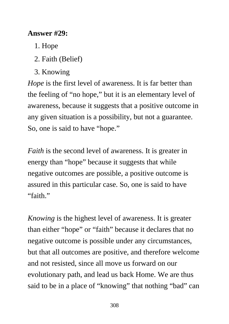#### **Answer #29:**

- 1. Hope
- 2. Faith (Belief)
- 3. Knowing

*Hope* is the first level of awareness. It is far better than the feeling of "no hope, " but it is an elementary level of awareness, because it suggests that a positive outcome in any given situation is a possibility, but not a guarantee. So, one is said to have "hope."

*Faith* is the second level of awareness. It is greater in energy than "hope" because it suggests that while negative outcomes are possible, a positive outcome is assured in this particular case. So, one is said to have "faith."

*Knowing* is the highest level of awareness. It is greater than either "hope" or "faith" because it declares that no negative outcome is possible under any circumstances, but that all outcomes are positive, and therefore welcome and not resisted, since all move us forward on our evolutionary path, and lead us back Home. We are thus said to be in a place of "knowing" that nothing "bad" can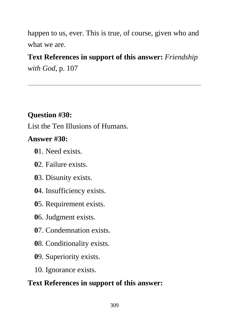happen to us, ever. This is true, of course, given who and what we are.

# **Text References in support of this answer:** *Friendship with God*, p. 107

## **Question #30:**

List the Ten Illusions of Humans.

#### **Answer #30:**

- **0**1. Need exists.
- **0**2. Failure exists.
- **0**3. Disunity exists.
- **0**4. Insufficiency exists.
- **0**5. Requirement exists.
- **0**6. Judgment exists.
- **0**7. Condemnation exists.
- **0**8. Conditionality exists.
- **0**9. Superiority exists.
- 10. Ignorance exists.

#### **Text References in support of this answer:**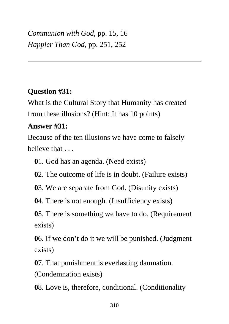*Communion with God*, pp. 15, 16 *Happier Than God*, pp. 251, 252

## **Question #31:**

What is the Cultural Story that Humanity has created from these illusions? (Hint: It has 10 points)

#### **Answer #31:**

Because of the ten illusions we have come to falsely believe that . . .

**0**1. God has an agenda. (Need exists)

**0**2. The outcome of life is in doubt. (Failure exists)

**0**3. We are separate from God. (Disunity exists)

**0**4. There is not enough. (Insufficiency exists)

**0**5. There is something we have to do. (Requirement exists)

**0**6. If we don't do it we will be punished. (Judgment exists)

**0**7. That punishment is everlasting damnation.

(Condemnation exists)

**0**8. Love is, therefore, conditional. (Conditionality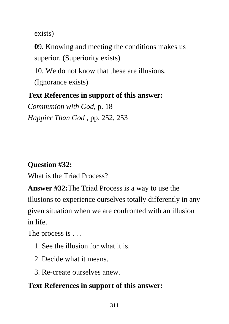exists)

**0**9. Knowing and meeting the conditions makes us superior. (Superiority exists)

10. We do not know that these are illusions.

(Ignorance exists)

## **Text References in support of this answer:**

*Communion with God*, p. 18 *Happier Than God* , pp. 252, 253

# **Question #32:**

What is the Triad Process?

**Answer #32:**The Triad Process is a way to use the illusions to experience ourselves totally differently in any given situation when we are confronted with an illusion in life.

The process is . . .

- 1. See the illusion for what it is.
- 2. Decide what it means.
- 3. Re-create ourselves anew.

# **Text References in support of this answer:**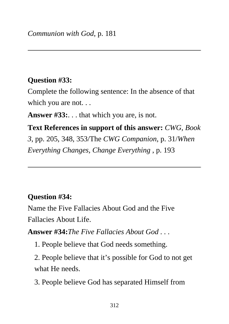# **Question #33:**

Complete the following sentence: In the absence of that which you are not. . .

**Answer #33:**. . . that which you are, is not.

**Text References in support of this answer:** *CWG, Book 3*, pp. 205, 348, 353/The *CWG Companion*, p. 31/*When Everything Changes, Change Everything* , p. 193

## **Question #34:**

Name the Five Fallacies About God and the Five Fallacies About Life.

**Answer #34:***The Five Fallacies About God . . .*

1. People believe that God needs something.

2. People believe that it's possible for God to not get what He needs.

3. People believe God has separated Himself from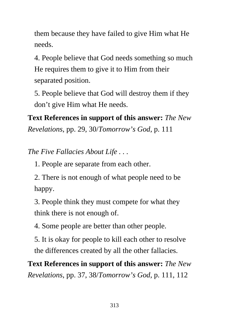them because they have failed to give Him what He needs.

4. People believe that God needs something so much He requires them to give it to Him from their separated position.

5. People believe that God will destroy them if they don't give Him what He needs.

**Text References in support of this answer:** *The New Revelations*, pp. 29, 30/*Tomorrow's God*, p. 111

*The Five Fallacies About Life . . .*

1. People are separate from each other.

2. There is not enough of what people need to be happy.

3. People think they must compete for what they think there is not enough of.

4. Some people are better than other people.

5. It is okay for people to kill each other to resolve the differences created by all the other fallacies.

**Text References in support of this answer:** *The New Revelations*, pp. 37, 38/*Tomorrow's God*, p. 111, 112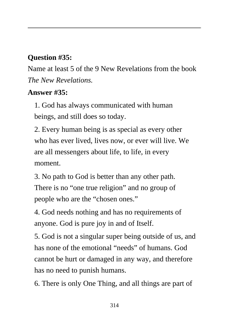# **Question #35:**

Name at least 5 of the 9 New Revelations from the book *The New Revelations.*

## **Answer #35:**

1. God has always communicated with human beings, and still does so today.

2. Every human being is as special as every other who has ever lived, lives now, or ever will live. We are all messengers about life, to life, in every moment.

3. No path to God is better than any other path. There is no "one true religion" and no group of people who are the "chosen ones."

4. God needs nothing and has no requirements of anyone. God is pure joy in and of Itself.

5. God is not a singular super being outside of us, and has none of the emotional "needs" of humans. God cannot be hurt or damaged in any way, and therefore has no need to punish humans.

6. There is only One Thing, and all things are part of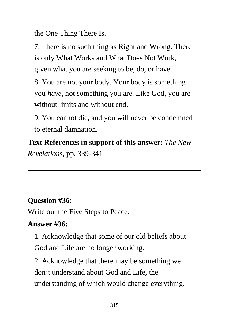the One Thing There Is.

7. There is no such thing as Right and Wrong. There is only What Works and What Does Not Work, given what you are seeking to be, do, or have.

8. You are not your body. Your body is something you *have*, not something you are. Like God, you are without limits and without end.

9. You cannot die, and you will never be condemned to eternal damnation.

**Text References in support of this answer:** *The New Revelations*, pp. 339-341

# **Question #36:**

Write out the Five Steps to Peace.

## **Answer #36:**

1. Acknowledge that some of our old beliefs about God and Life are no longer working.

2. Acknowledge that there may be something we don't understand about God and Life, the understanding of which would change everything.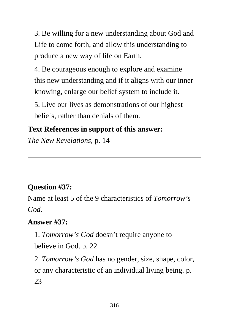3. Be willing for a new understanding about God and Life to come forth, and allow this understanding to produce a new way of life on Earth.

4. Be courageous enough to explore and examine this new understanding and if it aligns with our inner knowing, enlarge our belief system to include it.

5. Live our lives as demonstrations of our highest beliefs, rather than denials of them.

# **Text References in support of this answer:**

*The New Revelations*, p. 14

# **Question #37:**

Name at least 5 of the 9 characteristics of *Tomorrow's God.*

# **Answer #37:**

1. *Tomorrow's God* doesn't require anyone to believe in God. p. 22

2. *Tomorrow's God* has no gender, size, shape, color, or any characteristic of an individual living being. p. 23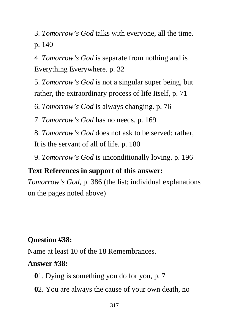3. *Tomorrow's God* talks with everyone, all the time. p. 140

4. *Tomorrow's God* is separate from nothing and is Everything Everywhere. p. 32

5. *Tomorrow's God* is not a singular super being, but rather, the extraordinary process of life Itself, p. 71

6. *Tomorrow's God* is always changing. p. 76

7. *Tomorrow's God* has no needs. p. 169

- 8. *Tomorrow's God* does not ask to be served; rather,
- It is the servant of all of life. p. 180
- 9. *Tomorrow's God* is unconditionally loving. p. 196

#### **Text References in support of this answer:**

*Tomorrow's God*, p. 386 (the list; individual explanations on the pages noted above)

#### **Question #38:**

Name at least 10 of the 18 Remembrances.

#### **Answer #38:**

- **0**1. Dying is something you do for you, p. 7
- **0**2. You are always the cause of your own death, no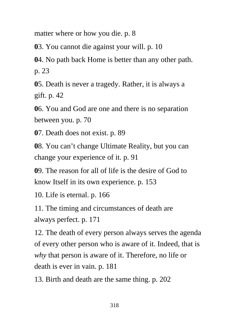matter where or how you die. p. 8

**0**3. You cannot die against your will. p. 10

**0**4. No path back Home is better than any other path. p. 23

**0**5. Death is never a tragedy. Rather, it is always a gift. p. 42

**0**6. You and God are one and there is no separation between you. p. 70

**0**7. Death does not exist. p. 89

**0**8. You can't change Ultimate Reality, but you can change your experience of it. p. 91

**0**9. The reason for all of life is the desire of God to know Itself in its own experience. p. 153

10. Life is eternal. p. 166

11. The timing and circumstances of death are always perfect. p. 171

12. The death of every person always serves the agenda of every other person who is aware of it. Indeed, that is *why* that person is aware of it. Therefore, no life or death is ever in vain. p. 181

13. Birth and death are the same thing. p. 202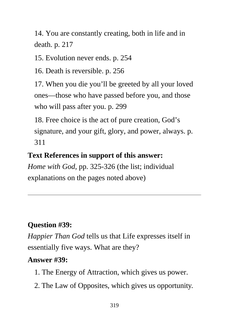14. You are constantly creating, both in life and in death. p. 217

15. Evolution never ends. p. 254

16. Death is reversible. p. 256

17. When you die you'll be greeted by all your loved ones—those who have passed before you, and those who will pass after you. p. 299

18. Free choice is the act of pure creation, God's signature, and your gift, glory, and power, always. p. 311

#### **Text References in support of this answer:**

*Home with God*, pp. 325-326 (the list; individual explanations on the pages noted above)

#### **Question #39:**

*Happier Than God* tells us that Life expresses itself in essentially five ways. What are they?

#### **Answer #39:**

- 1. The Energy of Attraction, which gives us power.
- 2. The Law of Opposites, which gives us opportunity.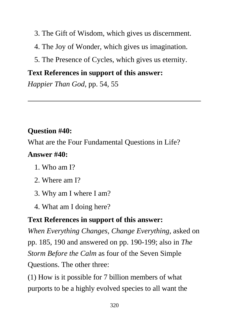- 3. The Gift of Wisdom, which gives us discernment.
- 4. The Joy of Wonder, which gives us imagination.
- 5. The Presence of Cycles, which gives us eternity.

#### **Text References in support of this answer:**

*Happier Than God*, pp. 54, 55

#### **Question #40:**

What are the Four Fundamental Questions in Life?

#### **Answer #40:**

- 1. Who am I?
- 2. Where am I?
- 3. Why am I where I am?
- 4. What am I doing here?

## **Text References in support of this answer:**

*When Everything Changes, Change Everything*, asked on pp. 185, 190 and answered on pp. 190-199; also in *The Storm Before the Calm* as four of the Seven Simple Questions. The other three:

(1) How is it possible for 7 billion members of what purports to be a highly evolved species to all want the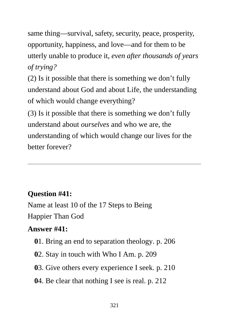same thing—survival, safety, security, peace, prosperity, opportunity, happiness, and love—and for them to be utterly unable to produce it, *even after thousands of years of trying?*

(2) Is it possible that there is something we don't fully understand about God and about Life, the understanding of which would change everything?

(3) Is it possible that there is something we don't fully understand about *ourselves* and who we are, the understanding of which would change our lives for the better forever?

# **Question #41:**

Name at least 10 of the 17 Steps to Being Happier Than God

## **Answer #41:**

- **0**1. Bring an end to separation theology. p. 206
- **0**2. Stay in touch with Who I Am. p. 209
- **0**3. Give others every experience I seek. p. 210
- **0**4. Be clear that nothing I see is real. p. 212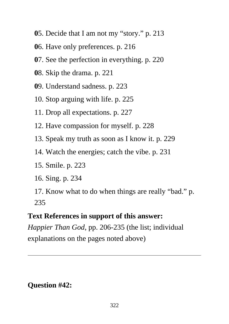- **0**5. Decide that I am not my "story." p. 213
- **0**6. Have only preferences. p. 216
- **0**7. See the perfection in everything. p. 220
- **0**8. Skip the drama. p. 221
- **0**9. Understand sadness. p. 223
- 10. Stop arguing with life. p. 225
- 11. Drop all expectations. p. 227
- 12. Have compassion for myself. p. 228
- 13. Speak my truth as soon as I know it. p. 229
- 14. Watch the energies; catch the vibe. p. 231
- 15. Smile. p. 223
- 16. Sing. p. 234
- 17. Know what to do when things are really "bad." p. 235

#### **Text References in support of this answer:**

*Happier Than God*, pp. 206-235 (the list; individual explanations on the pages noted above)

#### **Question #42:**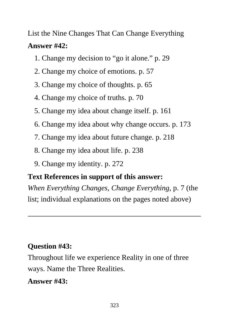# List the Nine Changes That Can Change Everything **Answer #42:**

- 1. Change my decision to "go it alone." p. 29
- 2. Change my choice of emotions. p. 57
- 3. Change my choice of thoughts. p. 65
- 4. Change my choice of truths. p. 70
- 5. Change my idea about change itself. p. 161
- 6. Change my idea about why change occurs. p. 173
- 7. Change my idea about future change. p. 218
- 8. Change my idea about life. p. 238
- 9. Change my identity. p. 272

#### **Text References in support of this answer:**

*When Everything Changes, Change Everything*, p. 7 (the list; individual explanations on the pages noted above)

#### **Question #43:**

Throughout life we experience Reality in one of three ways. Name the Three Realities.

#### **Answer #43:**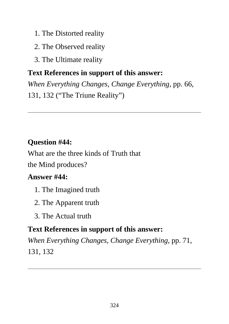- 1. The Distorted reality
- 2. The Observed reality
- 3. The Ultimate reality

# **Text References in support of this answer:**

*When Everything Changes, Change Everything*, pp. 66, 131, 132 ("The Triune Reality")

# **Question #44:**

What are the three kinds of Truth that

the Mind produces?

#### **Answer #44:**

- 1. The Imagined truth
- 2. The Apparent truth
- 3. The Actual truth

# **Text References in support of this answer:**

*When Everything Changes, Change Everything*, pp. 71, 131, 132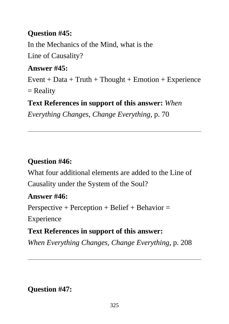## **Question #45:**

In the Mechanics of the Mind, what is the

Line of Causality?

## **Answer #45:**

Event + Data + Truth + Thought + Emotion + Experience = Reality

#### **Text References in support of this answer:** *When*

*Everything Changes, Change Everything*, p. 70

# **Question #46:**

What four additional elements are added to the Line of Causality under the System of the Soul?

#### **Answer #46:**

Perspective + Perception + Belief + Behavior =

Experience

## **Text References in support of this answer:**

*When Everything Changes, Change Everything*, p. 208

# **Question #47:**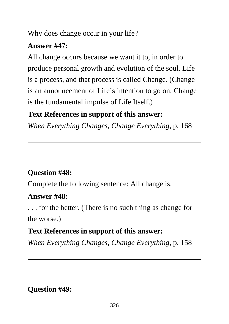Why does change occur in your life?

# **Answer #47:**

All change occurs because we want it to, in order to produce personal growth and evolution of the soul. Life is a process, and that process is called Change. (Change is an announcement of Life's intention to go on. Change is the fundamental impulse of Life Itself.)

# **Text References in support of this answer:**

*When Everything Changes, Change Everything*, p. 168

# **Question #48:**

Complete the following sentence: All change is.

#### **Answer #48:**

. . . for the better. (There is no such thing as change for the worse.)

#### **Text References in support of this answer:**

*When Everything Changes, Change Everything*, p. 158

# **Question #49:**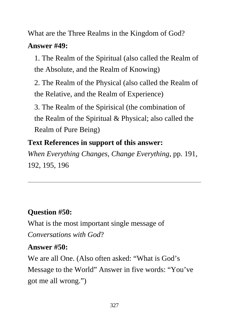What are the Three Realms in the Kingdom of God? **Answer #49:**

1. The Realm of the Spiritual (also called the Realm of the Absolute, and the Realm of Knowing)

2. The Realm of the Physical (also called the Realm of the Relative, and the Realm of Experience)

3. The Realm of the Spirisical (the combination of the Realm of the Spiritual & Physical; also called the Realm of Pure Being)

# **Text References in support of this answer:**

*When Everything Changes, Change Everything*, pp. 191, 192, 195, 196

## **Question #50:**

What is the most important single message of *Conversations with God*?

#### **Answer #50:**

We are all One. (Also often asked: "What is God's Message to the World" Answer in five words: "You've got me all wrong.")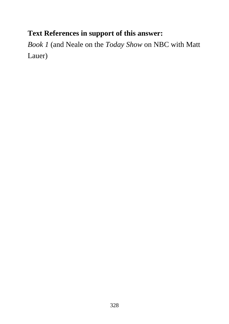# **Text References in support of this answer:**

*Book 1* (and Neale on the *Today Show* on NBC with Matt Lauer)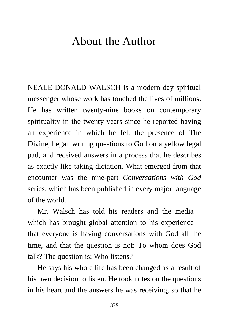# About the Author

NEALE DONALD WALSCH is a modern day spiritual messenger whose work has touched the lives of millions. He has written twenty-nine books on contemporary spirituality in the twenty years since he reported having an experience in which he felt the presence of The Divine, began writing questions to God on a yellow legal pad, and received answers in a process that he describes as exactly like taking dictation. What emerged from that encounter was the nine-part *Conversations with God* series, which has been published in every major language of the world.

Mr. Walsch has told his readers and the media which has brought global attention to his experience that everyone is having conversations with God all the time, and that the question is not: To whom does God talk? The question is: Who listens?

He says his whole life has been changed as a result of his own decision to listen. He took notes on the questions in his heart and the answers he was receiving, so that he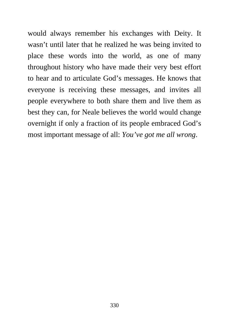would always remember his exchanges with Deity. It wasn't until later that he realized he was being invited to place these words into the world, as one of many throughout history who have made their very best effort to hear and to articulate God's messages. He knows that everyone is receiving these messages, and invites all people everywhere to both share them and live them as best they can, for Neale believes the world would change overnight if only a fraction of its people embraced God's most important message of all: *You've got me all wrong*.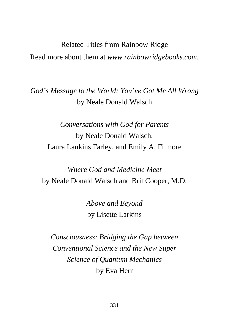# Related Titles from Rainbow Ridge Read more about them at *www.rainbowridgebooks.com*.

*God's Message to the World: You've Got Me All Wrong* by Neale Donald Walsch

*Conversations with God for Parents* by Neale Donald Walsch, Laura Lankins Farley, and Emily A. Filmore

*Where God and Medicine Meet* by Neale Donald Walsch and Brit Cooper, M.D.

> *Above and Beyond* by Lisette Larkins

*Consciousness: Bridging the Gap between Conventional Science and the New Super Science of Quantum Mechanics* by Eva Herr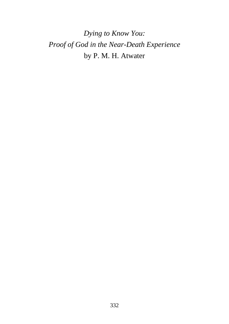*Dying to Know You: Proof of God in the Near-Death Experience* by P. M. H. Atwater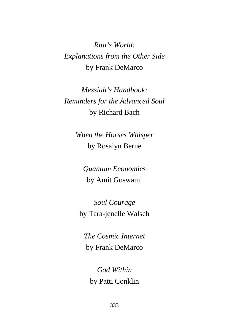*Rita's World: Explanations from the Other Side* by Frank DeMarco

*Messiah's Handbook: Reminders for the Advanced Soul* by Richard Bach

> *When the Horses Whisper* by Rosalyn Berne

*Quantum Economics* by Amit Goswami

*Soul Courage* by Tara-jenelle Walsch

*The Cosmic Internet* by Frank DeMarco

*God Within* by Patti Conklin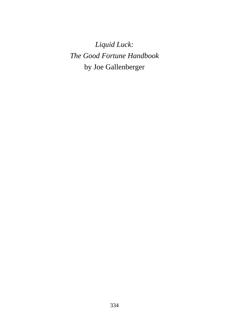*Liquid Luck: The Good Fortune Handbook* by Joe Gallenberger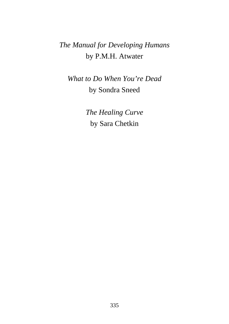# *The Manual for Developing Humans* by P.M.H. Atwater

*What to Do When You're Dead* by Sondra Sneed

> *The Healing Curve* by Sara Chetkin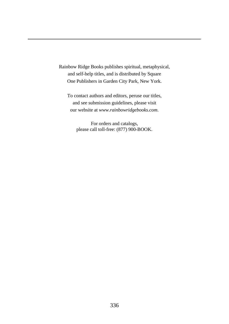Rainbow Ridge Books publishes spiritual, metaphysical, and self-help titles, and is distributed by Square One Publishers in Garden City Park, New York.

To contact authors and editors, peruse our titles, and see submission guidelines, please visit our website at *www.rainbowridgebooks.com*.

For orders and catalogs, please call toll-free: (877) 900-BOOK.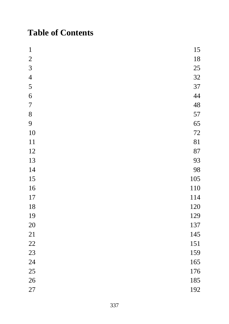# **Table of Contents**

| $\mathbf{1}$                                                                                                                               | 15  |
|--------------------------------------------------------------------------------------------------------------------------------------------|-----|
| $\overline{2}$                                                                                                                             | 18  |
| $\mathsf 3$                                                                                                                                | 25  |
| $\overline{4}$                                                                                                                             | 32  |
| 5                                                                                                                                          | 37  |
| $\boldsymbol{6}$                                                                                                                           | 44  |
| $\mathcal{L}_{\mathcal{A}}^{(n)}(\mathcal{A}) = \mathcal{A}_{\mathcal{A}}^{(n)}(\mathcal{A}) \mathcal{A}_{\mathcal{A}}^{(n)}(\mathcal{A})$ | 48  |
| $\, 8$                                                                                                                                     | 57  |
| 9                                                                                                                                          | 65  |
| 10                                                                                                                                         | 72  |
| 11                                                                                                                                         | 81  |
| 12                                                                                                                                         | 87  |
| 13                                                                                                                                         | 93  |
| 14                                                                                                                                         | 98  |
| 15                                                                                                                                         | 105 |
| 16                                                                                                                                         | 110 |
| $17\,$                                                                                                                                     | 114 |
| 18                                                                                                                                         | 120 |
| 19                                                                                                                                         | 129 |
| 20                                                                                                                                         | 137 |
| 21                                                                                                                                         | 145 |
| 22                                                                                                                                         | 151 |
| 23                                                                                                                                         | 159 |
| 24                                                                                                                                         | 165 |
| 25                                                                                                                                         | 176 |
| 26                                                                                                                                         | 185 |
| 27                                                                                                                                         | 192 |